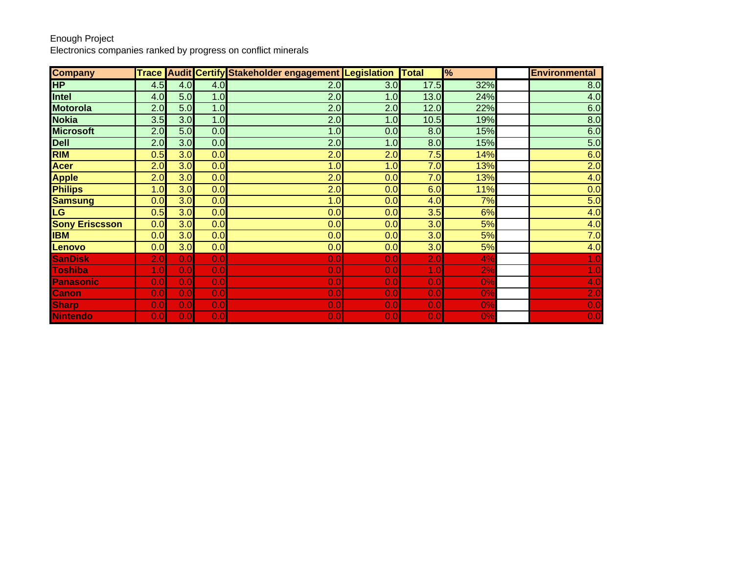Electronics companies ranked by progress on conflict minerals

| <b>Company</b>        |     |     |     | Trace Audit Certify Stakeholder engagement Legislation Total |     |      | $\frac{9}{6}$ | <b>Environmental</b> |
|-----------------------|-----|-----|-----|--------------------------------------------------------------|-----|------|---------------|----------------------|
| <b>HP</b>             | 4.5 | 4.0 | 4.0 | 2.0                                                          | 3.0 | 17.5 | 32%           | 8.0                  |
| <b>Intel</b>          | 4.0 | 5.0 | 1.0 | 2.0                                                          | 1.0 | 13.0 | 24%           | 4.0                  |
| <b>Motorola</b>       | 2.0 | 5.0 | 1.0 | 2.0                                                          | 2.0 | 12.0 | 22%           | 6.0                  |
| <b>Nokia</b>          | 3.5 | 3.0 | 1.0 | 2.0                                                          | 1.0 | 10.5 | 19%           | 8.0                  |
| <b>Microsoft</b>      | 2.0 | 5.0 | 0.0 | 1.0                                                          | 0.0 | 8.0  | 15%           | 6.0                  |
| <b>Dell</b>           | 2.0 | 3.0 | 0.0 | 2.0                                                          | 1.0 | 8.0  | 15%           | 5.0                  |
| <b>RIM</b>            | 0.5 | 3.0 | 0.0 | 2.0                                                          | 2.0 | 7.5  | 14%           | 6.0                  |
| <b>Acer</b>           | 2.0 | 3.0 | 0.0 | 1.0                                                          | 1.0 | 7.0  | 13%           | 2.0                  |
| <b>Apple</b>          | 2.0 | 3.0 | 0.0 | 2.0                                                          | 0.0 | 7.0  | 13%           | 4.0                  |
| <b>Philips</b>        | 1.0 | 3.0 | 0.0 | 2.0                                                          | 0.0 | 6.0  | 11%           | 0.0                  |
| <b>Samsung</b>        | 0.0 | 3.0 | 0.0 | 1.0                                                          | 0.0 | 4.0  | 7%            | 5.0                  |
| <b>LG</b>             | 0.5 | 3.0 | 0.0 | 0.0                                                          | 0.0 | 3.5  | 6%            | 4.0                  |
| <b>Sony Eriscsson</b> | 0.0 | 3.0 | 0.0 | 0.0                                                          | 0.0 | 3.0  | 5%            | 4.0                  |
| <b>IBM</b>            | 0.0 | 3.0 | 0.0 | 0.0                                                          | 0.0 | 3.0  | 5%            | 7.0                  |
| Lenovo                | 0.0 | 3.0 | 0.0 | 0.0                                                          | 0.0 | 3.0  | 5%            | 4.0                  |
| <b>SanDisk</b>        | 2.0 | 0.0 | 0.0 | 0.0                                                          | 0.0 | 2.0  | 4%            | 1.0                  |
| <b>Toshiba</b>        | 1.0 | 0.0 | 0.0 | 0.0                                                          | 0.0 | 1.0  | 2%            | 1.0                  |
| Panasonic             | 0.0 | 0.0 | 0.0 | 0.0                                                          | 0.0 | 0.0  | 0%            | 4.0                  |
| <b>Canon</b>          | 0.0 | 0.0 | 0.0 | 0.0                                                          | 0.0 | 0.0  | 0%            | 2.0                  |
| <b>Sharp</b>          | 0.0 | 0.0 | 0.0 | 0.0                                                          | 0.0 | 0.0  | 0%            | 0.0                  |
| Nintendo              | 0.0 | 0.0 | 0.0 | 0.0                                                          | 0.0 | 0.0  | 0%            | 0.0                  |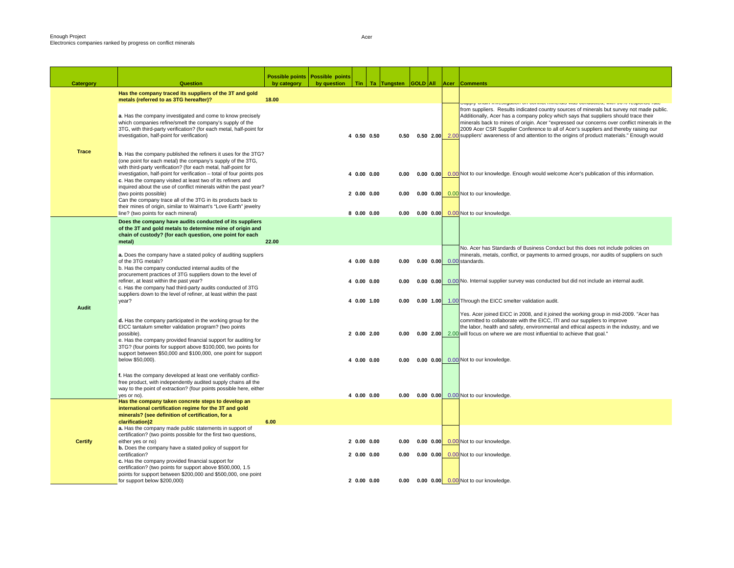П

| <b>Catergory</b> | Question                                                                                                                                                                                                                                                                                                                                                                                                                                                                                                     | Possible points   Possible points<br>by category | by question | Tin                       |              |  | Ta Tungsten GOLD All Acer Comments                                                                                                                                                                                                                                                                                                                                                                                                                                                   |
|------------------|--------------------------------------------------------------------------------------------------------------------------------------------------------------------------------------------------------------------------------------------------------------------------------------------------------------------------------------------------------------------------------------------------------------------------------------------------------------------------------------------------------------|--------------------------------------------------|-------------|---------------------------|--------------|--|--------------------------------------------------------------------------------------------------------------------------------------------------------------------------------------------------------------------------------------------------------------------------------------------------------------------------------------------------------------------------------------------------------------------------------------------------------------------------------------|
|                  | Has the company traced its suppliers of the 3T and gold<br>metals (referred to as 3TG hereafter)?                                                                                                                                                                                                                                                                                                                                                                                                            | 18.00                                            |             |                           |              |  | שטאָט אומווי ווויסטוקאַמוטורטו טאַטווווט ווווויסומוס זאמס טטווטטעסע, אוווו סט פו וסקטווסט ומנס                                                                                                                                                                                                                                                                                                                                                                                       |
|                  | a. Has the company investigated and come to know precisely<br>which companies refine/smelt the company's supply of the<br>3TG, with third-party verification? (for each metal, half-point for<br>investigation, half-point for verification)                                                                                                                                                                                                                                                                 |                                                  |             | 4 0.50 0.50               | 0.50         |  | from suppliers. Results indicated country sources of minerals but survey not made public.<br>Additionally, Acer has a company policy which says that suppliers should trace their<br>minerals back to mines of origin. Acer "expressed our concerns over conflict minerals in the<br>2009 Acer CSR Supplier Conference to all of Acer's suppliers and thereby raising our<br>0.50 2.00 2.00 suppliers' awareness of and attention to the origins of product materials." Enough would |
| <b>Trace</b>     | <b>b.</b> Has the company published the refiners it uses for the 3TG?<br>(one point for each metal) the company's supply of the 3TG,<br>with third-party verification? (for each metal, half-point for<br>investigation, half-point for verification - total of four points pos<br>c. Has the company visited at least two of its refiners and<br>inquired about the use of conflict minerals within the past year?<br>(two points possible)<br>Can the company trace all of the 3TG in its products back to |                                                  |             | 4 0.00 0.00<br>20.0000.00 | 0.00<br>0.00 |  | 0.00 0.00 0.00 Not to our knowledge. Enough would welcome Acer's publication of this information.<br>0.00 0.00 0.00 Not to our knowledge.                                                                                                                                                                                                                                                                                                                                            |
|                  | their mines of origin, similar to Walmart's "Love Earth" jewelry                                                                                                                                                                                                                                                                                                                                                                                                                                             |                                                  |             |                           |              |  |                                                                                                                                                                                                                                                                                                                                                                                                                                                                                      |
|                  | line? (two points for each mineral)<br>Does the company have audits conducted of its suppliers                                                                                                                                                                                                                                                                                                                                                                                                               |                                                  |             | 80.0000.00                | 0.00         |  | 0.00 0.00 0.00 Not to our knowledge.                                                                                                                                                                                                                                                                                                                                                                                                                                                 |
|                  | of the 3T and gold metals to determine mine of origin and<br>chain of custody? (for each question, one point for each<br>metal)                                                                                                                                                                                                                                                                                                                                                                              | 22.00                                            |             |                           |              |  |                                                                                                                                                                                                                                                                                                                                                                                                                                                                                      |
|                  | a. Does the company have a stated policy of auditing suppliers<br>of the 3TG metals?<br>b. Has the company conducted internal audits of the                                                                                                                                                                                                                                                                                                                                                                  |                                                  |             | 4 0.00 0.00               | 0.00         |  | No. Acer has Standards of Business Conduct but this does not include policies on<br>minerals, metals, conflict, or payments to armed groups, nor audits of suppliers on such<br>0.00 0.00 0.00 standards.                                                                                                                                                                                                                                                                            |
|                  | procurement practices of 3TG suppliers down to the level of<br>refiner, at least within the past year?<br>c. Has the company had third-party audits conducted of 3TG<br>suppliers down to the level of refiner, at least within the past                                                                                                                                                                                                                                                                     |                                                  |             | 4 0.00 0.00               | 0.00         |  | 0.00 0.00 0.00 No. Internal supplier survey was conducted but did not include an internal audit.                                                                                                                                                                                                                                                                                                                                                                                     |
| <b>Audit</b>     | year?                                                                                                                                                                                                                                                                                                                                                                                                                                                                                                        |                                                  |             | 4 0.00 1.00               | 0.00         |  | 0.00 1.00 1.00 Through the EICC smelter validation audit.                                                                                                                                                                                                                                                                                                                                                                                                                            |
|                  | d. Has the company participated in the working group for the<br>EICC tantalum smelter validation program? (two points<br>possible).<br>e. Has the company provided financial support for auditing for<br>3TG? (four points for support above \$100,000, two points for<br>support between \$50,000 and \$100,000, one point for support                                                                                                                                                                      |                                                  |             | 2 0.00 2.00               | 0.00         |  | Yes. Acer joined EICC in 2008, and it joined the working group in mid-2009. "Acer has<br>committed to collaborate with the EICC, ITI and our suppliers to improve<br>the labor, health and safety, environmental and ethical aspects in the industry, and we<br>0.00 2.00 2.00 will focus on where we are most influential to achieve that goal."                                                                                                                                    |
|                  | below \$50,000).                                                                                                                                                                                                                                                                                                                                                                                                                                                                                             |                                                  |             | 4 0.00 0.00               | 0.00         |  | 0.00 0.00 0.00 Not to our knowledge.                                                                                                                                                                                                                                                                                                                                                                                                                                                 |
|                  | f. Has the company developed at least one verifiably conflict-<br>free product, with independently audited supply chains all the<br>way to the point of extraction? (four points possible here, either<br>yes or no).                                                                                                                                                                                                                                                                                        |                                                  |             | 4 0.00 0.00               | 0.00         |  | 0.00 0.00 0.00 Not to our knowledge.                                                                                                                                                                                                                                                                                                                                                                                                                                                 |
|                  | Has the company taken concrete steps to develop an<br>international certification regime for the 3T and gold<br>minerals? (see definition of certification, for a<br>clarification)2                                                                                                                                                                                                                                                                                                                         | 6.00                                             |             |                           |              |  |                                                                                                                                                                                                                                                                                                                                                                                                                                                                                      |
| <b>Certify</b>   | a. Has the company made public statements in support of<br>certification? (two points possible for the first two questions,<br>either yes or no)                                                                                                                                                                                                                                                                                                                                                             |                                                  |             | 20.0000.00                | 0.00         |  | 0.00 0.00 0.00 Not to our knowledge.                                                                                                                                                                                                                                                                                                                                                                                                                                                 |
|                  | <b>b.</b> Does the company have a stated policy of support for<br>certification?<br>c. Has the company provided financial support for<br>certification? (two points for support above \$500,000, 1.5                                                                                                                                                                                                                                                                                                         |                                                  |             | 20.0000.00                | 0.00         |  | 0.00 0.00 0.00 Not to our knowledge.                                                                                                                                                                                                                                                                                                                                                                                                                                                 |
|                  | points for support between \$200,000 and \$500,000, one point<br>for support below \$200,000)                                                                                                                                                                                                                                                                                                                                                                                                                |                                                  |             | 20.0000.00                | 0.00         |  | 0.00 0.00 0.00 Not to our knowledge.                                                                                                                                                                                                                                                                                                                                                                                                                                                 |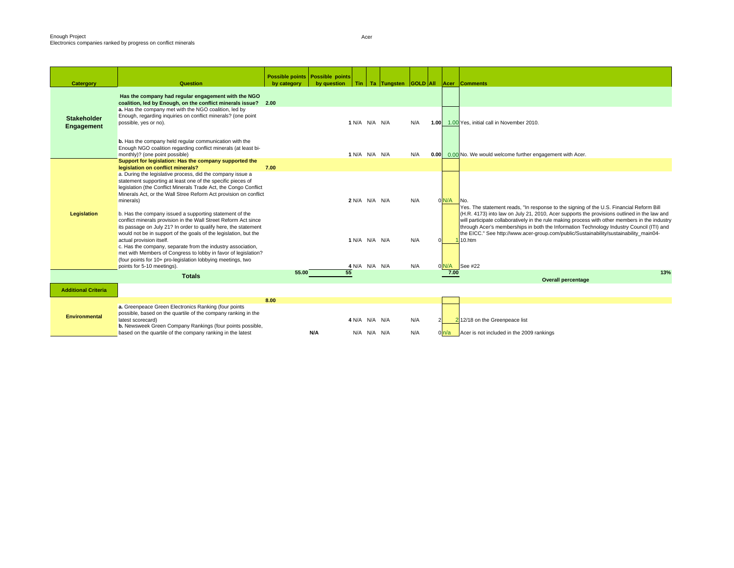| Catergory                        | <b>Question</b>                                                                                                                                                                                                                                                                                                                                                                                                                | by category | Possible points   Possible points<br>by question | Tin           | Ta Tungsten GOLD All Acer Comments |     |               |                                                                                                                                                                                                                                                                                                                                                                                                                                                                                         |
|----------------------------------|--------------------------------------------------------------------------------------------------------------------------------------------------------------------------------------------------------------------------------------------------------------------------------------------------------------------------------------------------------------------------------------------------------------------------------|-------------|--------------------------------------------------|---------------|------------------------------------|-----|---------------|-----------------------------------------------------------------------------------------------------------------------------------------------------------------------------------------------------------------------------------------------------------------------------------------------------------------------------------------------------------------------------------------------------------------------------------------------------------------------------------------|
|                                  | Has the company had regular engagement with the NGO<br>coalition, led by Enough, on the conflict minerals issue? 2.00                                                                                                                                                                                                                                                                                                          |             |                                                  |               |                                    |     |               |                                                                                                                                                                                                                                                                                                                                                                                                                                                                                         |
| <b>Stakeholder</b><br>Engagement | a. Has the company met with the NGO coalition, led by<br>Enough, regarding inquiries on conflict minerals? (one point<br>possible, yes or no).                                                                                                                                                                                                                                                                                 |             |                                                  | 1 N/A N/A N/A |                                    | N/A |               | 1.00 1.00 Yes, initial call in November 2010.                                                                                                                                                                                                                                                                                                                                                                                                                                           |
|                                  | b. Has the company held regular communication with the<br>Enough NGO coalition regarding conflict minerals (at least bi-<br>monthly)? (one point possible)                                                                                                                                                                                                                                                                     |             |                                                  | 1 N/A N/A N/A |                                    | N/A |               | 0.00 0.00 No. We would welcome further engagement with Acer.                                                                                                                                                                                                                                                                                                                                                                                                                            |
|                                  | Support for legislation: Has the company supported the<br>legislation on conflict minerals?                                                                                                                                                                                                                                                                                                                                    | 7.00        |                                                  |               |                                    |     |               |                                                                                                                                                                                                                                                                                                                                                                                                                                                                                         |
|                                  | a. During the legislative process, did the company issue a<br>statement supporting at least one of the specific pieces of<br>legislation (the Conflict Minerals Trade Act, the Congo Conflict<br>Minerals Act, or the Wall Stree Reform Act provision on conflict<br>minerals)                                                                                                                                                 |             |                                                  | 2 N/A N/A N/A |                                    | N/A | 0 N/A         | No.                                                                                                                                                                                                                                                                                                                                                                                                                                                                                     |
| Legislation                      | b. Has the company issued a supporting statement of the<br>conflict minerals provision in the Wall Street Reform Act since<br>its passage on July 21? In order to qualify here, the statement<br>would not be in support of the goals of the legislation, but the<br>actual provision itself.<br>c. Has the company, separate from the industry association,<br>met with Members of Congress to lobby in favor of legislation? |             |                                                  | 1 N/A N/A N/A |                                    | N/A |               | Yes. The statement reads, "In response to the signing of the U.S. Financial Reform Bill<br>(H.R. 4173) into law on July 21, 2010, Acer supports the provisions outlined in the law and<br>will participate collaboratively in the rule making process with other members in the industry<br>through Acer's memberships in both the Information Technology Industry Council (ITI) and<br>the EICC." See http://www.acer-group.com/public/Sustainability/sustainability main04-<br>10.htm |
|                                  | (four points for 10+ pro-legislation lobbying meetings, two                                                                                                                                                                                                                                                                                                                                                                    |             |                                                  |               |                                    |     |               |                                                                                                                                                                                                                                                                                                                                                                                                                                                                                         |
|                                  | points for 5-10 meetings).<br><b>Totals</b>                                                                                                                                                                                                                                                                                                                                                                                    | 55.00       | 55                                               | 4 N/A N/A N/A |                                    | N/A | 0 N/A<br>7.00 | $\frac{1}{2}$ See #22<br>13%                                                                                                                                                                                                                                                                                                                                                                                                                                                            |
|                                  |                                                                                                                                                                                                                                                                                                                                                                                                                                |             |                                                  |               |                                    |     |               | <b>Overall percentage</b>                                                                                                                                                                                                                                                                                                                                                                                                                                                               |
| <b>Additional Criteria</b>       |                                                                                                                                                                                                                                                                                                                                                                                                                                |             |                                                  |               |                                    |     |               |                                                                                                                                                                                                                                                                                                                                                                                                                                                                                         |
| <b>Environmental</b>             | a. Greenpeace Green Electronics Ranking (four points<br>possible, based on the quartile of the company ranking in the<br>latest scorecard)<br>b. Newsweek Green Company Rankings (four points possible,                                                                                                                                                                                                                        | 8.00        |                                                  | 4 N/A N/A N/A |                                    | N/A |               | 2 12/18 on the Greenpeace list                                                                                                                                                                                                                                                                                                                                                                                                                                                          |
|                                  | based on the quartile of the company ranking in the latest                                                                                                                                                                                                                                                                                                                                                                     |             | N/A                                              | N/A N/A N/A   |                                    | N/A |               | Acer is not included in the 2009 rankings                                                                                                                                                                                                                                                                                                                                                                                                                                               |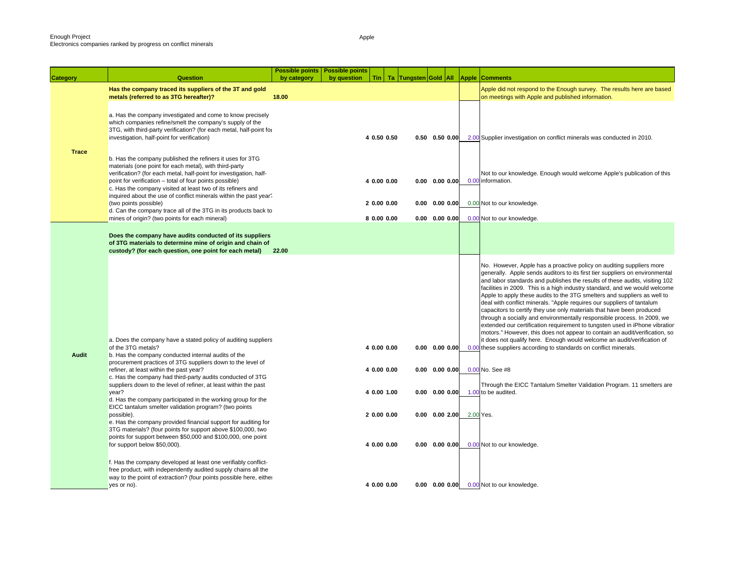|                 |                                                                                                                                                                                                                                                                                                                                                                                          | Possible points   Possible points |             |                           |                                |                                                      |       |                                                                                                                                                                                                                                                                                                                                                                                                                                                                                                                                                                                                                                                                                                                                                                                                                                                                                                                                           |
|-----------------|------------------------------------------------------------------------------------------------------------------------------------------------------------------------------------------------------------------------------------------------------------------------------------------------------------------------------------------------------------------------------------------|-----------------------------------|-------------|---------------------------|--------------------------------|------------------------------------------------------|-------|-------------------------------------------------------------------------------------------------------------------------------------------------------------------------------------------------------------------------------------------------------------------------------------------------------------------------------------------------------------------------------------------------------------------------------------------------------------------------------------------------------------------------------------------------------------------------------------------------------------------------------------------------------------------------------------------------------------------------------------------------------------------------------------------------------------------------------------------------------------------------------------------------------------------------------------------|
| <b>Category</b> | Question                                                                                                                                                                                                                                                                                                                                                                                 | by category                       | by question |                           | Tin   Ta   Tungsten Gold   All |                                                      | Apple | <b>Comments</b>                                                                                                                                                                                                                                                                                                                                                                                                                                                                                                                                                                                                                                                                                                                                                                                                                                                                                                                           |
|                 | Has the company traced its suppliers of the 3T and gold<br>metals (referred to as 3TG hereafter)?                                                                                                                                                                                                                                                                                        | 18.00                             |             |                           |                                |                                                      |       | Apple did not respond to the Enough survey. The results here are based<br>on meetings with Apple and published information.                                                                                                                                                                                                                                                                                                                                                                                                                                                                                                                                                                                                                                                                                                                                                                                                               |
|                 | a. Has the company investigated and come to know precisely<br>which companies refine/smelt the company's supply of the<br>3TG, with third-party verification? (for each metal, half-point for<br>investigation, half-point for verification)                                                                                                                                             |                                   |             | 4 0.50 0.50               |                                | $0.50$ $0.50$ $0.00$                                 |       | 2.00 Supplier investigation on conflict minerals was conducted in 2010.                                                                                                                                                                                                                                                                                                                                                                                                                                                                                                                                                                                                                                                                                                                                                                                                                                                                   |
| <b>Trace</b>    | b. Has the company published the refiners it uses for 3TG<br>materials (one point for each metal), with third-party<br>verification? (for each metal, half-point for investigation, half-<br>point for verification - total of four points possible)<br>c. Has the company visited at least two of its refiners and<br>inquired about the use of conflict minerals within the past year? |                                   |             | 4 0.00 0.00               |                                | $0.00$ $0.00$ $0.00$                                 |       | Not to our knowledge. Enough would welcome Apple's publication of this<br>0.00 information.                                                                                                                                                                                                                                                                                                                                                                                                                                                                                                                                                                                                                                                                                                                                                                                                                                               |
|                 | (two points possible)                                                                                                                                                                                                                                                                                                                                                                    |                                   |             | 2 0.00 0.00               |                                | $0.00$ $0.00$ $0.00$                                 |       | 0.00 Not to our knowledge.                                                                                                                                                                                                                                                                                                                                                                                                                                                                                                                                                                                                                                                                                                                                                                                                                                                                                                                |
|                 | d. Can the company trace all of the 3TG in its products back to<br>mines of origin? (two points for each mineral)                                                                                                                                                                                                                                                                        |                                   |             | 8 0.00 0.00               |                                | $0.00$ $0.00$ $0.00$                                 |       | 0.00 Not to our knowledge.                                                                                                                                                                                                                                                                                                                                                                                                                                                                                                                                                                                                                                                                                                                                                                                                                                                                                                                |
|                 | Does the company have audits conducted of its suppliers<br>of 3TG materials to determine mine of origin and chain of<br>custody? (for each question, one point for each metal)                                                                                                                                                                                                           | 22.00                             |             |                           |                                |                                                      |       |                                                                                                                                                                                                                                                                                                                                                                                                                                                                                                                                                                                                                                                                                                                                                                                                                                                                                                                                           |
| Audit           | a. Does the company have a stated policy of auditing suppliers<br>of the 3TG metals?<br>b. Has the company conducted internal audits of the                                                                                                                                                                                                                                              |                                   |             | 4 0.00 0.00               |                                | $0.00$ $0.00$ $0.00$                                 |       | No. However, Apple has a proactive policy on auditing suppliers more<br>generally. Apple sends auditors to its first tier suppliers on environmental<br>and labor standards and publishes the results of these audits, visiting 102<br>facilities in 2009. This is a high industry standard, and we would welcome<br>Apple to apply these audits to the 3TG smelters and suppliers as well to<br>deal with conflict minerals. "Apple requires our suppliers of tantalum<br>capacitors to certify they use only materials that have been produced<br>through a socially and environmentally responsible process. In 2009, we<br>extended our certification requirement to tungsten used in iPhone vibratior<br>motors." However, this does not appear to contain an audit/verification, so<br>it does not qualify here. Enough would welcome an audit/verification of<br>0.00 these suppliers according to standards on conflict minerals. |
|                 | procurement practices of 3TG suppliers down to the level of<br>refiner, at least within the past year?<br>c. Has the company had third-party audits conducted of 3TG<br>suppliers down to the level of refiner, at least within the past                                                                                                                                                 |                                   |             | 4 0.00 0.00               |                                | $0.00$ $0.00$ $0.00$                                 |       | 0.00 No. See #8<br>Through the EICC Tantalum Smelter Validation Program. 11 smelters are                                                                                                                                                                                                                                                                                                                                                                                                                                                                                                                                                                                                                                                                                                                                                                                                                                                  |
|                 | year?<br>d. Has the company participated in the working group for the<br>EICC tantalum smelter validation program? (two points<br>possible).<br>e. Has the company provided financial support for auditing for<br>3TG materials? (four points for support above \$100,000, two<br>points for support between \$50,000 and \$100,000, one point                                           |                                   |             | 4 0.00 1.00<br>20.0000.00 |                                | $0.00 \quad 0.00 \quad 0.00$<br>$0.00$ $0.00$ $2.00$ |       | 1.00 to be audited.<br>2.00 Yes.                                                                                                                                                                                                                                                                                                                                                                                                                                                                                                                                                                                                                                                                                                                                                                                                                                                                                                          |
|                 | for support below \$50,000).<br>f. Has the company developed at least one verifiably conflict-<br>free product, with independently audited supply chains all the<br>way to the point of extraction? (four points possible here, either                                                                                                                                                   |                                   |             | 4 0.00 0.00               |                                | $0.00$ $0.00$ $0.00$                                 |       | 0.00 Not to our knowledge.                                                                                                                                                                                                                                                                                                                                                                                                                                                                                                                                                                                                                                                                                                                                                                                                                                                                                                                |
|                 | yes or no).                                                                                                                                                                                                                                                                                                                                                                              |                                   |             | 4 0.00 0.00               |                                |                                                      |       | 0.00 0.00 0.00 0.00 Not to our knowledge.                                                                                                                                                                                                                                                                                                                                                                                                                                                                                                                                                                                                                                                                                                                                                                                                                                                                                                 |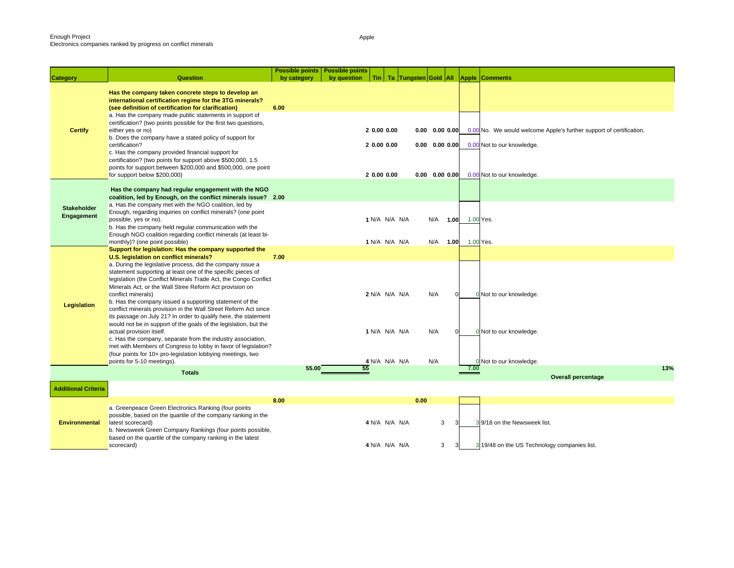b. Newsweek Green Company Rankings (four points possible, based on the quartile of the company ranking in the latest

|                                  | Question                                                                                                                                                                                                                         | <b>Possible points</b> | <b>Possible points</b> |                      |      |                      |      |                                                                     |     |
|----------------------------------|----------------------------------------------------------------------------------------------------------------------------------------------------------------------------------------------------------------------------------|------------------------|------------------------|----------------------|------|----------------------|------|---------------------------------------------------------------------|-----|
| Category                         |                                                                                                                                                                                                                                  | by category            | by question            |                      |      |                      |      | Tin   Ta   Tungsten   Gold   All   Apple   Comments                 |     |
|                                  | Has the company taken concrete steps to develop an<br>international certification regime for the 3TG minerals?<br>(see definition of certification for clarification)<br>a. Has the company made public statements in support of | 6.00                   |                        |                      |      |                      |      |                                                                     |     |
| <b>Certify</b>                   | certification? (two points possible for the first two questions,<br>either yes or no)                                                                                                                                            |                        |                        | 20.0000.00           |      | $0.00$ $0.00$ $0.00$ |      | 0.00 No. We would welcome Apple's further support of certification. |     |
|                                  | b. Does the company have a stated policy of support for<br>certification?                                                                                                                                                        |                        |                        | 2 0.00 0.00          |      | $0.00$ $0.00$ $0.00$ |      | 0.00 Not to our knowledge.                                          |     |
|                                  | c. Has the company provided financial support for<br>certification? (two points for support above \$500,000, 1.5<br>points for support between \$200,000 and \$500,000, one point<br>for support below \$200,000)                |                        |                        | 2 0.00 0.00          |      | $0.00$ $0.00$ $0.00$ |      | 0.00 Not to our knowledge.                                          |     |
|                                  |                                                                                                                                                                                                                                  |                        |                        |                      |      |                      |      |                                                                     |     |
|                                  | Has the company had regular engagement with the NGO<br>coalition, led by Enough, on the conflict minerals issue? 2.00                                                                                                            |                        |                        |                      |      |                      |      |                                                                     |     |
| <b>Stakeholder</b><br>Engagement | a. Has the company met with the NGO coalition, led by<br>Enough, regarding inquiries on conflict minerals? (one point<br>possible, yes or no).                                                                                   |                        |                        | 1 N/A N/A N/A        |      | N/A                  | 1.00 | 1.00 Yes.                                                           |     |
|                                  | b. Has the company held regular communication with the                                                                                                                                                                           |                        |                        |                      |      |                      |      |                                                                     |     |
|                                  | Enough NGO coalition regarding conflict minerals (at least bi-<br>monthly)? (one point possible)                                                                                                                                 |                        |                        | <b>1 N/A N/A N/A</b> |      | N/A                  | 1.00 | 1.00 Yes.                                                           |     |
|                                  | Support for legislation: Has the company supported the<br>U.S. legislation on conflict minerals?                                                                                                                                 | 7.00                   |                        |                      |      |                      |      |                                                                     |     |
|                                  | a. During the legislative process, did the company issue a                                                                                                                                                                       |                        |                        |                      |      |                      |      |                                                                     |     |
|                                  | statement supporting at least one of the specific pieces of                                                                                                                                                                      |                        |                        |                      |      |                      |      |                                                                     |     |
|                                  | legislation (the Conflict Minerals Trade Act, the Congo Conflict                                                                                                                                                                 |                        |                        |                      |      |                      |      |                                                                     |     |
|                                  | Minerals Act, or the Wall Stree Reform Act provision on<br>conflict minerals)                                                                                                                                                    |                        |                        | 2 N/A N/A N/A        |      | N/A                  |      | 0 Not to our knowledge.                                             |     |
| Legislation                      | b. Has the company issued a supporting statement of the                                                                                                                                                                          |                        |                        |                      |      |                      |      |                                                                     |     |
|                                  | conflict minerals provision in the Wall Street Reform Act since                                                                                                                                                                  |                        |                        |                      |      |                      |      |                                                                     |     |
|                                  | its passage on July 21? In order to qualify here, the statement<br>would not be in support of the goals of the legislation, but the                                                                                              |                        |                        |                      |      |                      |      |                                                                     |     |
|                                  | actual provision itself.                                                                                                                                                                                                         |                        |                        | 1 N/A N/A N/A        |      | N/A                  |      | 0 Not to our knowledge.                                             |     |
|                                  | c. Has the company, separate from the industry association,                                                                                                                                                                      |                        |                        |                      |      |                      |      |                                                                     |     |
|                                  | met with Members of Congress to lobby in favor of legislation?                                                                                                                                                                   |                        |                        |                      |      |                      |      |                                                                     |     |
|                                  | (four points for 10+ pro-legislation lobbying meetings, two<br>points for 5-10 meetings).                                                                                                                                        |                        |                        | 4 N/A N/A N/A        |      | N/A                  |      | 0 Not to our knowledge.                                             |     |
|                                  | <b>Totals</b>                                                                                                                                                                                                                    | 55.00                  | 55                     |                      |      |                      |      | 7.00                                                                | 13% |
|                                  |                                                                                                                                                                                                                                  |                        |                        |                      |      |                      |      | <b>Overall percentage</b>                                           |     |
| <b>Additional Criteria</b>       |                                                                                                                                                                                                                                  |                        |                        |                      |      |                      |      |                                                                     |     |
|                                  |                                                                                                                                                                                                                                  | 8.00                   |                        |                      | 0.00 |                      |      |                                                                     |     |
|                                  | a. Greenpeace Green Electronics Ranking (four points<br>possible, based on the quartile of the company ranking in the                                                                                                            |                        |                        |                      |      |                      |      |                                                                     |     |
| <b>Environmental</b>             | latest scorecard)                                                                                                                                                                                                                |                        |                        | 4 N/A N/A N/A        |      | 3                    |      | 39/18 on the Newsweek list.                                         |     |

scorecard) **19/48** on the US Technology companies list. **4** N/A N/A N/A N/A N/A 3 3 3 3 3 3 3 3 3 4 3 19/48 on the US Technology companies list.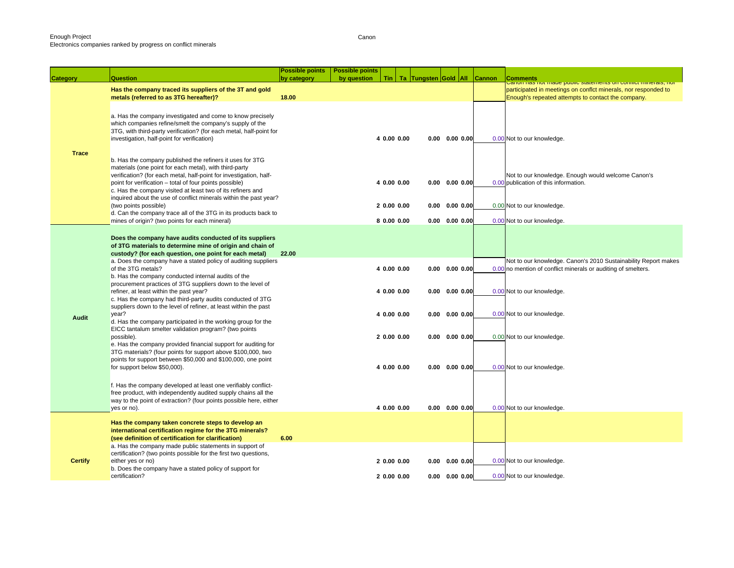|                |                                                                                                                                                                                                                                                                                                                     | <b>Possible points</b> | <b>Possible points</b> |                          |  |                                              |               |                                                                                                                                 |
|----------------|---------------------------------------------------------------------------------------------------------------------------------------------------------------------------------------------------------------------------------------------------------------------------------------------------------------------|------------------------|------------------------|--------------------------|--|----------------------------------------------|---------------|---------------------------------------------------------------------------------------------------------------------------------|
| Category       | Question                                                                                                                                                                                                                                                                                                            | by category            | by question            |                          |  | Tin   Ta   Tungsten Gold   All               | <b>Cannon</b> | <b>Comments</b><br>Canon nas not maue public statements on communimierals, nor                                                  |
|                | Has the company traced its suppliers of the 3T and gold<br>metals (referred to as 3TG hereafter)?                                                                                                                                                                                                                   | 18.00                  |                        |                          |  |                                              |               | participated in meetings on conflct minerals, nor responded to<br>Enough's repeated attempts to contact the company.            |
| <b>Trace</b>   | a. Has the company investigated and come to know precisely<br>which companies refine/smelt the company's supply of the<br>3TG, with third-party verification? (for each metal, half-point for<br>investigation, half-point for verification)                                                                        |                        |                        | 4 0.00 0.00              |  | $0.00$ $0.00$ $0.00$                         |               | 0.00 Not to our knowledge.                                                                                                      |
|                | b. Has the company published the refiners it uses for 3TG<br>materials (one point for each metal), with third-party<br>verification? (for each metal, half-point for investigation, half-<br>point for verification – total of four points possible)<br>c. Has the company visited at least two of its refiners and |                        |                        | 4 0.00 0.00              |  | $0.00$ $0.00$ $0.00$                         |               | Not to our knowledge. Enough would welcome Canon's<br>0.00 publication of this information.                                     |
|                | inquired about the use of conflict minerals within the past year?<br>(two points possible)<br>d. Can the company trace all of the 3TG in its products back to<br>mines of origin? (two points for each mineral)                                                                                                     |                        |                        | 20.0000.00<br>80.0000.00 |  | $0.00$ $0.00$ $0.00$<br>$0.00$ $0.00$ $0.00$ |               | 0.00 Not to our knowledge.<br>0.00 Not to our knowledge.                                                                        |
|                |                                                                                                                                                                                                                                                                                                                     |                        |                        |                          |  |                                              |               |                                                                                                                                 |
|                | Does the company have audits conducted of its suppliers<br>of 3TG materials to determine mine of origin and chain of<br>custody? (for each question, one point for each metal)<br>a. Does the company have a stated policy of auditing suppliers<br>of the 3TG metals?                                              | 22.00                  |                        | 4 0.00 0.00              |  | $0.00 \quad 0.00 \quad 0.00$                 |               | Not to our knowledge. Canon's 2010 Sustainability Report makes<br>0.00 no mention of conflict minerals or auditing of smelters. |
|                | b. Has the company conducted internal audits of the<br>procurement practices of 3TG suppliers down to the level of<br>refiner, at least within the past year?<br>c. Has the company had third-party audits conducted of 3TG                                                                                         |                        |                        | 4 0.00 0.00              |  | $0.00 \quad 0.00 \quad 0.00$                 |               | 0.00 Not to our knowledge.                                                                                                      |
| Audit          | suppliers down to the level of refiner, at least within the past<br>year?<br>d. Has the company participated in the working group for the                                                                                                                                                                           |                        |                        | 4 0.00 0.00              |  | $0.00$ $0.00$ $0.00$                         |               | 0.00 Not to our knowledge.                                                                                                      |
|                | EICC tantalum smelter validation program? (two points<br>possible).<br>e. Has the company provided financial support for auditing for<br>3TG materials? (four points for support above \$100,000, two                                                                                                               |                        |                        | 20.0000.00               |  | $0.00$ $0.00$ $0.00$                         |               | 0.00 Not to our knowledge.                                                                                                      |
|                | points for support between \$50,000 and \$100,000, one point<br>for support below \$50,000).                                                                                                                                                                                                                        |                        |                        | 4 0.00 0.00              |  | $0.00 \quad 0.00 \quad 0.00$                 |               | 0.00 Not to our knowledge.                                                                                                      |
|                | f. Has the company developed at least one verifiably conflict-<br>free product, with independently audited supply chains all the<br>way to the point of extraction? (four points possible here, either<br>yes or no).                                                                                               |                        |                        | 4 0.00 0.00              |  | $0.00$ $0.00$ $0.00$                         |               | 0.00 Not to our knowledge.                                                                                                      |
|                | Has the company taken concrete steps to develop an<br>international certification regime for the 3TG minerals?<br>(see definition of certification for clarification)                                                                                                                                               | 6.00                   |                        |                          |  |                                              |               |                                                                                                                                 |
| <b>Certify</b> | a. Has the company made public statements in support of<br>certification? (two points possible for the first two questions,<br>either yes or no)                                                                                                                                                                    |                        |                        | 20.0000.00               |  | $0.00$ $0.00$ $0.00$                         |               | 0.00 Not to our knowledge.                                                                                                      |
|                | b. Does the company have a stated policy of support for<br>certification?                                                                                                                                                                                                                                           |                        |                        | 20.0000.00               |  | $0.00$ $0.00$ $0.00$                         |               | 0.00 Not to our knowledge.                                                                                                      |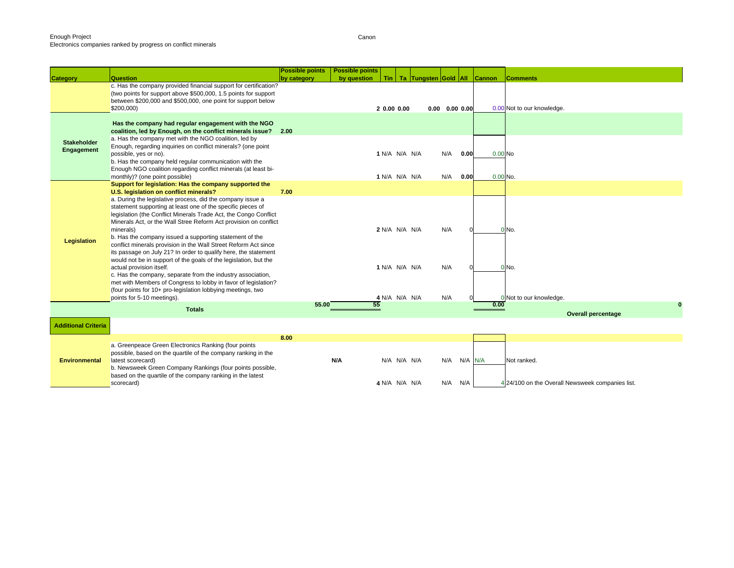|                                  |                                                                                                                                                                                                                                                                                                                                                                                                                                                                                                                                                                                                                                                | <b>Possible points</b> | <b>Possible points</b> |            |                                |                      |                              |         |            |                                                  |
|----------------------------------|------------------------------------------------------------------------------------------------------------------------------------------------------------------------------------------------------------------------------------------------------------------------------------------------------------------------------------------------------------------------------------------------------------------------------------------------------------------------------------------------------------------------------------------------------------------------------------------------------------------------------------------------|------------------------|------------------------|------------|--------------------------------|----------------------|------------------------------|---------|------------|--------------------------------------------------|
| <b>Category</b>                  | Question                                                                                                                                                                                                                                                                                                                                                                                                                                                                                                                                                                                                                                       | by category            | by question            | Tin        |                                | Ta Tungsten Gold All |                              |         | Cannon     | <b>Comments</b>                                  |
|                                  | c. Has the company provided financial support for certification?<br>(two points for support above \$500,000, 1.5 points for support<br>between \$200,000 and \$500,000, one point for support below<br>\$200,000                                                                                                                                                                                                                                                                                                                                                                                                                               |                        |                        | 20.0000.00 |                                |                      | $0.00 \quad 0.00 \quad 0.00$ |         |            | 0.00 Not to our knowledge.                       |
| <b>Stakeholder</b><br>Engagement | Has the company had regular engagement with the NGO<br>coalition, led by Enough, on the conflict minerals issue? 2.00<br>a. Has the company met with the NGO coalition, led by<br>Enough, regarding inquiries on conflict minerals? (one point<br>possible, yes or no).<br>b. Has the company held regular communication with the<br>Enough NGO coalition regarding conflict minerals (at least bi-                                                                                                                                                                                                                                            |                        |                        |            | 1 N/A N/A N/A                  |                      | N/A                          | 0.00    | $0.00$ No  |                                                  |
|                                  | monthly)? (one point possible)                                                                                                                                                                                                                                                                                                                                                                                                                                                                                                                                                                                                                 |                        |                        |            | 1 N/A N/A N/A                  |                      | N/A                          | 0.00    | $0.00$ No. |                                                  |
|                                  | Support for legislation: Has the company supported the<br>U.S. legislation on conflict minerals?                                                                                                                                                                                                                                                                                                                                                                                                                                                                                                                                               | 7.00                   |                        |            |                                |                      |                              |         |            |                                                  |
| <b>Legislation</b>               | a. During the legislative process, did the company issue a<br>statement supporting at least one of the specific pieces of<br>legislation (the Conflict Minerals Trade Act, the Congo Conflict<br>Minerals Act, or the Wall Stree Reform Act provision on conflict<br>minerals)<br>b. Has the company issued a supporting statement of the<br>conflict minerals provision in the Wall Street Reform Act since<br>its passage on July 21? In order to qualify here, the statement<br>would not be in support of the goals of the legislation, but the<br>actual provision itself.<br>c. Has the company, separate from the industry association, |                        |                        |            | 2 N/A N/A N/A<br>1 N/A N/A N/A |                      | N/A<br>N/A                   |         |            | 0 No.<br>0 No.                                   |
|                                  | met with Members of Congress to lobby in favor of legislation?<br>(four points for 10+ pro-legislation lobbying meetings, two<br>points for 5-10 meetings).                                                                                                                                                                                                                                                                                                                                                                                                                                                                                    |                        |                        |            | 4 N/A N/A N/A                  |                      | N/A                          |         |            | Mot to our knowledge.                            |
|                                  | <b>Totals</b>                                                                                                                                                                                                                                                                                                                                                                                                                                                                                                                                                                                                                                  | 55.00                  | 55                     |            |                                |                      |                              |         | 0.00       | $\bf{0}$<br><b>Overall percentage</b>            |
| <b>Additional Criteria</b>       |                                                                                                                                                                                                                                                                                                                                                                                                                                                                                                                                                                                                                                                |                        |                        |            |                                |                      |                              |         |            |                                                  |
|                                  |                                                                                                                                                                                                                                                                                                                                                                                                                                                                                                                                                                                                                                                | 8.00                   |                        |            |                                |                      |                              |         |            |                                                  |
| <b>Environmental</b>             | a. Greenpeace Green Electronics Ranking (four points<br>possible, based on the quartile of the company ranking in the<br>latest scorecard)<br>b. Newsweek Green Company Rankings (four points possible,<br>based on the quartile of the company ranking in the latest                                                                                                                                                                                                                                                                                                                                                                          |                        | N/A                    |            | N/A N/A N/A                    |                      | N/A                          | N/A N/A |            | Not ranked.                                      |
|                                  | scorecard)                                                                                                                                                                                                                                                                                                                                                                                                                                                                                                                                                                                                                                     |                        |                        |            | 4 N/A N/A N/A                  |                      | N/A                          | N/A     |            | 4 24/100 on the Overall Newsweek companies list. |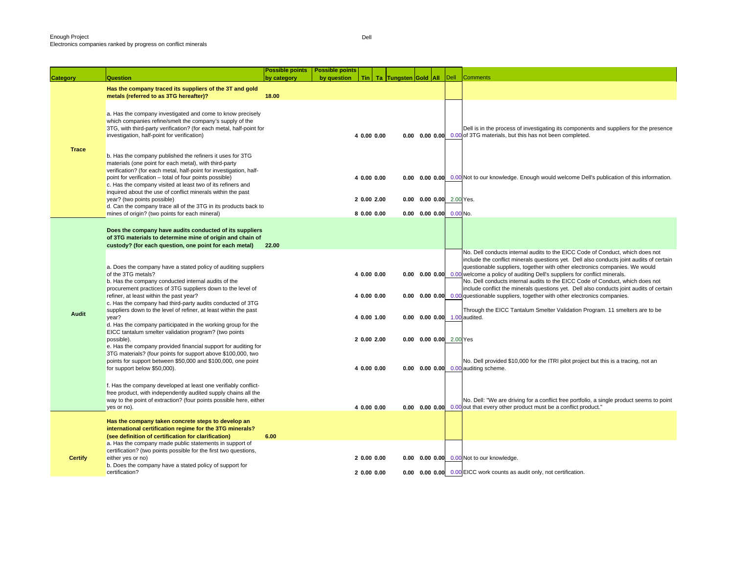|                 |                                                                                                                                                                                                                                                                                                                                                                                    | <b>Possible points</b> | <b>Possible points</b> |                            |                      |                                                             |      |                                                                                                                                                                                                                                                                                                                                                                                                                                                                                                                                 |
|-----------------|------------------------------------------------------------------------------------------------------------------------------------------------------------------------------------------------------------------------------------------------------------------------------------------------------------------------------------------------------------------------------------|------------------------|------------------------|----------------------------|----------------------|-------------------------------------------------------------|------|---------------------------------------------------------------------------------------------------------------------------------------------------------------------------------------------------------------------------------------------------------------------------------------------------------------------------------------------------------------------------------------------------------------------------------------------------------------------------------------------------------------------------------|
| <b>Category</b> | <b>Question</b>                                                                                                                                                                                                                                                                                                                                                                    | by category            | by question            | <b>Tin</b>                 | Ta Tungsten Gold All |                                                             | Dell | <b>Comments</b>                                                                                                                                                                                                                                                                                                                                                                                                                                                                                                                 |
|                 | Has the company traced its suppliers of the 3T and gold<br>metals (referred to as 3TG hereafter)?                                                                                                                                                                                                                                                                                  | 18.00                  |                        |                            |                      |                                                             |      |                                                                                                                                                                                                                                                                                                                                                                                                                                                                                                                                 |
|                 | a. Has the company investigated and come to know precisely<br>which companies refine/smelt the company's supply of the<br>3TG, with third-party verification? (for each metal, half-point for<br>investigation, half-point for verification)                                                                                                                                       |                        |                        | 4 0.00 0.00                |                      |                                                             |      | Dell is in the process of investigating its components and suppliers for the presence<br>0.00 0.00 0.00 0.00 of 3TG materials, but this has not been completed.                                                                                                                                                                                                                                                                                                                                                                 |
| <b>Trace</b>    | b. Has the company published the refiners it uses for 3TG<br>materials (one point for each metal), with third-party<br>verification? (for each metal, half-point for investigation, half-<br>point for verification - total of four points possible)<br>c. Has the company visited at least two of its refiners and<br>inquired about the use of conflict minerals within the past |                        |                        | 4 0.00 0.00                |                      |                                                             |      | 0.00 0.00 0.00 0.00 Not to our knowledge. Enough would welcome Dell's publication of this information.                                                                                                                                                                                                                                                                                                                                                                                                                          |
|                 | year? (two points possible)<br>d. Can the company trace all of the 3TG in its products back to<br>mines of origin? (two points for each mineral)                                                                                                                                                                                                                                   |                        |                        | 2 0.00 2.00<br>8 0.00 0.00 |                      | 0.00 0.00 0.00 2.00 Yes.<br>$0.00$ $0.00$ $0.00$ $0.00$ No. |      |                                                                                                                                                                                                                                                                                                                                                                                                                                                                                                                                 |
|                 | Does the company have audits conducted of its suppliers<br>of 3TG materials to determine mine of origin and chain of<br>custody? (for each question, one point for each metal)                                                                                                                                                                                                     | 22.00                  |                        |                            |                      |                                                             |      |                                                                                                                                                                                                                                                                                                                                                                                                                                                                                                                                 |
|                 | a. Does the company have a stated policy of auditing suppliers<br>of the 3TG metals?<br>b. Has the company conducted internal audits of the<br>procurement practices of 3TG suppliers down to the level of                                                                                                                                                                         |                        |                        | 4 0.00 0.00                |                      |                                                             |      | No. Dell conducts internal audits to the EICC Code of Conduct, which does not<br>include the conflict minerals questions yet. Dell also conducts joint audits of certain<br>questionable suppliers, together with other electronics companies. We would<br>0.00 0.00 0.00 0.00 welcome a policy of auditing Dell's suppliers for conflict minerals.<br>No. Dell conducts internal audits to the EICC Code of Conduct, which does not<br>include conflict the minerals questions yet. Dell also conducts joint audits of certain |
| Audit           | refiner, at least within the past year?<br>c. Has the company had third-party audits conducted of 3TG<br>suppliers down to the level of refiner, at least within the past                                                                                                                                                                                                          |                        |                        | 4 0.00 0.00                |                      |                                                             |      | <b>0.00 0.00 0.00</b> 0.00 questionable suppliers, together with other electronics companies.<br>Through the EICC Tantalum Smelter Validation Program. 11 smelters are to be                                                                                                                                                                                                                                                                                                                                                    |
|                 | year?<br>d. Has the company participated in the working group for the<br>EICC tantalum smelter validation program? (two points<br>possible).                                                                                                                                                                                                                                       |                        |                        | 4 0.00 1.00<br>2 0.00 2.00 |                      | 0.00 0.00 0.00 1.00 audited.<br>0.00 0.00 0.00 2.00 Yes     |      |                                                                                                                                                                                                                                                                                                                                                                                                                                                                                                                                 |
|                 | e. Has the company provided financial support for auditing for<br>3TG materials? (four points for support above \$100,000, two<br>points for support between \$50,000 and \$100,000, one point                                                                                                                                                                                     |                        |                        |                            |                      |                                                             |      | No. Dell provided \$10,000 for the ITRI pilot project but this is a tracing, not an                                                                                                                                                                                                                                                                                                                                                                                                                                             |
|                 | for support below \$50,000).                                                                                                                                                                                                                                                                                                                                                       |                        |                        | 4 0.00 0.00                |                      |                                                             |      | 0.00 0.00 0.00 0.00 auditing scheme.                                                                                                                                                                                                                                                                                                                                                                                                                                                                                            |
|                 | f. Has the company developed at least one verifiably conflict-<br>free product, with independently audited supply chains all the<br>way to the point of extraction? (four points possible here, either<br>yes or no).                                                                                                                                                              |                        |                        | 4 0.00 0.00                |                      |                                                             |      | No. Dell: "We are driving for a conflict free portfolio, a single product seems to point<br>0.00 0.00 0.00 0.00 out that every other product must be a conflict product."                                                                                                                                                                                                                                                                                                                                                       |
|                 | Has the company taken concrete steps to develop an<br>international certification regime for the 3TG minerals?<br>(see definition of certification for clarification)                                                                                                                                                                                                              | 6.00                   |                        |                            |                      |                                                             |      |                                                                                                                                                                                                                                                                                                                                                                                                                                                                                                                                 |
| <b>Certify</b>  | a. Has the company made public statements in support of<br>certification? (two points possible for the first two questions,<br>either yes or no)                                                                                                                                                                                                                                   |                        |                        | 2 0.00 0.00                |                      |                                                             |      | 0.00 0.00 0.00 0.00 Not to our knowledge.                                                                                                                                                                                                                                                                                                                                                                                                                                                                                       |
|                 | b. Does the company have a stated policy of support for<br>certification?                                                                                                                                                                                                                                                                                                          |                        |                        | 2 0.00 0.00                |                      |                                                             |      | 0.00 0.00 0.00 0.00 EICC work counts as audit only, not certification.                                                                                                                                                                                                                                                                                                                                                                                                                                                          |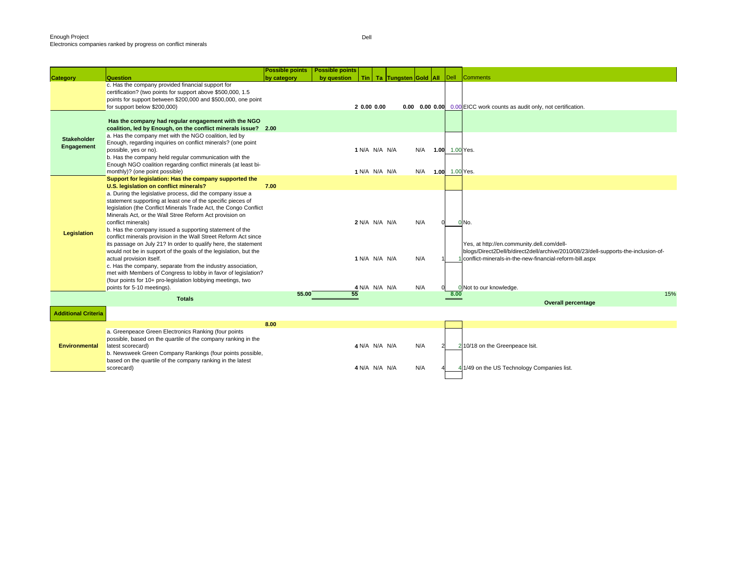|                            |                                                                                                                              | <b>Possible points</b> | <b>Possible points</b> |               |                      |                |      |                                                                                    |
|----------------------------|------------------------------------------------------------------------------------------------------------------------------|------------------------|------------------------|---------------|----------------------|----------------|------|------------------------------------------------------------------------------------|
| <b>Category</b>            | Question                                                                                                                     | by category            | by question<br>Tin I   |               | Ta Tungsten Gold All | $ $ Dell       |      | <b>Comments</b>                                                                    |
|                            | c. Has the company provided financial support for                                                                            |                        |                        |               |                      |                |      |                                                                                    |
|                            | certification? (two points for support above \$500,000, 1.5<br>points for support between \$200,000 and \$500,000, one point |                        |                        |               |                      |                |      |                                                                                    |
|                            | for support below \$200,000)                                                                                                 |                        | 2 0.00 0.00            |               |                      |                |      | 0.00 0.00 0.00 0.00 EICC work counts as audit only, not certification.             |
|                            |                                                                                                                              |                        |                        |               |                      |                |      |                                                                                    |
|                            | Has the company had regular engagement with the NGO                                                                          |                        |                        |               |                      |                |      |                                                                                    |
|                            | coalition, led by Enough, on the conflict minerals issue? 2.00                                                               |                        |                        |               |                      |                |      |                                                                                    |
|                            | a. Has the company met with the NGO coalition, led by                                                                        |                        |                        |               |                      |                |      |                                                                                    |
| <b>Stakeholder</b>         | Enough, regarding inquiries on conflict minerals? (one point                                                                 |                        |                        |               |                      |                |      |                                                                                    |
| Engagement                 | possible, yes or no).                                                                                                        |                        | 1 N/A N/A N/A          |               | N/A                  | 1.00 1.00 Yes. |      |                                                                                    |
|                            | b. Has the company held regular communication with the                                                                       |                        |                        |               |                      |                |      |                                                                                    |
|                            | Enough NGO coalition regarding conflict minerals (at least bi-                                                               |                        |                        |               |                      |                |      |                                                                                    |
|                            | monthly)? (one point possible)                                                                                               |                        | 1 N/A N/A N/A          |               | N/A 1.00 1.00 Yes.   |                |      |                                                                                    |
|                            | Support for legislation: Has the company supported the                                                                       |                        |                        |               |                      |                |      |                                                                                    |
|                            | U.S. legislation on conflict minerals?                                                                                       | 7.00                   |                        |               |                      |                |      |                                                                                    |
|                            | a. During the legislative process, did the company issue a                                                                   |                        |                        |               |                      |                |      |                                                                                    |
|                            | statement supporting at least one of the specific pieces of                                                                  |                        |                        |               |                      |                |      |                                                                                    |
|                            | legislation (the Conflict Minerals Trade Act, the Congo Conflict                                                             |                        |                        |               |                      |                |      |                                                                                    |
|                            | Minerals Act, or the Wall Stree Reform Act provision on                                                                      |                        |                        |               |                      |                |      |                                                                                    |
|                            | conflict minerals)                                                                                                           |                        | 2 N/A N/A N/A          |               | N/A                  |                |      | 0 No.                                                                              |
| <b>Legislation</b>         | b. Has the company issued a supporting statement of the                                                                      |                        |                        |               |                      |                |      |                                                                                    |
|                            | conflict minerals provision in the Wall Street Reform Act since                                                              |                        |                        |               |                      |                |      |                                                                                    |
|                            | its passage on July 21? In order to qualify here, the statement                                                              |                        |                        |               |                      |                |      | Yes, at http://en.community.dell.com/dell-                                         |
|                            | would not be in support of the goals of the legislation, but the                                                             |                        |                        |               |                      |                |      | blogs/Direct2Dell/b/direct2dell/archive/2010/08/23/dell-supports-the-inclusion-of- |
|                            | actual provision itself.                                                                                                     |                        | 1 N/A N/A N/A          |               | N/A                  |                |      | conflict-minerals-in-the-new-financial-reform-bill.aspx                            |
|                            | c. Has the company, separate from the industry association,                                                                  |                        |                        |               |                      |                |      |                                                                                    |
|                            | met with Members of Congress to lobby in favor of legislation?                                                               |                        |                        |               |                      |                |      |                                                                                    |
|                            | (four points for 10+ pro-legislation lobbying meetings, two<br>points for 5-10 meetings).                                    |                        | 4 N/A N/A N/A          |               | N/A                  |                |      | 0 Not to our knowledge.                                                            |
|                            |                                                                                                                              | 55.00                  | 55                     |               |                      |                | 8.00 | 15%                                                                                |
|                            | <b>Totals</b>                                                                                                                |                        |                        |               |                      |                |      | <b>Overall percentage</b>                                                          |
|                            |                                                                                                                              |                        |                        |               |                      |                |      |                                                                                    |
| <b>Additional Criteria</b> |                                                                                                                              |                        |                        |               |                      |                |      |                                                                                    |
|                            |                                                                                                                              | 8.00                   |                        |               |                      |                |      |                                                                                    |
|                            | a. Greenpeace Green Electronics Ranking (four points                                                                         |                        |                        |               |                      |                |      |                                                                                    |
|                            | possible, based on the quartile of the company ranking in the                                                                |                        |                        |               |                      |                |      |                                                                                    |
| <b>Environmental</b>       | latest scorecard)                                                                                                            |                        | 4 N/A N/A N/A          |               | N/A                  |                |      | 2 10/18 on the Greenpeace Isit.                                                    |
|                            | b. Newsweek Green Company Rankings (four points possible,                                                                    |                        |                        |               |                      |                |      |                                                                                    |
|                            | based on the quartile of the company ranking in the latest                                                                   |                        |                        |               |                      |                |      |                                                                                    |
|                            | scorecard)                                                                                                                   |                        |                        | 4 N/A N/A N/A | N/A                  |                |      | 1/49 on the US Technology Companies list.                                          |
|                            |                                                                                                                              |                        |                        |               |                      |                |      |                                                                                    |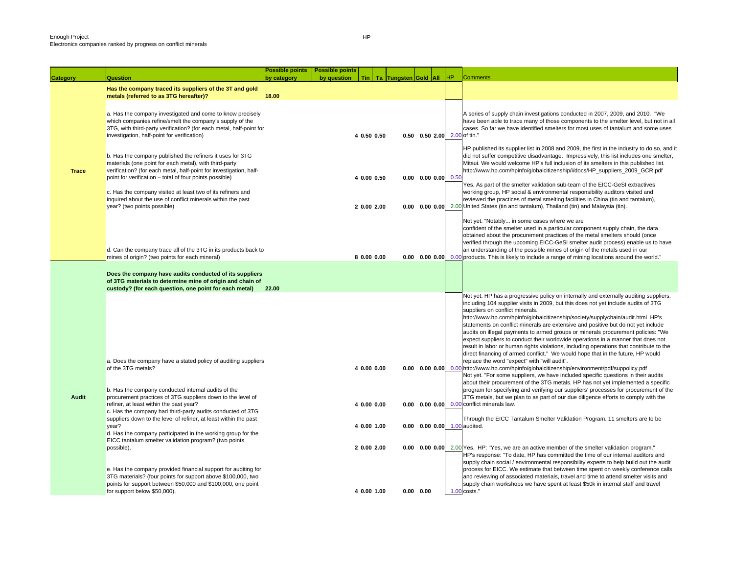**Category Question**

|              |                                                                                                                                                                                                                                                                                                                                                                                    | <b>Possible points</b> | <b>Possible points</b> |             |                                |                              |    |                                                                                                                                                                                                                                                                                                                                                                                                                                                                                                                                                                                                                                                                                                                                                                                             |
|--------------|------------------------------------------------------------------------------------------------------------------------------------------------------------------------------------------------------------------------------------------------------------------------------------------------------------------------------------------------------------------------------------|------------------------|------------------------|-------------|--------------------------------|------------------------------|----|---------------------------------------------------------------------------------------------------------------------------------------------------------------------------------------------------------------------------------------------------------------------------------------------------------------------------------------------------------------------------------------------------------------------------------------------------------------------------------------------------------------------------------------------------------------------------------------------------------------------------------------------------------------------------------------------------------------------------------------------------------------------------------------------|
| egory        | Question                                                                                                                                                                                                                                                                                                                                                                           | by category            | by question            |             | Tin   Ta   Tungsten Gold   All |                              | HP | <b>Comments</b>                                                                                                                                                                                                                                                                                                                                                                                                                                                                                                                                                                                                                                                                                                                                                                             |
|              | Has the company traced its suppliers of the 3T and gold                                                                                                                                                                                                                                                                                                                            |                        |                        |             |                                |                              |    |                                                                                                                                                                                                                                                                                                                                                                                                                                                                                                                                                                                                                                                                                                                                                                                             |
|              | metals (referred to as 3TG hereafter)?                                                                                                                                                                                                                                                                                                                                             | 18.00                  |                        |             |                                |                              |    |                                                                                                                                                                                                                                                                                                                                                                                                                                                                                                                                                                                                                                                                                                                                                                                             |
|              | a. Has the company investigated and come to know precisely<br>which companies refine/smelt the company's supply of the<br>3TG, with third-party verification? (for each metal, half-point for                                                                                                                                                                                      |                        |                        | 4 0.50 0.50 |                                | 0.50 0.50 2.00 2.00 of tin." |    | A series of supply chain investigations conducted in 2007, 2009, and 2010. "We<br>have been able to trace many of those components to the smelter level, but not in all<br>cases. So far we have identified smelters for most uses of tantalum and some uses                                                                                                                                                                                                                                                                                                                                                                                                                                                                                                                                |
|              | investigation, half-point for verification)                                                                                                                                                                                                                                                                                                                                        |                        |                        |             |                                |                              |    |                                                                                                                                                                                                                                                                                                                                                                                                                                                                                                                                                                                                                                                                                                                                                                                             |
| <b>Trace</b> | b. Has the company published the refiners it uses for 3TG<br>materials (one point for each metal), with third-party<br>verification? (for each metal, half-point for investigation, half-<br>point for verification - total of four points possible)<br>c. Has the company visited at least two of its refiners and<br>inquired about the use of conflict minerals within the past |                        |                        | 4 0.00 0.50 |                                | $0.00$ $0.00$ $0.00$ $0.50$  |    | HP published its supplier list in 2008 and 2009, the first in the industry to do so, and it<br>did not suffer competitive disadvantage. Impressively, this list includes one smelter,<br>Mitsui. We would welcome HP's full inclusion of its smelters in this published list.<br>http://www.hp.com/hpinfo/globalcitizenship/i/docs/HP suppliers 2009 GCR.pdf<br>Yes. As part of the smelter validation sub-team of the EICC-GeSI extractives<br>working group, HP social & environmental responsibility auditors visited and<br>reviewed the practices of metal smelting facilities in China (tin and tantalum),                                                                                                                                                                            |
|              | year? (two points possible)                                                                                                                                                                                                                                                                                                                                                        |                        |                        | 2 0.00 2.00 |                                |                              |    | <b>0.00 0.00 0.00</b> 2.00 United States (tin and tantalum), Thailand (tin) and Malaysia (tin).                                                                                                                                                                                                                                                                                                                                                                                                                                                                                                                                                                                                                                                                                             |
|              | d. Can the company trace all of the 3TG in its products back to<br>mines of origin? (two points for each mineral)                                                                                                                                                                                                                                                                  |                        |                        | 8 0.00 0.00 |                                |                              |    | Not yet. "Notably in some cases where we are<br>confident of the smelter used in a particular component supply chain, the data<br>obtained about the procurement practices of the metal smelters should (once<br>verified through the upcoming EICC-GeSI smelter audit process) enable us to have<br>an understanding of the possible mines of origin of the metals used in our<br>0.00 0.00 0.00 0.00 products. This is likely to include a range of mining locations around the world."                                                                                                                                                                                                                                                                                                   |
|              |                                                                                                                                                                                                                                                                                                                                                                                    |                        |                        |             |                                |                              |    |                                                                                                                                                                                                                                                                                                                                                                                                                                                                                                                                                                                                                                                                                                                                                                                             |
|              | Does the company have audits conducted of its suppliers<br>of 3TG materials to determine mine of origin and chain of<br>custody? (for each question, one point for each metal)                                                                                                                                                                                                     | 22.00                  |                        |             |                                |                              |    |                                                                                                                                                                                                                                                                                                                                                                                                                                                                                                                                                                                                                                                                                                                                                                                             |
|              | a. Does the company have a stated policy of auditing suppliers                                                                                                                                                                                                                                                                                                                     |                        |                        |             |                                |                              |    | Not yet. HP has a progressive policy on internally and externally auditing suppliers,<br>including 104 supplier visits in 2009, but this does not yet include audits of 3TG<br>suppliers on conflict minerals.<br>http://www.hp.com/hpinfo/globalcitizenship/society/supplychain/audit.html HP's<br>statements on conflict minerals are extensive and positive but do not yet include<br>audits on illegal payments to armed groups or minerals procurement policies: "We<br>expect suppliers to conduct their worldwide operations in a manner that does not<br>result in labor or human rights violations, including operations that contribute to the<br>direct financing of armed conflict." We would hope that in the future, HP would<br>replace the word "expect" with "will audit". |
|              | of the 3TG metals?<br>b. Has the company conducted internal audits of the                                                                                                                                                                                                                                                                                                          |                        |                        | 4 0.00 0.00 |                                |                              |    | 0.00 0.00 0.00 http://www.hp.com/hpinfo/globalcitizenship/environment/pdf/suppolicy.pdf<br>Not yet. "For some suppliers, we have included specific questions in their audits<br>about their procurement of the 3TG metals. HP has not yet implemented a specific<br>program for specifying and verifying our suppliers' processes for procurement of the                                                                                                                                                                                                                                                                                                                                                                                                                                    |
| Audit        | procurement practices of 3TG suppliers down to the level of<br>refiner, at least within the past year?<br>c. Has the company had third-party audits conducted of 3TG                                                                                                                                                                                                               |                        |                        | 4 0.00 0.00 |                                |                              |    | 3TG metals, but we plan to as part of our due diligence efforts to comply with the<br>0.00 0.00 0.00 0.00 conflict minerals law."                                                                                                                                                                                                                                                                                                                                                                                                                                                                                                                                                                                                                                                           |
|              | suppliers down to the level of refiner, at least within the past                                                                                                                                                                                                                                                                                                                   |                        |                        | 4 0.00 1.00 |                                | 0.00 0.00 0.00 1.00 audited. |    | Through the EICC Tantalum Smelter Validation Program. 11 smelters are to be                                                                                                                                                                                                                                                                                                                                                                                                                                                                                                                                                                                                                                                                                                                 |
|              | year?<br>d. Has the company participated in the working group for the<br>EICC tantalum smelter validation program? (two points                                                                                                                                                                                                                                                     |                        |                        |             |                                |                              |    |                                                                                                                                                                                                                                                                                                                                                                                                                                                                                                                                                                                                                                                                                                                                                                                             |
|              | possible).                                                                                                                                                                                                                                                                                                                                                                         |                        |                        | 2 0.00 2.00 |                                |                              |    | <b>0.00 0.00 0.00</b> 2.00 Yes. HP: "Yes, we are an active member of the smelter validation program."<br>HP's response: "To date, HP has committed the time of our internal auditors and<br>supply chain social / environmental responsibility experts to help build out the audit                                                                                                                                                                                                                                                                                                                                                                                                                                                                                                          |
|              | e. Has the company provided financial support for auditing for<br>3TG materials? (four points for support above \$100,000, two<br>points for support between \$50,000 and \$100,000, one point                                                                                                                                                                                     |                        |                        |             |                                |                              |    | process for EICC. We estimate that between time spent on weekly conference calls<br>and reviewing of associated materials, travel and time to attend smelter visits and<br>supply chain workshops we have spent at least \$50k in internal staff and travel                                                                                                                                                                                                                                                                                                                                                                                                                                                                                                                                 |
|              | for support below \$50,000).                                                                                                                                                                                                                                                                                                                                                       |                        |                        | 4 0.00 1.00 |                                | 0.00 0.00                    |    | $1.00$ costs."                                                                                                                                                                                                                                                                                                                                                                                                                                                                                                                                                                                                                                                                                                                                                                              |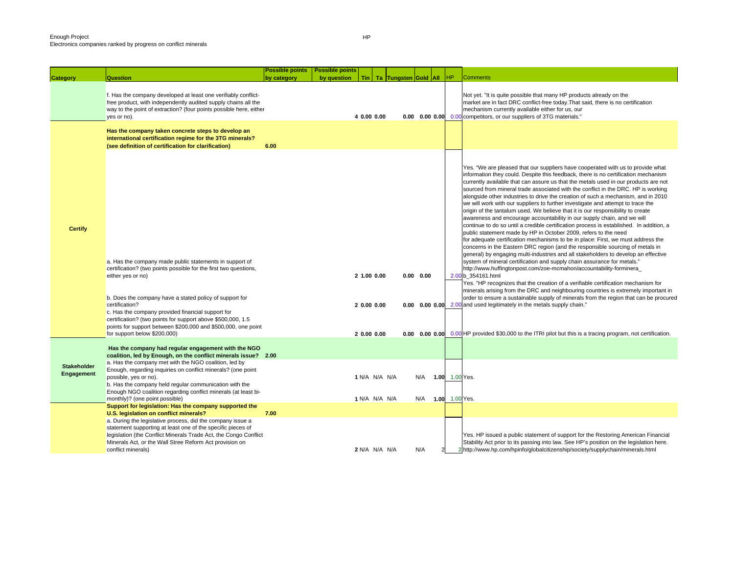|                                  |                                                                                                                                                                                                                                                                                                                                                                                                                                                    | <b>Possible points</b> | <b>Possible points</b> |                                         |  |                                                   |                |           |                                                                                                                                                                                                                                                                                                                                                                                                                                                                                                                                                                                                                                                                                                                                                                                                                                                                                                                                                                                                                                                                                                                                                                                                                                                                                                                                                                                                                                                                                                                                                                                                                                                                                                                                         |
|----------------------------------|----------------------------------------------------------------------------------------------------------------------------------------------------------------------------------------------------------------------------------------------------------------------------------------------------------------------------------------------------------------------------------------------------------------------------------------------------|------------------------|------------------------|-----------------------------------------|--|---------------------------------------------------|----------------|-----------|-----------------------------------------------------------------------------------------------------------------------------------------------------------------------------------------------------------------------------------------------------------------------------------------------------------------------------------------------------------------------------------------------------------------------------------------------------------------------------------------------------------------------------------------------------------------------------------------------------------------------------------------------------------------------------------------------------------------------------------------------------------------------------------------------------------------------------------------------------------------------------------------------------------------------------------------------------------------------------------------------------------------------------------------------------------------------------------------------------------------------------------------------------------------------------------------------------------------------------------------------------------------------------------------------------------------------------------------------------------------------------------------------------------------------------------------------------------------------------------------------------------------------------------------------------------------------------------------------------------------------------------------------------------------------------------------------------------------------------------------|
| Category                         | <b>Question</b>                                                                                                                                                                                                                                                                                                                                                                                                                                    | by category            | by question            |                                         |  | Tin   Ta   Tungsten Gold   All                    | <b>HP</b>      |           | Comments                                                                                                                                                                                                                                                                                                                                                                                                                                                                                                                                                                                                                                                                                                                                                                                                                                                                                                                                                                                                                                                                                                                                                                                                                                                                                                                                                                                                                                                                                                                                                                                                                                                                                                                                |
|                                  | f. Has the company developed at least one verifiably conflict-<br>free product, with independently audited supply chains all the<br>way to the point of extraction? (four points possible here, either<br>yes or no).                                                                                                                                                                                                                              |                        |                        | 4 0.00 0.00                             |  |                                                   |                |           | Not yet. "It is quite possible that many HP products already on the<br>market are in fact DRC conflict-free today. That said, there is no certification<br>mechanism currently available either for us, our<br>0.00 0.00 0.00 0.00 competitors, or our suppliers of 3TG materials."                                                                                                                                                                                                                                                                                                                                                                                                                                                                                                                                                                                                                                                                                                                                                                                                                                                                                                                                                                                                                                                                                                                                                                                                                                                                                                                                                                                                                                                     |
|                                  | Has the company taken concrete steps to develop an<br>international certification regime for the 3TG minerals?<br>(see definition of certification for clarification)                                                                                                                                                                                                                                                                              | 6.00                   |                        |                                         |  |                                                   |                |           |                                                                                                                                                                                                                                                                                                                                                                                                                                                                                                                                                                                                                                                                                                                                                                                                                                                                                                                                                                                                                                                                                                                                                                                                                                                                                                                                                                                                                                                                                                                                                                                                                                                                                                                                         |
| <b>Certify</b>                   | a. Has the company made public statements in support of<br>certification? (two points possible for the first two questions,<br>either yes or no)<br>b. Does the company have a stated policy of support for<br>certification?<br>c. Has the company provided financial support for<br>certification? (two points for support above \$500,000, 1.5<br>points for support between \$200,000 and \$500,000, one point<br>for support below \$200,000) |                        |                        | 2 1.00 0.00<br>20.0000.00<br>20.0000.00 |  | $0.00 \quad 0.00$<br>$0.00 \quad 0.00 \quad 0.00$ |                |           | Yes. "We are pleased that our suppliers have cooperated with us to provide what<br>information they could. Despite this feedback, there is no certification mechanism<br>currently available that can assure us that the metals used in our products are not<br>sourced from mineral trade associated with the conflict in the DRC. HP is working<br>alongside other industries to drive the creation of such a mechanism, and in 2010<br>we will work with our suppliers to further investigate and attempt to trace the<br>origin of the tantalum used. We believe that it is our responsibility to create<br>awareness and encourage accountability in our supply chain, and we will<br>continue to do so until a credible certification process is established. In addition, a<br>public statement made by HP in October 2009, refers to the need<br>for adequate certification mechanisms to be in place: First, we must address the<br>concerns in the Eastern DRC region (and the responsible sourcing of metals in<br>general) by engaging multi-industries and all stakeholders to develop an effective<br>system of mineral certification and supply chain assurance for metals."<br>http://www.huffingtonpost.com/zoe-mcmahon/accountability-forminera_<br>2.00 b_354161.html<br>Yes. "HP recognizes that the creation of a verifiable certification mechanism for<br>minerals arising from the DRC and neighbouring countries is extremely important in<br>order to ensure a sustainable supply of minerals from the region that can be procured<br>0.00 0.00 0.00 2.00 and used legitimately in the metals supply chain."<br>0.00 HP provided \$30,000 to the ITRI pilot but this is a tracing program, not certification. |
|                                  | Has the company had regular engagement with the NGO<br>coalition, led by Enough, on the conflict minerals issue? 2.00                                                                                                                                                                                                                                                                                                                              |                        |                        |                                         |  |                                                   |                |           |                                                                                                                                                                                                                                                                                                                                                                                                                                                                                                                                                                                                                                                                                                                                                                                                                                                                                                                                                                                                                                                                                                                                                                                                                                                                                                                                                                                                                                                                                                                                                                                                                                                                                                                                         |
| <b>Stakeholder</b><br>Engagement | a. Has the company met with the NGO coalition, led by<br>Enough, regarding inquiries on conflict minerals? (one point<br>possible, yes or no).<br>b. Has the company held regular communication with the<br>Enough NGO coalition regarding conflict minerals (at least bi-                                                                                                                                                                         |                        |                        | 1 N/A N/A N/A                           |  | N/A                                               | 1.00 1.00 Yes. |           |                                                                                                                                                                                                                                                                                                                                                                                                                                                                                                                                                                                                                                                                                                                                                                                                                                                                                                                                                                                                                                                                                                                                                                                                                                                                                                                                                                                                                                                                                                                                                                                                                                                                                                                                         |
|                                  | monthly)? (one point possible)<br>Support for legislation: Has the company supported the<br>U.S. legislation on conflict minerals?                                                                                                                                                                                                                                                                                                                 | 7.00                   |                        | 1 N/A N/A N/A                           |  | N/A                                               | 1.00           | 1.00 Yes. |                                                                                                                                                                                                                                                                                                                                                                                                                                                                                                                                                                                                                                                                                                                                                                                                                                                                                                                                                                                                                                                                                                                                                                                                                                                                                                                                                                                                                                                                                                                                                                                                                                                                                                                                         |
|                                  | a. During the legislative process, did the company issue a<br>statement supporting at least one of the specific pieces of<br>legislation (the Conflict Minerals Trade Act, the Congo Conflict<br>Minerals Act, or the Wall Stree Reform Act provision on<br>conflict minerals)                                                                                                                                                                     |                        |                        | 2 N/A N/A N/A                           |  | N/A                                               |                |           | Yes. HP issued a public statement of support for the Restoring American Financial<br>Stability Act prior to its passing into law. See HP's position on the legislation here.<br>2 http://www.hp.com/hpinfo/globalcitizenship/society/supplychain/minerals.html                                                                                                                                                                                                                                                                                                                                                                                                                                                                                                                                                                                                                                                                                                                                                                                                                                                                                                                                                                                                                                                                                                                                                                                                                                                                                                                                                                                                                                                                          |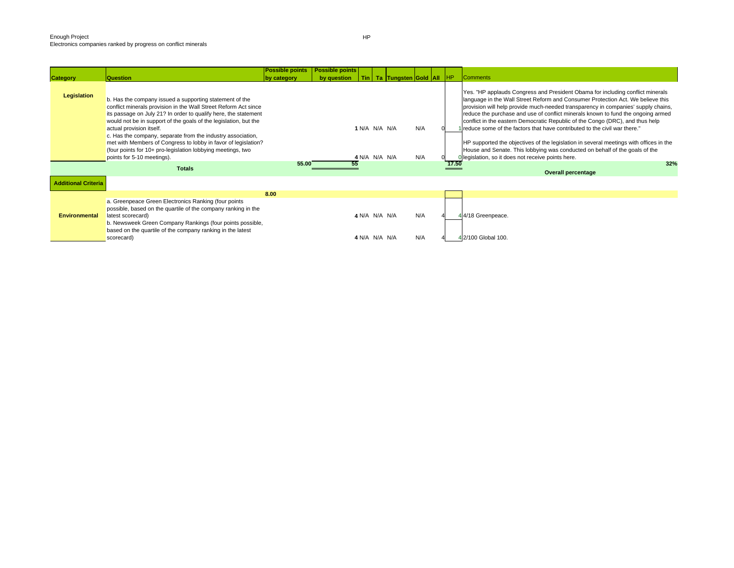|                            |                                                                                                                                                                                                                                                                                                                                                                                                                                                                                                                             | <b>Possible points</b> | <b>Possible points</b> |                                |                                   |            |       |                                                                                                                                                                                                                                                                                                                                                                                                                                                                                                                                                                                                                                                                                                                                        |
|----------------------------|-----------------------------------------------------------------------------------------------------------------------------------------------------------------------------------------------------------------------------------------------------------------------------------------------------------------------------------------------------------------------------------------------------------------------------------------------------------------------------------------------------------------------------|------------------------|------------------------|--------------------------------|-----------------------------------|------------|-------|----------------------------------------------------------------------------------------------------------------------------------------------------------------------------------------------------------------------------------------------------------------------------------------------------------------------------------------------------------------------------------------------------------------------------------------------------------------------------------------------------------------------------------------------------------------------------------------------------------------------------------------------------------------------------------------------------------------------------------------|
| <b>Category</b>            | <b>Question</b>                                                                                                                                                                                                                                                                                                                                                                                                                                                                                                             | by category            | by question            |                                | Tin   Ta Tungsten Gold   All   HP |            |       | <b>Comments</b>                                                                                                                                                                                                                                                                                                                                                                                                                                                                                                                                                                                                                                                                                                                        |
| Legislation                | b. Has the company issued a supporting statement of the<br>conflict minerals provision in the Wall Street Reform Act since<br>its passage on July 21? In order to qualify here, the statement<br>would not be in support of the goals of the legislation, but the<br>actual provision itself.<br>c. Has the company, separate from the industry association,<br>met with Members of Congress to lobby in favor of legislation?<br>(four points for 10+ pro-legislation lobbying meetings, two<br>points for 5-10 meetings). |                        |                        | 1 N/A N/A N/A<br>4 N/A N/A N/A |                                   | N/A<br>N/A |       | Yes. "HP applauds Congress and President Obama for including conflict minerals<br>language in the Wall Street Reform and Consumer Protection Act. We believe this<br>provision will help provide much-needed transparency in companies' supply chains,<br>reduce the purchase and use of conflict minerals known to fund the ongoing armed<br>conflict in the eastern Democratic Republic of the Congo (DRC), and thus help<br>reduce some of the factors that have contributed to the civil war there."<br>HP supported the objectives of the legislation in several meetings with offices in the<br>House and Senate. This lobbying was conducted on behalf of the goals of the<br>Dlegislation, so it does not receive points here. |
|                            | <b>Totals</b>                                                                                                                                                                                                                                                                                                                                                                                                                                                                                                               | 55.00                  | 55                     |                                |                                   |            | 17.50 | 32%<br><b>Overall percentage</b>                                                                                                                                                                                                                                                                                                                                                                                                                                                                                                                                                                                                                                                                                                       |
| <b>Additional Criteria</b> |                                                                                                                                                                                                                                                                                                                                                                                                                                                                                                                             |                        |                        |                                |                                   |            |       |                                                                                                                                                                                                                                                                                                                                                                                                                                                                                                                                                                                                                                                                                                                                        |
|                            |                                                                                                                                                                                                                                                                                                                                                                                                                                                                                                                             | 8.00                   |                        |                                |                                   |            |       |                                                                                                                                                                                                                                                                                                                                                                                                                                                                                                                                                                                                                                                                                                                                        |
| <b>Environmental</b>       | a. Greenpeace Green Electronics Ranking (four points<br>possible, based on the quartile of the company ranking in the<br>latest scorecard)<br>b. Newsweek Green Company Rankings (four points possible,<br>based on the quartile of the company ranking in the latest<br>scorecard)                                                                                                                                                                                                                                         |                        |                        | 4 N/A N/A N/A<br>4 N/A N/A N/A |                                   | N/A<br>N/A |       | 44/18 Greenpeace.<br>42/100 Global 100.                                                                                                                                                                                                                                                                                                                                                                                                                                                                                                                                                                                                                                                                                                |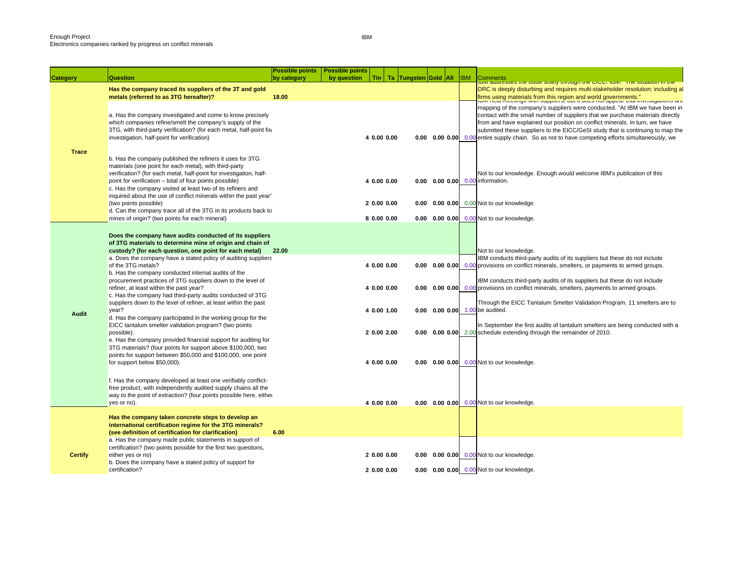|                |                                                                                                                                                                                                                                                                                                                     | <b>Possible points</b> | <b>Possible points</b> |                            |  |                                |                                                                                                                                                                                                                                                                                                                                                                                                                                         |
|----------------|---------------------------------------------------------------------------------------------------------------------------------------------------------------------------------------------------------------------------------------------------------------------------------------------------------------------|------------------------|------------------------|----------------------------|--|--------------------------------|-----------------------------------------------------------------------------------------------------------------------------------------------------------------------------------------------------------------------------------------------------------------------------------------------------------------------------------------------------------------------------------------------------------------------------------------|
| Category       | <b>Question</b>                                                                                                                                                                                                                                                                                                     | by category            | by question            |                            |  | Tin   Ta Tungsten Gold All IBM | <b>Comments</b><br><u>וסואן מעשופטאפט גוופ וטאטפ אטופוץ ווווטעשוו ווופ בוטט. וסואו. דוופ אונעמווטון ווו ווופ</u>                                                                                                                                                                                                                                                                                                                        |
|                | Has the company traced its suppliers of the 3T and gold<br>metals (referred to as 3TG hereafter)?                                                                                                                                                                                                                   | 18.00                  |                        |                            |  |                                | DRC is deeply disturbing and requires multi-stakeholder resolution; including al<br>firms using materials from this region and world governments."<br>The more modelings with supplicity, out it does not appear that investigations and                                                                                                                                                                                                |
|                | a. Has the company investigated and come to know precisely<br>which companies refine/smelt the company's supply of the<br>3TG, with third-party verification? (for each metal, half-point for<br>investigation, half-point for verification)                                                                        |                        |                        | 4 0.00 0.00                |  |                                | mapping of the company's suppliers were conducted. "At IBM we have been in<br>contact with the small number of suppliers that we purchase materials directly<br>from and have explained our position on conflict minerals. In turn, we have<br>submitted these suppliers to the EICC/GeSI study that is continuing to map the<br><b>0.00 0.00 0.00</b> 0.00 entire supply chain. So as not to have competing efforts simultaneously, we |
| <b>Trace</b>   | b. Has the company published the refiners it uses for 3TG<br>materials (one point for each metal), with third-party<br>verification? (for each metal, half-point for investigation, half-<br>point for verification - total of four points possible)<br>c. Has the company visited at least two of its refiners and |                        |                        | 4 0.00 0.00                |  |                                | Not to our knowledge. Enough would welcome IBM's publication of this<br>0.00 0.00 0.00 0.00 information.                                                                                                                                                                                                                                                                                                                                |
|                | inquired about the use of conflict minerals within the past year?<br>(two points possible)<br>d. Can the company trace all of the 3TG in its products back to                                                                                                                                                       |                        |                        | 20.0000.00                 |  |                                | 0.00 0.00 0.00 0.00 Not to our knowledge.                                                                                                                                                                                                                                                                                                                                                                                               |
|                | mines of origin? (two points for each mineral)                                                                                                                                                                                                                                                                      |                        |                        | 8 0.00 0.00                |  |                                | 0.00 0.00 0.00 0.00 Not to our knowledge.                                                                                                                                                                                                                                                                                                                                                                                               |
|                | Does the company have audits conducted of its suppliers<br>of 3TG materials to determine mine of origin and chain of<br>custody? (for each question, one point for each metal)<br>a. Does the company have a stated policy of auditing suppliers                                                                    | 22.00                  |                        |                            |  |                                | Not to our knowledge.<br>IBM conducts third-party audits of its suppliers but these do not include                                                                                                                                                                                                                                                                                                                                      |
|                | of the 3TG metals?<br>b. Has the company conducted internal audits of the<br>procurement practices of 3TG suppliers down to the level of<br>refiner, at least within the past year?                                                                                                                                 |                        |                        | 4 0.00 0.00<br>4 0.00 0.00 |  |                                | 0.00 0.00 0.00 0.00 provisions on conflict minerals, smelters, or payments to armed groups.<br>IBM conducts third-party audits of its suppliers but these do not include<br><b>0.00 0.00 0.00</b> 0.00 provisions on conflict minerals, smelters, payments to armed groups.                                                                                                                                                             |
|                | c. Has the company had third-party audits conducted of 3TG<br>suppliers down to the level of refiner, at least within the past<br>year?                                                                                                                                                                             |                        |                        | 4 0.00 1.00                |  |                                | Through the EICC Tantalum Smelter Validation Program. 11 smelters are to<br><b>0.00 0.00 0.00</b> 1.00 be audited.                                                                                                                                                                                                                                                                                                                      |
| <b>Audit</b>   | d. Has the company participated in the working group for the<br>EICC tantalum smelter validation program? (two points<br>possible).                                                                                                                                                                                 |                        |                        | 2 0.00 2.00                |  |                                | In September the first audits of tantalum smelters are being conducted with a<br>0.00 0.00 0.00 2.00 schedule extending through the remainder of 2010.                                                                                                                                                                                                                                                                                  |
|                | e. Has the company provided financial support for auditing for<br>3TG materials? (four points for support above \$100,000, two<br>points for support between \$50,000 and \$100,000, one point                                                                                                                      |                        |                        |                            |  |                                |                                                                                                                                                                                                                                                                                                                                                                                                                                         |
|                | for support below \$50,000).                                                                                                                                                                                                                                                                                        |                        |                        | 4 0.00 0.00                |  |                                | 0.00 0.00 0.00 0.00 Not to our knowledge.                                                                                                                                                                                                                                                                                                                                                                                               |
|                | f. Has the company developed at least one verifiably conflict-<br>free product, with independently audited supply chains all the<br>way to the point of extraction? (four points possible here, either<br>yes or no).                                                                                               |                        |                        | 4 0.00 0.00                |  |                                | 0.00 0.00 0.00 0.00 Not to our knowledge.                                                                                                                                                                                                                                                                                                                                                                                               |
|                |                                                                                                                                                                                                                                                                                                                     |                        |                        |                            |  |                                |                                                                                                                                                                                                                                                                                                                                                                                                                                         |
|                | Has the company taken concrete steps to develop an<br>international certification regime for the 3TG minerals?<br>(see definition of certification for clarification)                                                                                                                                               | 6.00                   |                        |                            |  |                                |                                                                                                                                                                                                                                                                                                                                                                                                                                         |
|                | a. Has the company made public statements in support of                                                                                                                                                                                                                                                             |                        |                        |                            |  |                                |                                                                                                                                                                                                                                                                                                                                                                                                                                         |
|                | certification? (two points possible for the first two questions,                                                                                                                                                                                                                                                    |                        |                        |                            |  |                                |                                                                                                                                                                                                                                                                                                                                                                                                                                         |
| <b>Certify</b> | either yes or no)<br>b. Does the company have a stated policy of support for                                                                                                                                                                                                                                        |                        |                        | 2 0.00 0.00                |  |                                | 0.00 0.00 0.00 0.00 Not to our knowledge.                                                                                                                                                                                                                                                                                                                                                                                               |
|                | certification?                                                                                                                                                                                                                                                                                                      |                        |                        | 2 0.00 0.00                |  |                                | 0.00 0.00 0.00 0.00 Not to our knowledge.                                                                                                                                                                                                                                                                                                                                                                                               |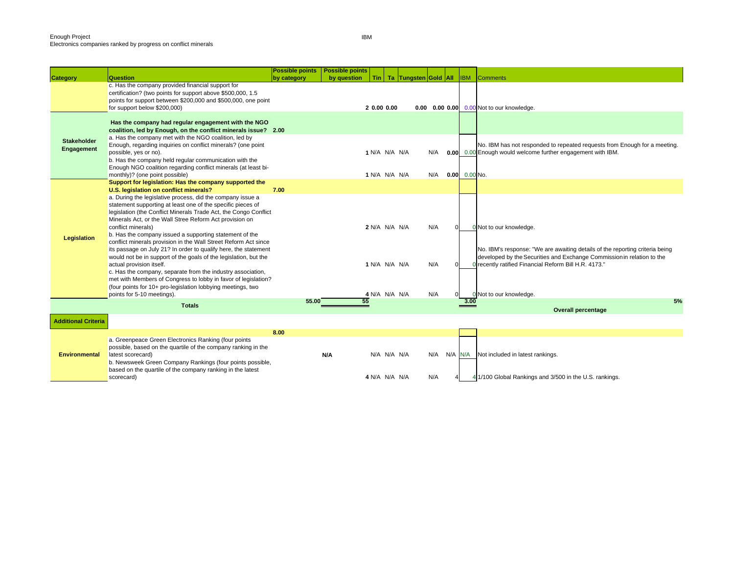|                            | Question                                                                                         | <b>Possible points</b> | <b>Possible points</b> | Tin I               | Ta Tungsten Gold All |     | <b>IBM</b>      | Comments                                                                                                                                 |
|----------------------------|--------------------------------------------------------------------------------------------------|------------------------|------------------------|---------------------|----------------------|-----|-----------------|------------------------------------------------------------------------------------------------------------------------------------------|
| <b>Category</b>            | c. Has the company provided financial support for                                                | by category            | by question            |                     |                      |     |                 |                                                                                                                                          |
|                            | certification? (two points for support above \$500,000, 1.5                                      |                        |                        |                     |                      |     |                 |                                                                                                                                          |
|                            | points for support between \$200,000 and \$500,000, one point                                    |                        |                        |                     |                      |     |                 |                                                                                                                                          |
|                            | for support below \$200,000)                                                                     |                        |                        | 2 0.00 0.00         |                      |     |                 | 0.00 0.00 0.00 0.00 Not to our knowledge.                                                                                                |
|                            | Has the company had regular engagement with the NGO                                              |                        |                        |                     |                      |     |                 |                                                                                                                                          |
|                            | coalition, led by Enough, on the conflict minerals issue? 2.00                                   |                        |                        |                     |                      |     |                 |                                                                                                                                          |
| <b>Stakeholder</b>         | a. Has the company met with the NGO coalition, led by                                            |                        |                        |                     |                      |     |                 |                                                                                                                                          |
| Engagement                 | Enough, regarding inquiries on conflict minerals? (one point<br>possible, yes or no).            |                        |                        | 1 N/A N/A N/A       |                      | N/A |                 | No. IBM has not responded to repeated requests from Enough for a meeting.<br>0.00 0.00 Enough would welcome further engagement with IBM. |
|                            | b. Has the company held regular communication with the                                           |                        |                        |                     |                      |     |                 |                                                                                                                                          |
|                            | Enough NGO coalition regarding conflict minerals (at least bi-                                   |                        |                        |                     |                      |     |                 |                                                                                                                                          |
|                            | monthly)? (one point possible)                                                                   |                        |                        | 1 N/A N/A N/A       |                      | N/A | $0.00$ 0.00 No. |                                                                                                                                          |
|                            | Support for legislation: Has the company supported the<br>U.S. legislation on conflict minerals? | 7.00                   |                        |                     |                      |     |                 |                                                                                                                                          |
|                            | a. During the legislative process, did the company issue a                                       |                        |                        |                     |                      |     |                 |                                                                                                                                          |
|                            | statement supporting at least one of the specific pieces of                                      |                        |                        |                     |                      |     |                 |                                                                                                                                          |
|                            | legislation (the Conflict Minerals Trade Act, the Congo Conflict                                 |                        |                        |                     |                      |     |                 |                                                                                                                                          |
|                            | Minerals Act, or the Wall Stree Reform Act provision on<br>conflict minerals)                    |                        |                        | 2 N/A N/A N/A       |                      | N/A |                 | 0 Not to our knowledge.                                                                                                                  |
|                            | b. Has the company issued a supporting statement of the                                          |                        |                        |                     |                      |     |                 |                                                                                                                                          |
| <b>Legislation</b>         | conflict minerals provision in the Wall Street Reform Act since                                  |                        |                        |                     |                      |     |                 |                                                                                                                                          |
|                            | its passage on July 21? In order to qualify here, the statement                                  |                        |                        |                     |                      |     |                 | No. IBM's response: "We are awaiting details of the reporting criteria being                                                             |
|                            | would not be in support of the goals of the legislation, but the                                 |                        |                        |                     |                      |     |                 | developed by the Securities and Exchange Commission in relation to the                                                                   |
|                            | actual provision itself.<br>c. Has the company, separate from the industry association,          |                        |                        | 1 N/A N/A N/A       |                      | N/A |                 | recently ratified Financial Reform Bill H.R. 4173."                                                                                      |
|                            | met with Members of Congress to lobby in favor of legislation?                                   |                        |                        |                     |                      |     |                 |                                                                                                                                          |
|                            | (four points for 10+ pro-legislation lobbying meetings, two                                      |                        |                        |                     |                      |     |                 |                                                                                                                                          |
|                            | points for 5-10 meetings).                                                                       | 55.00                  |                        | 4 N/A N/A N/A<br>55 |                      | N/A | 3.00            | 0 Not to our knowledge.<br>5%                                                                                                            |
|                            | <b>Totals</b>                                                                                    |                        |                        |                     |                      |     |                 | <b>Overall percentage</b>                                                                                                                |
|                            |                                                                                                  |                        |                        |                     |                      |     |                 |                                                                                                                                          |
| <b>Additional Criteria</b> |                                                                                                  |                        |                        |                     |                      |     |                 |                                                                                                                                          |
|                            | a. Greenpeace Green Electronics Ranking (four points                                             | 8.00                   |                        |                     |                      |     |                 |                                                                                                                                          |
|                            | possible, based on the quartile of the company ranking in the                                    |                        |                        |                     |                      |     |                 |                                                                                                                                          |
| <b>Environmental</b>       | latest scorecard)                                                                                |                        | N/A                    | N/A N/A N/A         |                      | N/A |                 | N/A N/A Not included in latest rankings.                                                                                                 |
|                            | b. Newsweek Green Company Rankings (four points possible,                                        |                        |                        |                     |                      |     |                 |                                                                                                                                          |
|                            | based on the quartile of the company ranking in the latest                                       |                        |                        |                     |                      |     |                 |                                                                                                                                          |
|                            | scorecard)                                                                                       |                        |                        | 4 N/A N/A N/A       |                      | N/A |                 | 4 1/100 Global Rankings and 3/500 in the U.S. rankings.                                                                                  |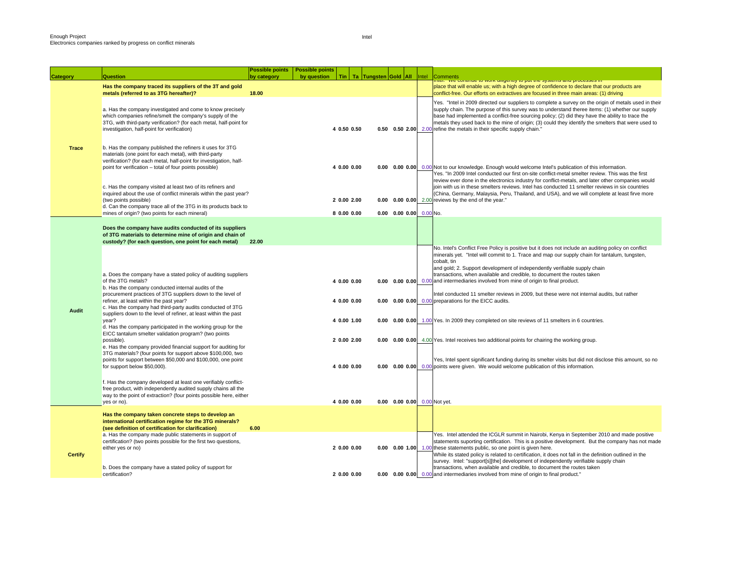|                 | Question                                                                                                                                                                                                                                                                                                                                                                                                                                                                                                                                                                                                                                                                                                                                                                                                                                                                                                                                                                                           | <b>Possible points</b><br>by category | <b>Possible points</b><br>by question<br>Tin                                           |                          |                                                                              | Intel | Comments                                                                                                                                                                                                                                                                                                                                                                                                                                                                                                                                                                                                                                                                                                                                                                                                                                                                                                                                                                                               |
|-----------------|----------------------------------------------------------------------------------------------------------------------------------------------------------------------------------------------------------------------------------------------------------------------------------------------------------------------------------------------------------------------------------------------------------------------------------------------------------------------------------------------------------------------------------------------------------------------------------------------------------------------------------------------------------------------------------------------------------------------------------------------------------------------------------------------------------------------------------------------------------------------------------------------------------------------------------------------------------------------------------------------------|---------------------------------------|----------------------------------------------------------------------------------------|--------------------------|------------------------------------------------------------------------------|-------|--------------------------------------------------------------------------------------------------------------------------------------------------------------------------------------------------------------------------------------------------------------------------------------------------------------------------------------------------------------------------------------------------------------------------------------------------------------------------------------------------------------------------------------------------------------------------------------------------------------------------------------------------------------------------------------------------------------------------------------------------------------------------------------------------------------------------------------------------------------------------------------------------------------------------------------------------------------------------------------------------------|
| <b>Category</b> |                                                                                                                                                                                                                                                                                                                                                                                                                                                                                                                                                                                                                                                                                                                                                                                                                                                                                                                                                                                                    |                                       |                                                                                        | Ta   Tungsten Gold   All |                                                                              |       | nei. vve commune to work unigerity to put the systems and processes in                                                                                                                                                                                                                                                                                                                                                                                                                                                                                                                                                                                                                                                                                                                                                                                                                                                                                                                                 |
|                 | Has the company traced its suppliers of the 3T and gold                                                                                                                                                                                                                                                                                                                                                                                                                                                                                                                                                                                                                                                                                                                                                                                                                                                                                                                                            |                                       |                                                                                        |                          |                                                                              |       | place that will enable us; with a high degree of confidence to declare that our products are                                                                                                                                                                                                                                                                                                                                                                                                                                                                                                                                                                                                                                                                                                                                                                                                                                                                                                           |
|                 | metals (referred to as 3TG hereafter)?                                                                                                                                                                                                                                                                                                                                                                                                                                                                                                                                                                                                                                                                                                                                                                                                                                                                                                                                                             | 18.00                                 |                                                                                        |                          |                                                                              |       | conflict-free. Our efforts on extractives are focused in three main areas: (1) driving                                                                                                                                                                                                                                                                                                                                                                                                                                                                                                                                                                                                                                                                                                                                                                                                                                                                                                                 |
|                 | a. Has the company investigated and come to know precisely<br>which companies refine/smelt the company's supply of the<br>3TG, with third-party verification? (for each metal, half-point for<br>investigation, half-point for verification)                                                                                                                                                                                                                                                                                                                                                                                                                                                                                                                                                                                                                                                                                                                                                       |                                       | 4 0.50 0.50                                                                            |                          |                                                                              |       | Yes. "Intel in 2009 directed our suppliers to complete a survey on the origin of metals used in their<br>supply chain. The purpose of this survey was to understand theree items: (1) whether our supply<br>base had implemented a conflict-free sourcing policy; (2) did they have the ability to trace the<br>metals they used back to the mine of origin; (3) could they identify the smelters that were used to<br>0.50 0.50 2.00 2.00 refine the metals in their specific supply chain."                                                                                                                                                                                                                                                                                                                                                                                                                                                                                                          |
| <b>Trace</b>    | b. Has the company published the refiners it uses for 3TG<br>materials (one point for each metal), with third-party<br>verification? (for each metal, half-point for investigation, half-<br>point for verification - total of four points possible)                                                                                                                                                                                                                                                                                                                                                                                                                                                                                                                                                                                                                                                                                                                                               |                                       | 4 0.00 0.00                                                                            |                          |                                                                              |       | 0.00 0.00 0.00 0.00 Not to our knowledge. Enough would welcome Intel's publication of this information.<br>Yes. "In 2009 Intel conducted our first on-site conflict-metal smelter review. This was the first                                                                                                                                                                                                                                                                                                                                                                                                                                                                                                                                                                                                                                                                                                                                                                                           |
|                 | c. Has the company visited at least two of its refiners and<br>inquired about the use of conflict minerals within the past year?<br>(two points possible)<br>d. Can the company trace all of the 3TG in its products back to<br>mines of origin? (two points for each mineral)                                                                                                                                                                                                                                                                                                                                                                                                                                                                                                                                                                                                                                                                                                                     |                                       | 2 0.00 2.00<br>8 0.00 0.00                                                             |                          | $0.00$ 0.00 0.00 0.00 No.                                                    |       | review ever done in the electronics industry for conflict-metals, and later other companies would<br>join with us in these smelters reviews. Intel has conducted 11 smelter reviews in six countries<br>(China, Germany, Malaysia, Peru, Thailand, and USA), and we will complete at least firve more<br>0.00 0.00 0.00 2.00 reviews by the end of the year."                                                                                                                                                                                                                                                                                                                                                                                                                                                                                                                                                                                                                                          |
|                 |                                                                                                                                                                                                                                                                                                                                                                                                                                                                                                                                                                                                                                                                                                                                                                                                                                                                                                                                                                                                    |                                       |                                                                                        |                          |                                                                              |       |                                                                                                                                                                                                                                                                                                                                                                                                                                                                                                                                                                                                                                                                                                                                                                                                                                                                                                                                                                                                        |
|                 | Does the company have audits conducted of its suppliers<br>of 3TG materials to determine mine of origin and chain of<br>custody? (for each question, one point for each metal)                                                                                                                                                                                                                                                                                                                                                                                                                                                                                                                                                                                                                                                                                                                                                                                                                     | 22.00                                 |                                                                                        |                          |                                                                              |       |                                                                                                                                                                                                                                                                                                                                                                                                                                                                                                                                                                                                                                                                                                                                                                                                                                                                                                                                                                                                        |
| Audit           | a. Does the company have a stated policy of auditing suppliers<br>of the 3TG metals?<br>b. Has the company conducted internal audits of the<br>procurement practices of 3TG suppliers down to the level of<br>refiner, at least within the past year?<br>c. Has the company had third-party audits conducted of 3TG<br>suppliers down to the level of refiner, at least within the past<br>year?<br>d. Has the company participated in the working group for the<br>EICC tantalum smelter validation program? (two points<br>possible).<br>e. Has the company provided financial support for auditing for<br>3TG materials? (four points for support above \$100,000, two<br>points for support between \$50,000 and \$100,000, one point<br>for support below \$50,000).<br>f. Has the company developed at least one verifiably conflict-<br>free product, with independently audited supply chains all the<br>way to the point of extraction? (four points possible here, either<br>yes or no). |                                       | 4 0.00 0.00<br>4 0.00 0.00<br>4 0.00 1.00<br>2 0.00 2.00<br>4 0.00 0.00<br>4 0.00 0.00 |                          | $0.00$ $0.00$ $0.00$<br>$0.00$ $0.00$ $0.00$<br>0.00 0.00 0.00 0.00 Not yet. |       | No. Intel's Conflict Free Policy is positive but it does not include an auditing policy on conflict<br>minerals yet. "Intel will commit to 1. Trace and map our supply chain for tantalum, tungsten,<br>cobalt, tin<br>and gold; 2. Support development of independently verifiable supply chain<br>transactions, when available and credible, to document the routes taken<br>0.00 0.00 0.00 0.00 and intermediaries involved from mine of origin to final product.<br>Intel conducted 11 smelter reviews in 2009, but these were not internal audits, but rather<br>0.00 preparations for the EICC audits.<br>0.00 0.00 0.00 1.00 Yes. In 2009 they completed on site reviews of 11 smelters in 6 countries.<br>0.00 0.00 0.00 4.00 Yes. Intel receives two additional points for chairing the working group.<br>Yes, Intel spent significant funding during its smelter visits but did not disclose this amount, so no<br>0.00 points were given. We would welcome publication of this information. |
|                 |                                                                                                                                                                                                                                                                                                                                                                                                                                                                                                                                                                                                                                                                                                                                                                                                                                                                                                                                                                                                    |                                       |                                                                                        |                          |                                                                              |       |                                                                                                                                                                                                                                                                                                                                                                                                                                                                                                                                                                                                                                                                                                                                                                                                                                                                                                                                                                                                        |
|                 | Has the company taken concrete steps to develop an<br>international certification regime for the 3TG minerals?<br>(see definition of certification for clarification)                                                                                                                                                                                                                                                                                                                                                                                                                                                                                                                                                                                                                                                                                                                                                                                                                              | 6.00                                  |                                                                                        |                          |                                                                              |       |                                                                                                                                                                                                                                                                                                                                                                                                                                                                                                                                                                                                                                                                                                                                                                                                                                                                                                                                                                                                        |
| <b>Certify</b>  | a. Has the company made public statements in support of<br>certification? (two points possible for the first two questions,<br>either yes or no)                                                                                                                                                                                                                                                                                                                                                                                                                                                                                                                                                                                                                                                                                                                                                                                                                                                   |                                       | 2 0.00 0.00                                                                            |                          |                                                                              |       | Yes. Intel attended the ICGLR summit in Nairobi, Kenya in September 2010 and made positive<br>statements suporting certification. This is a positive development. But the company has not made<br>0.00 0.00 1.00 1.00 these statements public, so one point is given here.<br>While its stated policy is related to certification, it does not fall in the definition outlined in the<br>survey. Intel: "support[s][the] development of independently verifiable supply chain                                                                                                                                                                                                                                                                                                                                                                                                                                                                                                                          |
|                 | b. Does the company have a stated policy of support for<br>certification?                                                                                                                                                                                                                                                                                                                                                                                                                                                                                                                                                                                                                                                                                                                                                                                                                                                                                                                          |                                       | 2 0.00 0.00                                                                            |                          |                                                                              |       | transactions, when available and credible, to document the routes taken<br>0.00 0.00 0.00 0.00 and intermediaries involved from mine of origin to final product."                                                                                                                                                                                                                                                                                                                                                                                                                                                                                                                                                                                                                                                                                                                                                                                                                                      |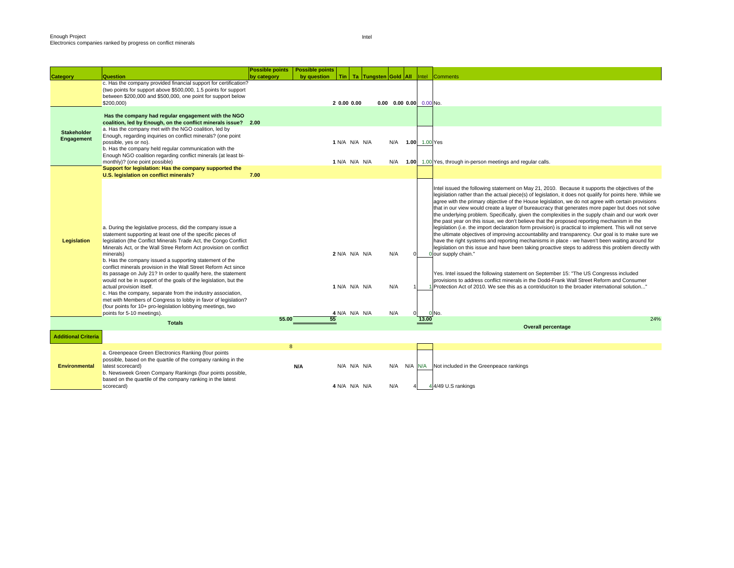|                                  |                                                                                                                                                                                                                                                                                                                                                                                                                                                                                                                                                                                                                                                                                                                                                                                                               | <b>Possible points</b> | <b>Possible points</b> |                                                 |             |                                |  |                                                                                                                                                                                                                                                                                                                                                                                                                                                                                                                                                                                                                                                                                                                                                                                                                                                                                                                                                                                                                                                                                                                                                                                                                                                                                                                                                                            |
|----------------------------------|---------------------------------------------------------------------------------------------------------------------------------------------------------------------------------------------------------------------------------------------------------------------------------------------------------------------------------------------------------------------------------------------------------------------------------------------------------------------------------------------------------------------------------------------------------------------------------------------------------------------------------------------------------------------------------------------------------------------------------------------------------------------------------------------------------------|------------------------|------------------------|-------------------------------------------------|-------------|--------------------------------|--|----------------------------------------------------------------------------------------------------------------------------------------------------------------------------------------------------------------------------------------------------------------------------------------------------------------------------------------------------------------------------------------------------------------------------------------------------------------------------------------------------------------------------------------------------------------------------------------------------------------------------------------------------------------------------------------------------------------------------------------------------------------------------------------------------------------------------------------------------------------------------------------------------------------------------------------------------------------------------------------------------------------------------------------------------------------------------------------------------------------------------------------------------------------------------------------------------------------------------------------------------------------------------------------------------------------------------------------------------------------------------|
| <b>Category</b>                  | Question                                                                                                                                                                                                                                                                                                                                                                                                                                                                                                                                                                                                                                                                                                                                                                                                      | by category            | by question            |                                                 |             | Tin   Ta   Tungsten Gold   All |  | Comments<br>Intel                                                                                                                                                                                                                                                                                                                                                                                                                                                                                                                                                                                                                                                                                                                                                                                                                                                                                                                                                                                                                                                                                                                                                                                                                                                                                                                                                          |
|                                  | c. Has the company provided financial support for certification?<br>(two points for support above \$500,000, 1.5 points for support<br>between \$200,000 and \$500,000, one point for support below<br>\$200,000)                                                                                                                                                                                                                                                                                                                                                                                                                                                                                                                                                                                             |                        |                        | 2 0.00 0.00                                     |             |                                |  | $0.00$ $0.00$ $0.00$ $0.00$ No.                                                                                                                                                                                                                                                                                                                                                                                                                                                                                                                                                                                                                                                                                                                                                                                                                                                                                                                                                                                                                                                                                                                                                                                                                                                                                                                                            |
|                                  | Has the company had regular engagement with the NGO<br>coalition, led by Enough, on the conflict minerals issue? 2.00                                                                                                                                                                                                                                                                                                                                                                                                                                                                                                                                                                                                                                                                                         |                        |                        |                                                 |             |                                |  |                                                                                                                                                                                                                                                                                                                                                                                                                                                                                                                                                                                                                                                                                                                                                                                                                                                                                                                                                                                                                                                                                                                                                                                                                                                                                                                                                                            |
| <b>Stakeholder</b><br>Engagement | a. Has the company met with the NGO coalition, led by<br>Enough, regarding inquiries on conflict minerals? (one point<br>possible, yes or no).<br>b. Has the company held regular communication with the                                                                                                                                                                                                                                                                                                                                                                                                                                                                                                                                                                                                      |                        |                        | 1 N/A N/A N/A                                   |             |                                |  | N/A 1.00 1.00 Yes                                                                                                                                                                                                                                                                                                                                                                                                                                                                                                                                                                                                                                                                                                                                                                                                                                                                                                                                                                                                                                                                                                                                                                                                                                                                                                                                                          |
|                                  | Enough NGO coalition regarding conflict minerals (at least bi-<br>monthly)? (one point possible)                                                                                                                                                                                                                                                                                                                                                                                                                                                                                                                                                                                                                                                                                                              |                        |                        | 1 N/A N/A N/A                                   |             | N/A                            |  | 1.00 1.00 Yes, through in-person meetings and regular calls.                                                                                                                                                                                                                                                                                                                                                                                                                                                                                                                                                                                                                                                                                                                                                                                                                                                                                                                                                                                                                                                                                                                                                                                                                                                                                                               |
|                                  | Support for legislation: Has the company supported the<br>U.S. legislation on conflict minerals?                                                                                                                                                                                                                                                                                                                                                                                                                                                                                                                                                                                                                                                                                                              | 7.00                   |                        |                                                 |             |                                |  |                                                                                                                                                                                                                                                                                                                                                                                                                                                                                                                                                                                                                                                                                                                                                                                                                                                                                                                                                                                                                                                                                                                                                                                                                                                                                                                                                                            |
| Legislation                      | a. During the legislative process, did the company issue a<br>statement supporting at least one of the specific pieces of<br>legislation (the Conflict Minerals Trade Act, the Congo Conflict<br>Minerals Act, or the Wall Stree Reform Act provision on conflict<br>minerals)<br>b. Has the company issued a supporting statement of the<br>conflict minerals provision in the Wall Street Reform Act since<br>its passage on July 21? In order to qualify here, the statement<br>would not be in support of the goals of the legislation, but the<br>actual provision itself.<br>c. Has the company, separate from the industry association,<br>met with Members of Congress to lobby in favor of legislation?<br>(four points for 10+ pro-legislation lobbying meetings, two<br>points for 5-10 meetings). |                        |                        | 2 N/A N/A N/A<br>1 N/A N/A N/A<br>4 N/A N/A N/A |             | N/A<br>N/A<br>N/A              |  | Intel issued the following statement on May 21, 2010. Because it supports the objectives of the<br>legislation rather than the actual piece(s) of legislation, it does not qualify for points here. While we<br>agree with the primary objective of the House legislation, we do not agree with certain provisions<br>that in our view would create a layer of bureaucracy that generates more paper but does not solve<br>the underlying problem. Specifically, given the complexities in the supply chain and our work over<br>the past year on this issue, we don't believe that the proposed reporting mechanism in the<br>legislation (i.e. the import declaration form provision) is practical to implement. This will not serve<br>the ultimate objectives of improving accountability and transparency. Our goal is to make sure we<br>have the right systems and reporting mechanisms in place - we haven't been waiting around for<br>legislation on this issue and have been taking proactive steps to address this problem directly with<br>our supply chain."<br>Yes. Intel issued the following statement on September 15: "The US Congresss included<br>provisions to address conflict minerals in the Dodd-Frank Wall Street Reform and Consumer<br>Protection Act of 2010. We see this as a contriduciton to the broader international solution'<br>0 No. |
|                                  | <b>Totals</b>                                                                                                                                                                                                                                                                                                                                                                                                                                                                                                                                                                                                                                                                                                                                                                                                 | 55.00                  |                        | 55                                              |             |                                |  | 24%<br>13.00                                                                                                                                                                                                                                                                                                                                                                                                                                                                                                                                                                                                                                                                                                                                                                                                                                                                                                                                                                                                                                                                                                                                                                                                                                                                                                                                                               |
|                                  |                                                                                                                                                                                                                                                                                                                                                                                                                                                                                                                                                                                                                                                                                                                                                                                                               |                        |                        |                                                 |             |                                |  | <b>Overall percentage</b>                                                                                                                                                                                                                                                                                                                                                                                                                                                                                                                                                                                                                                                                                                                                                                                                                                                                                                                                                                                                                                                                                                                                                                                                                                                                                                                                                  |
| <b>Additional Criteria</b>       |                                                                                                                                                                                                                                                                                                                                                                                                                                                                                                                                                                                                                                                                                                                                                                                                               |                        |                        |                                                 |             |                                |  |                                                                                                                                                                                                                                                                                                                                                                                                                                                                                                                                                                                                                                                                                                                                                                                                                                                                                                                                                                                                                                                                                                                                                                                                                                                                                                                                                                            |
| <b>Environmental</b>             | a. Greenpeace Green Electronics Ranking (four points<br>possible, based on the quartile of the company ranking in the<br>latest scorecard)<br>b. Newsweek Green Company Rankings (four points possible,<br>based on the quartile of the company ranking in the latest<br>scorecard)                                                                                                                                                                                                                                                                                                                                                                                                                                                                                                                           | 8                      | <b>N/A</b>             | 4 N/A N/A N/A                                   | N/A N/A N/A | N/A<br>N/A                     |  | N/A N/A Not included in the Greenpeace rankings<br>4/49 U.S rankings                                                                                                                                                                                                                                                                                                                                                                                                                                                                                                                                                                                                                                                                                                                                                                                                                                                                                                                                                                                                                                                                                                                                                                                                                                                                                                       |
|                                  |                                                                                                                                                                                                                                                                                                                                                                                                                                                                                                                                                                                                                                                                                                                                                                                                               |                        |                        |                                                 |             |                                |  |                                                                                                                                                                                                                                                                                                                                                                                                                                                                                                                                                                                                                                                                                                                                                                                                                                                                                                                                                                                                                                                                                                                                                                                                                                                                                                                                                                            |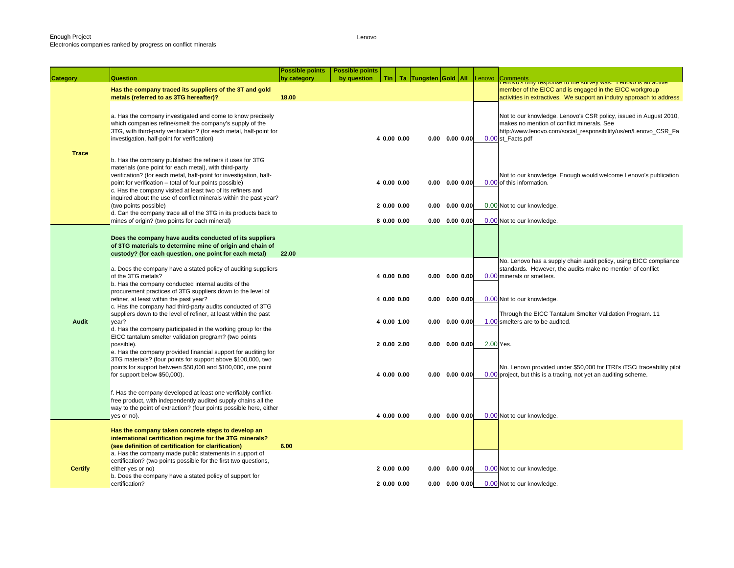Lenovo

|                | Question                                                                                                                         | <b>Possible points</b><br>by category | <b>Possible points</b><br>by question |             |  | Tin   Ta   Tungsten Gold   All |        | <b>Comments</b>                                                                                                                            |
|----------------|----------------------------------------------------------------------------------------------------------------------------------|---------------------------------------|---------------------------------------|-------------|--|--------------------------------|--------|--------------------------------------------------------------------------------------------------------------------------------------------|
| Category       |                                                                                                                                  |                                       |                                       |             |  |                                | Lenovo | Lenovo s only response to the survey was. Lenovo is an active                                                                              |
|                | Has the company traced its suppliers of the 3T and gold                                                                          | 18.00                                 |                                       |             |  |                                |        | member of the EICC and is engaged in the EICC workgroup                                                                                    |
|                | metals (referred to as 3TG hereafter)?                                                                                           |                                       |                                       |             |  |                                |        | activities in extractives. We support an indutry approach to address                                                                       |
|                |                                                                                                                                  |                                       |                                       |             |  |                                |        |                                                                                                                                            |
|                | a. Has the company investigated and come to know precisely<br>which companies refine/smelt the company's supply of the           |                                       |                                       |             |  |                                |        | Not to our knowledge. Lenovo's CSR policy, issued in August 2010,<br>makes no mention of conflict minerals. See                            |
|                | 3TG, with third-party verification? (for each metal, half-point for                                                              |                                       |                                       |             |  |                                |        | http://www.lenovo.com/social_responsibility/us/en/Lenovo_CSR_Fa                                                                            |
|                | investigation, half-point for verification)                                                                                      |                                       |                                       | 4 0.00 0.00 |  | $0.00$ $0.00$ $0.00$           |        | 0.00 st_Facts.pdf                                                                                                                          |
|                |                                                                                                                                  |                                       |                                       |             |  |                                |        |                                                                                                                                            |
| <b>Trace</b>   | b. Has the company published the refiners it uses for 3TG                                                                        |                                       |                                       |             |  |                                |        |                                                                                                                                            |
|                | materials (one point for each metal), with third-party                                                                           |                                       |                                       |             |  |                                |        |                                                                                                                                            |
|                | verification? (for each metal, half-point for investigation, half-                                                               |                                       |                                       |             |  |                                |        | Not to our knowledge. Enough would welcome Lenovo's publication                                                                            |
|                | point for verification - total of four points possible)                                                                          |                                       |                                       | 4 0.00 0.00 |  | $0.00 \quad 0.00 \quad 0.00$   |        | 0.00 of this information.                                                                                                                  |
|                | c. Has the company visited at least two of its refiners and<br>inquired about the use of conflict minerals within the past year? |                                       |                                       |             |  |                                |        |                                                                                                                                            |
|                | (two points possible)                                                                                                            |                                       |                                       | 20.0000.00  |  | $0.00$ $0.00$ $0.00$           |        | 0.00 Not to our knowledge.                                                                                                                 |
|                | d. Can the company trace all of the 3TG in its products back to                                                                  |                                       |                                       |             |  |                                |        |                                                                                                                                            |
|                | mines of origin? (two points for each mineral)                                                                                   |                                       |                                       | 80.0000.00  |  | $0.00 \quad 0.00 \quad 0.00$   |        | 0.00 Not to our knowledge.                                                                                                                 |
|                |                                                                                                                                  |                                       |                                       |             |  |                                |        |                                                                                                                                            |
|                | Does the company have audits conducted of its suppliers                                                                          |                                       |                                       |             |  |                                |        |                                                                                                                                            |
|                | of 3TG materials to determine mine of origin and chain of<br>custody? (for each question, one point for each metal)              | 22.00                                 |                                       |             |  |                                |        |                                                                                                                                            |
|                |                                                                                                                                  |                                       |                                       |             |  |                                |        | No. Lenovo has a supply chain audit policy, using EICC compliance                                                                          |
|                | a. Does the company have a stated policy of auditing suppliers                                                                   |                                       |                                       |             |  |                                |        | standards. However, the audits make no mention of conflict                                                                                 |
|                | of the 3TG metals?                                                                                                               |                                       |                                       | 4 0.00 0.00 |  | $0.00$ $0.00$ $0.00$           |        | 0.00 minerals or smelters.                                                                                                                 |
|                | b. Has the company conducted internal audits of the                                                                              |                                       |                                       |             |  |                                |        |                                                                                                                                            |
|                | procurement practices of 3TG suppliers down to the level of<br>refiner, at least within the past year?                           |                                       |                                       | 4 0.00 0.00 |  | $0.00$ $0.00$ $0.00$           |        | 0.00 Not to our knowledge.                                                                                                                 |
|                | c. Has the company had third-party audits conducted of 3TG                                                                       |                                       |                                       |             |  |                                |        |                                                                                                                                            |
|                | suppliers down to the level of refiner, at least within the past                                                                 |                                       |                                       |             |  |                                |        | Through the EICC Tantalum Smelter Validation Program. 11                                                                                   |
| Audit          | year?                                                                                                                            |                                       |                                       | 4 0.00 1.00 |  | $0.00 \quad 0.00 \quad 0.00$   |        | 1.00 smelters are to be audited.                                                                                                           |
|                | d. Has the company participated in the working group for the<br>EICC tantalum smelter validation program? (two points            |                                       |                                       |             |  |                                |        |                                                                                                                                            |
|                | possible).                                                                                                                       |                                       |                                       | 2 0.00 2.00 |  | $0.00 \quad 0.00 \quad 0.00$   |        | 2.00 Yes.                                                                                                                                  |
|                | e. Has the company provided financial support for auditing for                                                                   |                                       |                                       |             |  |                                |        |                                                                                                                                            |
|                | 3TG materials? (four points for support above \$100,000, two                                                                     |                                       |                                       |             |  |                                |        |                                                                                                                                            |
|                | points for support between \$50,000 and \$100,000, one point<br>for support below \$50,000).                                     |                                       |                                       | 4 0.00 0.00 |  | $0.00$ $0.00$ $0.00$           |        | No. Lenovo provided under \$50,000 for ITRI's iTSCi traceability pilot<br>0.00 project, but this is a tracing, not yet an auditing scheme. |
|                |                                                                                                                                  |                                       |                                       |             |  |                                |        |                                                                                                                                            |
|                | f. Has the company developed at least one verifiably conflict-                                                                   |                                       |                                       |             |  |                                |        |                                                                                                                                            |
|                | free product, with independently audited supply chains all the                                                                   |                                       |                                       |             |  |                                |        |                                                                                                                                            |
|                | way to the point of extraction? (four points possible here, either                                                               |                                       |                                       |             |  |                                |        |                                                                                                                                            |
|                | yes or no).                                                                                                                      |                                       |                                       | 4 0.00 0.00 |  | $0.00 \quad 0.00 \quad 0.00$   |        | 0.00 Not to our knowledge.                                                                                                                 |
|                | Has the company taken concrete steps to develop an                                                                               |                                       |                                       |             |  |                                |        |                                                                                                                                            |
|                | international certification regime for the 3TG minerals?                                                                         |                                       |                                       |             |  |                                |        |                                                                                                                                            |
|                | (see definition of certification for clarification)                                                                              | 6.00                                  |                                       |             |  |                                |        |                                                                                                                                            |
|                | a. Has the company made public statements in support of                                                                          |                                       |                                       |             |  |                                |        |                                                                                                                                            |
|                | certification? (two points possible for the first two questions,                                                                 |                                       |                                       |             |  |                                |        |                                                                                                                                            |
| <b>Certify</b> | either yes or no)<br>b. Does the company have a stated policy of support for                                                     |                                       |                                       | 20.0000.00  |  | $0.00$ $0.00$ $0.00$           |        | 0.00 Not to our knowledge.                                                                                                                 |
|                | certification?                                                                                                                   |                                       |                                       | 20.0000.00  |  | $0.00 \quad 0.00 \quad 0.00$   |        | 0.00 Not to our knowledge.                                                                                                                 |
|                |                                                                                                                                  |                                       |                                       |             |  |                                |        |                                                                                                                                            |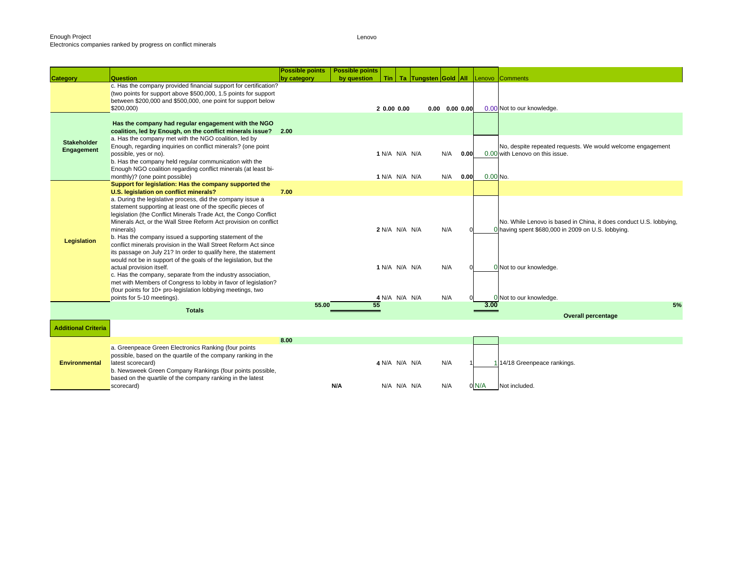|                                  |                                                                                                                                                                                                                                                                                                                                                                                                                                                                                                                                                                                 | <b>Possible points</b> | <b>Possible points</b> |                                |             |                                |                              |      |            |                                                                                                                                                     |
|----------------------------------|---------------------------------------------------------------------------------------------------------------------------------------------------------------------------------------------------------------------------------------------------------------------------------------------------------------------------------------------------------------------------------------------------------------------------------------------------------------------------------------------------------------------------------------------------------------------------------|------------------------|------------------------|--------------------------------|-------------|--------------------------------|------------------------------|------|------------|-----------------------------------------------------------------------------------------------------------------------------------------------------|
| <b>Category</b>                  | <b>Question</b>                                                                                                                                                                                                                                                                                                                                                                                                                                                                                                                                                                 | by category            | by question            |                                |             | Tin   Ta   Tungsten Gold   All |                              |      |            | Lenovo Comments                                                                                                                                     |
|                                  | c. Has the company provided financial support for certification?<br>(two points for support above \$500,000, 1.5 points for support<br>between \$200,000 and \$500,000, one point for support below<br>\$200,000)                                                                                                                                                                                                                                                                                                                                                               |                        |                        | 20.0000.00                     |             |                                | $0.00 \quad 0.00 \quad 0.00$ |      |            | 0.00 Not to our knowledge.                                                                                                                          |
|                                  | Has the company had regular engagement with the NGO<br>coalition, led by Enough, on the conflict minerals issue? 2.00<br>a. Has the company met with the NGO coalition, led by                                                                                                                                                                                                                                                                                                                                                                                                  |                        |                        |                                |             |                                |                              |      |            |                                                                                                                                                     |
| <b>Stakeholder</b><br>Engagement | Enough, regarding inquiries on conflict minerals? (one point<br>possible, yes or no).<br>b. Has the company held regular communication with the<br>Enough NGO coalition regarding conflict minerals (at least bi-                                                                                                                                                                                                                                                                                                                                                               |                        |                        | 1 N/A N/A N/A                  |             |                                | N/A                          | 0.00 |            | No, despite repeated requests. We would welcome engagement<br>0.00 with Lenovo on this issue.                                                       |
|                                  | monthly)? (one point possible)                                                                                                                                                                                                                                                                                                                                                                                                                                                                                                                                                  |                        |                        | 1 N/A N/A N/A                  |             |                                | N/A                          | 0.00 | $0.00$ No. |                                                                                                                                                     |
|                                  | Support for legislation: Has the company supported the                                                                                                                                                                                                                                                                                                                                                                                                                                                                                                                          |                        |                        |                                |             |                                |                              |      |            |                                                                                                                                                     |
|                                  | U.S. legislation on conflict minerals?                                                                                                                                                                                                                                                                                                                                                                                                                                                                                                                                          | 7.00                   |                        |                                |             |                                |                              |      |            |                                                                                                                                                     |
| Legislation                      | a. During the legislative process, did the company issue a<br>statement supporting at least one of the specific pieces of<br>legislation (the Conflict Minerals Trade Act, the Congo Conflict<br>Minerals Act, or the Wall Stree Reform Act provision on conflict<br>minerals)<br>b. Has the company issued a supporting statement of the<br>conflict minerals provision in the Wall Street Reform Act since<br>its passage on July 21? In order to qualify here, the statement<br>would not be in support of the goals of the legislation, but the<br>actual provision itself. |                        |                        | 2 N/A N/A N/A<br>1 N/A N/A N/A |             |                                | N/A<br>N/A                   |      |            | No. While Lenovo is based in China, it does conduct U.S. lobbying,<br>0 having spent \$680,000 in 2009 on U.S. lobbying.<br>0 Not to our knowledge. |
|                                  | c. Has the company, separate from the industry association,<br>met with Members of Congress to lobby in favor of legislation?<br>(four points for 10+ pro-legislation lobbying meetings, two<br>points for 5-10 meetings).                                                                                                                                                                                                                                                                                                                                                      |                        |                        | 4 N/A N/A N/A                  |             |                                | N/A                          |      |            | 0 Not to our knowledge.                                                                                                                             |
|                                  | <b>Totals</b>                                                                                                                                                                                                                                                                                                                                                                                                                                                                                                                                                                   | 55.00                  | 55                     |                                |             |                                |                              |      | 3.00       | 5%                                                                                                                                                  |
|                                  |                                                                                                                                                                                                                                                                                                                                                                                                                                                                                                                                                                                 |                        |                        |                                |             |                                |                              |      |            | <b>Overall percentage</b>                                                                                                                           |
| <b>Additional Criteria</b>       |                                                                                                                                                                                                                                                                                                                                                                                                                                                                                                                                                                                 |                        |                        |                                |             |                                |                              |      |            |                                                                                                                                                     |
|                                  |                                                                                                                                                                                                                                                                                                                                                                                                                                                                                                                                                                                 | 8.00                   |                        |                                |             |                                |                              |      |            |                                                                                                                                                     |
| <b>Environmental</b>             | a. Greenpeace Green Electronics Ranking (four points<br>possible, based on the quartile of the company ranking in the<br>latest scorecard)<br>b. Newsweek Green Company Rankings (four points possible,<br>based on the quartile of the company ranking in the latest                                                                                                                                                                                                                                                                                                           |                        |                        | 4 N/A N/A N/A                  |             |                                | N/A                          |      |            | 114/18 Greenpeace rankings.                                                                                                                         |
|                                  | scorecard)                                                                                                                                                                                                                                                                                                                                                                                                                                                                                                                                                                      |                        | N/A                    |                                | N/A N/A N/A |                                | N/A                          |      | 0 N/A      | Not included.                                                                                                                                       |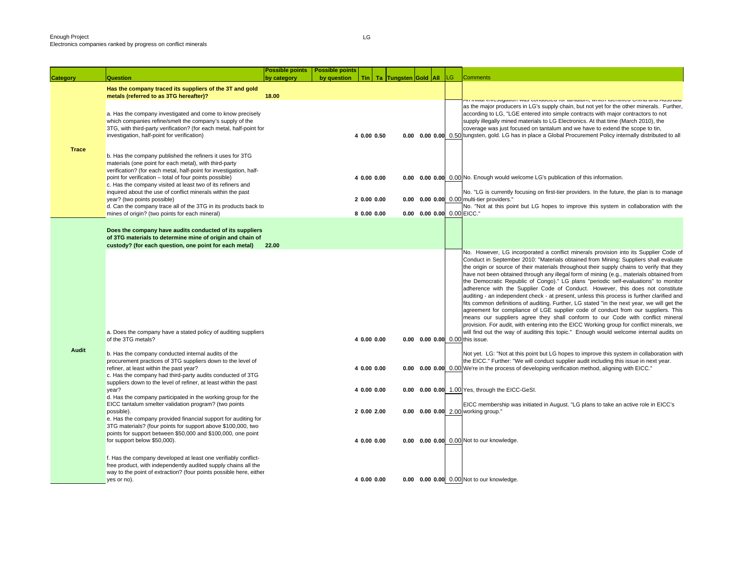**Category Question**

|              |                                                                                                                                                                                                                                                                                                                                                                                    | <b>Possible points</b> | <b>Possible points</b> |             |                      |                                 |     |                                                                                                                                                                                                                                                                                                                                                                                                                                                                                                                                                                                                                                                                                                                                                                                                                                                                                                                                                                                                                                                                                                           |
|--------------|------------------------------------------------------------------------------------------------------------------------------------------------------------------------------------------------------------------------------------------------------------------------------------------------------------------------------------------------------------------------------------|------------------------|------------------------|-------------|----------------------|---------------------------------|-----|-----------------------------------------------------------------------------------------------------------------------------------------------------------------------------------------------------------------------------------------------------------------------------------------------------------------------------------------------------------------------------------------------------------------------------------------------------------------------------------------------------------------------------------------------------------------------------------------------------------------------------------------------------------------------------------------------------------------------------------------------------------------------------------------------------------------------------------------------------------------------------------------------------------------------------------------------------------------------------------------------------------------------------------------------------------------------------------------------------------|
| egory        | Question                                                                                                                                                                                                                                                                                                                                                                           | by category            | by question            | <b>Tin</b>  | Ta Tungsten Gold All |                                 | LG. | <b>Comments</b>                                                                                                                                                                                                                                                                                                                                                                                                                                                                                                                                                                                                                                                                                                                                                                                                                                                                                                                                                                                                                                                                                           |
|              | Has the company traced its suppliers of the 3T and gold<br>metals (referred to as 3TG hereafter)?                                                                                                                                                                                                                                                                                  | 18.00                  |                        |             |                      |                                 |     |                                                                                                                                                                                                                                                                                                                                                                                                                                                                                                                                                                                                                                                                                                                                                                                                                                                                                                                                                                                                                                                                                                           |
|              | a. Has the company investigated and come to know precisely<br>which companies refine/smelt the company's supply of the<br>3TG, with third-party verification? (for each metal, half-point for<br>investigation, half-point for verification)                                                                                                                                       |                        |                        | 4 0.00 0.50 |                      |                                 |     | און וווווומו ווועסטוקמוטון שמט טטווטטטפט וטר ומחומוטוון, שחוטון וטסווווווסט טווווומ מווט מטטומוומ<br>as the major producers in LG's supply chain, but not yet for the other minerals. Further,<br>according to LG, "LGE entered into simple contracts with major contractors to not<br>supply illegally mined materials to LG Electronics. At that time (March 2010), the<br>coverage was just focused on tantalum and we have to extend the scope to tin,<br>0.00 0.00 0.00 0.50 tungsten, gold. LG has in place a Global Procurement Policy internally distributed to all                                                                                                                                                                                                                                                                                                                                                                                                                                                                                                                               |
| <b>Trace</b> | b. Has the company published the refiners it uses for 3TG<br>materials (one point for each metal), with third-party<br>verification? (for each metal, half-point for investigation, half-<br>point for verification – total of four points possible)<br>c. Has the company visited at least two of its refiners and<br>inquired about the use of conflict minerals within the past |                        |                        | 4 0.00 0.00 |                      |                                 |     | 0.00 0.00 0.00 0.00 No. Enough would welcome LG's publication of this information.<br>No. "LG is currently focusing on first-tier providers. In the future, the plan is to manage                                                                                                                                                                                                                                                                                                                                                                                                                                                                                                                                                                                                                                                                                                                                                                                                                                                                                                                         |
|              | year? (two points possible)                                                                                                                                                                                                                                                                                                                                                        |                        |                        | 2 0.00 0.00 |                      |                                 |     | 0.00 0.00 0.00 0.00 multi-tier providers."                                                                                                                                                                                                                                                                                                                                                                                                                                                                                                                                                                                                                                                                                                                                                                                                                                                                                                                                                                                                                                                                |
|              | d. Can the company trace all of the 3TG in its products back to<br>mines of origin? (two points for each mineral)                                                                                                                                                                                                                                                                  |                        |                        | 8 0.00 0.00 |                      | 0.00 0.00 0.00 0.00 EICC."      |     | No. "Not at this point but LG hopes to improve this system in collaboration with the                                                                                                                                                                                                                                                                                                                                                                                                                                                                                                                                                                                                                                                                                                                                                                                                                                                                                                                                                                                                                      |
|              | Does the company have audits conducted of its suppliers<br>of 3TG materials to determine mine of origin and chain of<br>custody? (for each question, one point for each metal)                                                                                                                                                                                                     | 22.00                  |                        |             |                      |                                 |     |                                                                                                                                                                                                                                                                                                                                                                                                                                                                                                                                                                                                                                                                                                                                                                                                                                                                                                                                                                                                                                                                                                           |
|              | a. Does the company have a stated policy of auditing suppliers<br>of the 3TG metals?                                                                                                                                                                                                                                                                                               |                        |                        | 4 0.00 0.00 |                      | 0.00 0.00 0.00 0.00 this issue. |     | No. However, LG incorporated a conflict minerals provision into its Supplier Code of<br>Conduct in September 2010: "Materials obtained from Mining: Suppliers shall evaluate<br>the origin or source of their materials throughout their supply chains to verify that they<br>have not been obtained through any illegal form of mining (e.g., materials obtained from<br>the Democratic Republic of Congo)." LG plans "periodic self-evaluations" to monitor<br>adherence with the Supplier Code of Conduct. However, this does not constitute<br>auditing - an independent check - at present, unless this process is further clarified and<br>fits common definitions of auditing. Further, LG stated "in the next year, we will get the<br>agreement for compliance of LGE supplier code of conduct from our suppliers. This<br>means our suppliers agree they shall conform to our Code with conflict mineral<br>provision. For audit, with entering into the EICC Working group for conflict minerals, we<br>will find out the way of auditing this topic." Enough would welcome internal audits on |
| Audit        | b. Has the company conducted internal audits of the<br>procurement practices of 3TG suppliers down to the level of<br>refiner, at least within the past year?<br>c. Has the company had third-party audits conducted of 3TG<br>suppliers down to the level of refiner, at least within the past                                                                                    |                        |                        | 4 0.00 0.00 |                      |                                 |     | Not yet. LG: "Not at this point but LG hopes to improve this system in collaboration with<br>the EICC." Further: "We will conduct supplier audit including this issue in next year.<br>0.00 0.00 0.00 0.00 We're in the process of developing verification method, aligning with EICC."                                                                                                                                                                                                                                                                                                                                                                                                                                                                                                                                                                                                                                                                                                                                                                                                                   |
|              | year?                                                                                                                                                                                                                                                                                                                                                                              |                        |                        | 4 0.00 0.00 |                      |                                 |     | 0.00 0.00 0.00 1.00 Yes, through the EICC-GeSI.                                                                                                                                                                                                                                                                                                                                                                                                                                                                                                                                                                                                                                                                                                                                                                                                                                                                                                                                                                                                                                                           |
|              | d. Has the company participated in the working group for the<br>EICC tantalum smelter validation program? (two points<br>possible).<br>e. Has the company provided financial support for auditing for                                                                                                                                                                              |                        |                        | 2 0.00 2.00 |                      |                                 |     | EICC membership was initiated in August. "LG plans to take an active role in EICC's<br>0.00 0.00 0.00 2.00 working group."                                                                                                                                                                                                                                                                                                                                                                                                                                                                                                                                                                                                                                                                                                                                                                                                                                                                                                                                                                                |
|              | 3TG materials? (four points for support above \$100,000, two<br>points for support between \$50,000 and \$100,000, one point<br>for support below \$50,000).                                                                                                                                                                                                                       |                        |                        | 4 0.00 0.00 |                      |                                 |     | 0.00 0.00 0.00 0.00 Not to our knowledge.                                                                                                                                                                                                                                                                                                                                                                                                                                                                                                                                                                                                                                                                                                                                                                                                                                                                                                                                                                                                                                                                 |
|              | f. Has the company developed at least one verifiably conflict-<br>free product, with independently audited supply chains all the<br>way to the point of extraction? (four points possible here, either                                                                                                                                                                             |                        |                        |             |                      |                                 |     |                                                                                                                                                                                                                                                                                                                                                                                                                                                                                                                                                                                                                                                                                                                                                                                                                                                                                                                                                                                                                                                                                                           |
|              | yes or no).                                                                                                                                                                                                                                                                                                                                                                        |                        |                        | 4 0.00 0.00 |                      |                                 |     | 0.00 0.00 0.00 0.00 Not to our knowledge.                                                                                                                                                                                                                                                                                                                                                                                                                                                                                                                                                                                                                                                                                                                                                                                                                                                                                                                                                                                                                                                                 |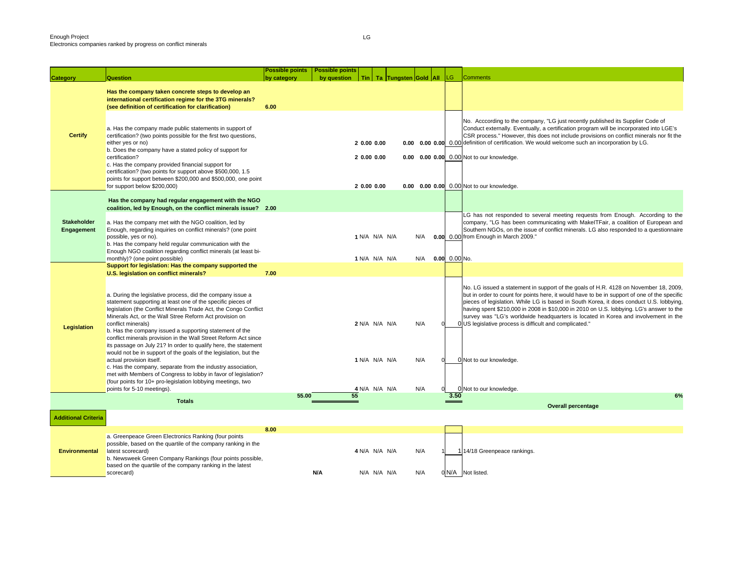| <b>Category</b>                  | Question                                                                                                                                                                                                                                                                                                                                                                                                                                                                                                                                                                                                                                                                                                                                                                                                                  | <b>Possible points</b><br>by category | <b>Possible points</b><br>by question | Tin   Ta   Tungsten Gold   All |  |            | <b>LG</b>       | <b>Comments</b>                                                                                                                                                                                                                                                                                                                                                                                                                                                                                                                                        |
|----------------------------------|---------------------------------------------------------------------------------------------------------------------------------------------------------------------------------------------------------------------------------------------------------------------------------------------------------------------------------------------------------------------------------------------------------------------------------------------------------------------------------------------------------------------------------------------------------------------------------------------------------------------------------------------------------------------------------------------------------------------------------------------------------------------------------------------------------------------------|---------------------------------------|---------------------------------------|--------------------------------|--|------------|-----------------|--------------------------------------------------------------------------------------------------------------------------------------------------------------------------------------------------------------------------------------------------------------------------------------------------------------------------------------------------------------------------------------------------------------------------------------------------------------------------------------------------------------------------------------------------------|
|                                  | Has the company taken concrete steps to develop an<br>international certification regime for the 3TG minerals?<br>(see definition of certification for clarification)                                                                                                                                                                                                                                                                                                                                                                                                                                                                                                                                                                                                                                                     | 6.00                                  |                                       |                                |  |            |                 |                                                                                                                                                                                                                                                                                                                                                                                                                                                                                                                                                        |
| <b>Certify</b>                   | a. Has the company made public statements in support of<br>certification? (two points possible for the first two questions,<br>either yes or no)<br>b. Does the company have a stated policy of support for<br>certification?<br>c. Has the company provided financial support for<br>certification? (two points for support above \$500,000, 1.5                                                                                                                                                                                                                                                                                                                                                                                                                                                                         |                                       |                                       | 20.0000.00<br>20.0000.00       |  |            |                 | No. Acccording to the company, "LG just recently published its Supplier Code of<br>Conduct externally. Eventually, a certification program will be incorporated into LGE's<br>CSR process." However, this does not include provisions on conflict minerals nor fit the<br><b>0.00 0.00 0.00</b> 0.00 definition of certification. We would welcome such an incorporation by LG.<br>0.00 0.00 0.00 0.00 Not to our knowledge.                                                                                                                           |
|                                  | points for support between \$200,000 and \$500,000, one point<br>for support below \$200,000)                                                                                                                                                                                                                                                                                                                                                                                                                                                                                                                                                                                                                                                                                                                             |                                       |                                       | 2 0.00 0.00                    |  |            |                 | 0.00 0.00 0.00 0.00 Not to our knowledge.                                                                                                                                                                                                                                                                                                                                                                                                                                                                                                              |
|                                  | Has the company had regular engagement with the NGO<br>coalition, led by Enough, on the conflict minerals issue? 2.00                                                                                                                                                                                                                                                                                                                                                                                                                                                                                                                                                                                                                                                                                                     |                                       |                                       |                                |  |            |                 |                                                                                                                                                                                                                                                                                                                                                                                                                                                                                                                                                        |
| <b>Stakeholder</b><br>Engagement | a. Has the company met with the NGO coalition, led by<br>Enough, regarding inquiries on conflict minerals? (one point<br>possible, yes or no).<br>b. Has the company held regular communication with the<br>Enough NGO coalition regarding conflict minerals (at least bi-                                                                                                                                                                                                                                                                                                                                                                                                                                                                                                                                                |                                       |                                       | 1 N/A N/A N/A                  |  | N/A        |                 | LG has not responded to several meeting requests from Enough. According to the<br>company, "LG has been communicating with MakelTFair, a coalition of European and<br>Southern NGOs, on the issue of conflict minerals. LG also responded to a questionnaire<br>0.00 0.00 from Enough in March 2009."                                                                                                                                                                                                                                                  |
|                                  | monthly)? (one point possible)<br>Support for legislation: Has the company supported the                                                                                                                                                                                                                                                                                                                                                                                                                                                                                                                                                                                                                                                                                                                                  |                                       |                                       | 1 N/A N/A N/A                  |  | N/A        | $0.00$ 0.00 No. |                                                                                                                                                                                                                                                                                                                                                                                                                                                                                                                                                        |
| Legislation                      | U.S. legislation on conflict minerals?<br>a. During the legislative process, did the company issue a<br>statement supporting at least one of the specific pieces of<br>legislation (the Conflict Minerals Trade Act, the Congo Conflict<br>Minerals Act, or the Wall Stree Reform Act provision on<br>conflict minerals)<br>b. Has the company issued a supporting statement of the<br>conflict minerals provision in the Wall Street Reform Act since<br>its passage on July 21? In order to qualify here, the statement<br>would not be in support of the goals of the legislation, but the<br>actual provision itself.<br>c. Has the company, separate from the industry association,<br>met with Members of Congress to lobby in favor of legislation?<br>(four points for 10+ pro-legislation lobbying meetings, two | 7.00                                  |                                       | 2 N/A N/A N/A<br>1 N/A N/A N/A |  | N/A<br>N/A |                 | No. LG issued a statement in support of the goals of H.R. 4128 on November 18, 2009,<br>but in order to count for points here, it would have to be in support of one of the specific<br>pieces of legislation. While LG is based in South Korea, it does conduct U.S. lobbying,<br>having spent \$210,000 in 2008 in \$10,000 in 2010 on U.S. lobbying. LG's answer to the<br>survey was "LG's worldwide headquarters is located in Korea and involvement in the<br>0 US legislative process is difficult and complicated."<br>0 Not to our knowledge. |
|                                  | points for 5-10 meetings).<br><b>Totals</b>                                                                                                                                                                                                                                                                                                                                                                                                                                                                                                                                                                                                                                                                                                                                                                               | 55.00                                 | 55                                    | 4 N/A N/A N/A                  |  | N/A        | 3.50            | 0 Not to our knowledge.<br>6%                                                                                                                                                                                                                                                                                                                                                                                                                                                                                                                          |
|                                  |                                                                                                                                                                                                                                                                                                                                                                                                                                                                                                                                                                                                                                                                                                                                                                                                                           |                                       |                                       |                                |  |            |                 | <b>Overall percentage</b>                                                                                                                                                                                                                                                                                                                                                                                                                                                                                                                              |
| <b>Additional Criteria</b>       |                                                                                                                                                                                                                                                                                                                                                                                                                                                                                                                                                                                                                                                                                                                                                                                                                           |                                       |                                       |                                |  |            |                 |                                                                                                                                                                                                                                                                                                                                                                                                                                                                                                                                                        |
| <b>Environmental</b>             | a. Greenpeace Green Electronics Ranking (four points<br>possible, based on the quartile of the company ranking in the<br>latest scorecard)<br>b. Newsweek Green Company Rankings (four points possible,<br>based on the quartile of the company ranking in the latest<br>scorecard)                                                                                                                                                                                                                                                                                                                                                                                                                                                                                                                                       | 8.00                                  | N/A                                   | 4 N/A N/A N/A<br>N/A N/A N/A   |  | N/A<br>N/A |                 | 114/18 Greenpeace rankings.<br>0 N/A Not listed.                                                                                                                                                                                                                                                                                                                                                                                                                                                                                                       |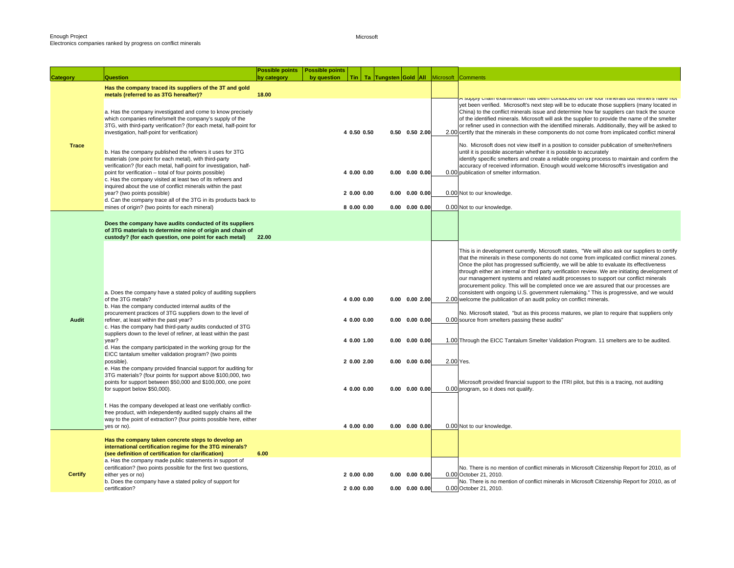Microsoft

| <b>Category</b> | <b>Question</b>                                                                                                                                                                                                                                                                                                     | <b>Possible points</b><br>by category | <b>Possible points</b><br>by question | Tin                        |      |                                              | Ta Tungsten Gold All Microsoft Comments                                                                                                                                                                                                                                                                                                                                                                                                                                                                                                                                                                                                                                                                                                        |
|-----------------|---------------------------------------------------------------------------------------------------------------------------------------------------------------------------------------------------------------------------------------------------------------------------------------------------------------------|---------------------------------------|---------------------------------------|----------------------------|------|----------------------------------------------|------------------------------------------------------------------------------------------------------------------------------------------------------------------------------------------------------------------------------------------------------------------------------------------------------------------------------------------------------------------------------------------------------------------------------------------------------------------------------------------------------------------------------------------------------------------------------------------------------------------------------------------------------------------------------------------------------------------------------------------------|
|                 | Has the company traced its suppliers of the 3T and gold<br>metals (referred to as 3TG hereafter)?                                                                                                                                                                                                                   | 18.00                                 |                                       |                            |      |                                              |                                                                                                                                                                                                                                                                                                                                                                                                                                                                                                                                                                                                                                                                                                                                                |
|                 | a. Has the company investigated and come to know precisely<br>which companies refine/smelt the company's supply of the<br>3TG, with third-party verification? (for each metal, half-point for<br>investigation, half-point for verification)                                                                        |                                       |                                       | 4 0.50 0.50                |      | $0.50$ $0.50$ $2.00$                         | <mark>ר סעטויז טומונד פאמוזווומונטורוומט טפפון טטווענעטעט טורנוופ וטער וווווופומוס טעג ופוווופוס וומ</mark> עס ווטג<br>yet been verified. Microsoft's next step will be to educate those suppliers (many located in<br>China) to the conflict minerals issue and determine how far suppliers can track the source<br>of the identified minerals. Microsoft will ask the supplier to provide the name of the smelter<br>or refiner used in connection with the identified minerals. Additionally, they will be asked to<br>2.00 certify that the minerals in these components do not come from implicated conflict mineral                                                                                                                      |
| <b>Trace</b>    | b. Has the company published the refiners it uses for 3TG<br>materials (one point for each metal), with third-party<br>verification? (for each metal, half-point for investigation, half-<br>point for verification - total of four points possible)<br>c. Has the company visited at least two of its refiners and |                                       |                                       | 4 0.00 0.00                |      | $0.00$ $0.00$ $0.00$                         | No. Microsoft does not view itself in a position to consider publication of smelter/refiners<br>until it is possible ascertain whether it is possible to accurately<br>identify specific smelters and create a reliable ongoing process to maintain and confirm the<br>accuracy of received information. Enough would welcome Microsoft's investigation and<br>0.00 publication of smelter information.                                                                                                                                                                                                                                                                                                                                        |
|                 | inquired about the use of conflict minerals within the past<br>year? (two points possible)<br>d. Can the company trace all of the 3TG in its products back to                                                                                                                                                       |                                       |                                       | 2 0.00 0.00                |      | $0.00$ $0.00$ $0.00$                         | 0.00 Not to our knowledge.                                                                                                                                                                                                                                                                                                                                                                                                                                                                                                                                                                                                                                                                                                                     |
|                 | mines of origin? (two points for each mineral)                                                                                                                                                                                                                                                                      |                                       |                                       | 8 0.00 0.00                |      | $0.00$ $0.00$ $0.00$                         | 0.00 Not to our knowledge.                                                                                                                                                                                                                                                                                                                                                                                                                                                                                                                                                                                                                                                                                                                     |
|                 | Does the company have audits conducted of its suppliers<br>of 3TG materials to determine mine of origin and chain of<br>custody? (for each question, one point for each metal)                                                                                                                                      | 22.00                                 |                                       |                            |      |                                              |                                                                                                                                                                                                                                                                                                                                                                                                                                                                                                                                                                                                                                                                                                                                                |
|                 | a. Does the company have a stated policy of auditing suppliers<br>of the 3TG metals?<br>b. Has the company conducted internal audits of the                                                                                                                                                                         |                                       |                                       | 4 0.00 0.00                |      | $0.00$ $0.00$ $2.00$                         | This is in development currently. Microsoft states, "We will also ask our suppliers to certify<br>that the minerals in these components do not come from implicated conflict mineral zones.<br>Once the pilot has progressed sufficiently, we will be able to evaluate its effectiveness<br>through either an internal or third party verification review. We are initiating development of<br>our management systems and related audit processes to support our conflict minerals<br>procurement policy. This will be completed once we are assured that our processes are<br>consistent with ongoing U.S. government rulemaking." This is progressive, and we would<br>2.00 welcome the publication of an audit policy on conflict minerals. |
| Audit           | procurement practices of 3TG suppliers down to the level of<br>refiner, at least within the past year?<br>c. Has the company had third-party audits conducted of 3TG<br>suppliers down to the level of refiner, at least within the past                                                                            |                                       |                                       | 4 0.00 0.00                |      | $0.00$ $0.00$ $0.00$                         | No. Microsoft stated, "but as this process matures, we plan to require that suppliers only<br>0.00 source from smelters passing these audits"                                                                                                                                                                                                                                                                                                                                                                                                                                                                                                                                                                                                  |
|                 | year?<br>d. Has the company participated in the working group for the<br>EICC tantalum smelter validation program? (two points                                                                                                                                                                                      |                                       |                                       | 4 0.00 1.00                | 0.00 | $0.00$ $0.00$                                | 1.00 Through the EICC Tantalum Smelter Validation Program. 11 smelters are to be audited.                                                                                                                                                                                                                                                                                                                                                                                                                                                                                                                                                                                                                                                      |
|                 | possible).<br>e. Has the company provided financial support for auditing for<br>3TG materials? (four points for support above \$100,000, two<br>points for support between \$50,000 and \$100,000, one point<br>for support below \$50,000).                                                                        |                                       |                                       | 2 0.00 2.00<br>4 0.00 0.00 |      | $0.00$ $0.00$ $0.00$<br>$0.00$ $0.00$ $0.00$ | 2.00 Yes.<br>Microsoft provided financial support to the ITRI pilot, but this is a tracing, not auditing<br>0.00 program, so it does not qualify.                                                                                                                                                                                                                                                                                                                                                                                                                                                                                                                                                                                              |
|                 | f. Has the company developed at least one verifiably conflict-<br>free product, with independently audited supply chains all the<br>way to the point of extraction? (four points possible here, either<br>yes or no).                                                                                               |                                       |                                       | 4 0.00 0.00                |      | $0.00 \quad 0.00 \quad 0.00$                 | 0.00 Not to our knowledge.                                                                                                                                                                                                                                                                                                                                                                                                                                                                                                                                                                                                                                                                                                                     |
|                 | Has the company taken concrete steps to develop an<br>international certification regime for the 3TG minerals?<br>(see definition of certification for clarification)                                                                                                                                               | 6.00                                  |                                       |                            |      |                                              |                                                                                                                                                                                                                                                                                                                                                                                                                                                                                                                                                                                                                                                                                                                                                |
|                 | a. Has the company made public statements in support of                                                                                                                                                                                                                                                             |                                       |                                       |                            |      |                                              |                                                                                                                                                                                                                                                                                                                                                                                                                                                                                                                                                                                                                                                                                                                                                |
| <b>Certify</b>  | certification? (two points possible for the first two questions,<br>either yes or no)<br>b. Does the company have a stated policy of support for                                                                                                                                                                    |                                       |                                       | 2 0.00 0.00                |      | $0.00$ $0.00$ $0.00$                         | No. There is no mention of conflict minerals in Microsoft Citizenship Report for 2010, as of<br>0.00 October 21, 2010.<br>No. There is no mention of conflict minerals in Microsoft Citizenship Report for 2010, as of                                                                                                                                                                                                                                                                                                                                                                                                                                                                                                                         |
|                 | certification?                                                                                                                                                                                                                                                                                                      |                                       |                                       | 2 0.00 0.00                |      | $0.00$ $0.00$ $0.00$                         | 0.00 October 21, 2010.                                                                                                                                                                                                                                                                                                                                                                                                                                                                                                                                                                                                                                                                                                                         |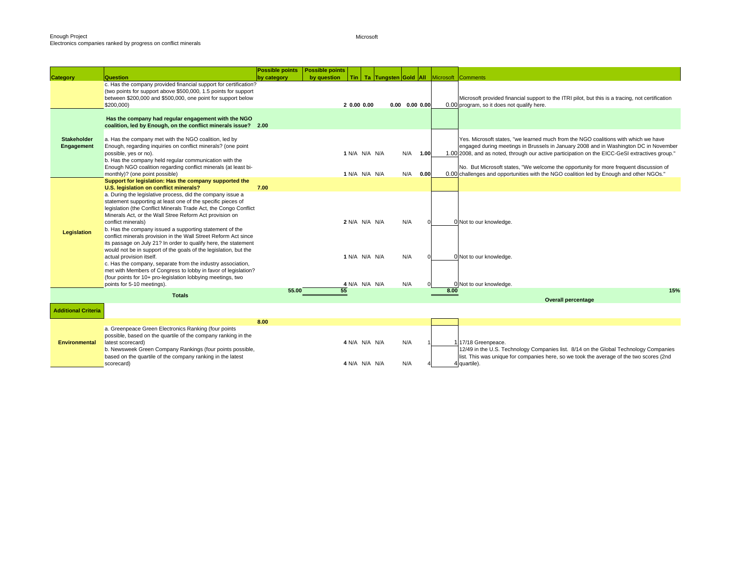Microsoft

|                                  |                                                                                                                                                                                                                                                                                                                                                                                                                                                                                                                                                                                                                                                                                                                                                                                                                                                         | <b>Possible points</b> | <b>Possible points</b> |                                                 |                                                   |                      |      |      |                                                                                                                                                                                                                                                                              |
|----------------------------------|---------------------------------------------------------------------------------------------------------------------------------------------------------------------------------------------------------------------------------------------------------------------------------------------------------------------------------------------------------------------------------------------------------------------------------------------------------------------------------------------------------------------------------------------------------------------------------------------------------------------------------------------------------------------------------------------------------------------------------------------------------------------------------------------------------------------------------------------------------|------------------------|------------------------|-------------------------------------------------|---------------------------------------------------|----------------------|------|------|------------------------------------------------------------------------------------------------------------------------------------------------------------------------------------------------------------------------------------------------------------------------------|
| <b>Category</b>                  | Question                                                                                                                                                                                                                                                                                                                                                                                                                                                                                                                                                                                                                                                                                                                                                                                                                                                | by category            | by question            |                                                 | Tin   Ta Tungsten Gold   All   Microsoft Comments |                      |      |      |                                                                                                                                                                                                                                                                              |
|                                  | c. Has the company provided financial support for certification?<br>(two points for support above \$500,000, 1.5 points for support<br>between \$200,000 and \$500,000, one point for support below<br>\$200,000                                                                                                                                                                                                                                                                                                                                                                                                                                                                                                                                                                                                                                        |                        |                        | 20.0000.00                                      |                                                   | $0.00$ $0.00$ $0.00$ |      |      | Microsoft provided financial support to the ITRI pilot, but this is a tracing, not certification<br>0.00 program, so it does not qualify here.                                                                                                                               |
| <b>Stakeholder</b><br>Engagement | Has the company had regular engagement with the NGO<br>coalition, led by Enough, on the conflict minerals issue? 2.00<br>a. Has the company met with the NGO coalition, led by<br>Enough, regarding inquiries on conflict minerals? (one point<br>possible, yes or no).<br>b. Has the company held regular communication with the                                                                                                                                                                                                                                                                                                                                                                                                                                                                                                                       |                        |                        | 1 N/A N/A N/A                                   |                                                   | N/A 1.00             |      |      | Yes. Microsoft states, "we learned much from the NGO coalitions with which we have<br>engaged during meetings in Brussels in January 2008 and in Washington DC in November<br>1.00 2008, and as noted, through our active participation on the EICC-GeSI extractives group." |
|                                  | Enough NGO coalition regarding conflict minerals (at least bi-                                                                                                                                                                                                                                                                                                                                                                                                                                                                                                                                                                                                                                                                                                                                                                                          |                        |                        |                                                 |                                                   |                      |      |      | No. But Microsoft states, "We welcome the opportunity for more frequent discussion of                                                                                                                                                                                        |
|                                  | monthly)? (one point possible)                                                                                                                                                                                                                                                                                                                                                                                                                                                                                                                                                                                                                                                                                                                                                                                                                          |                        |                        | 1 N/A N/A N/A                                   |                                                   | N/A                  | 0.00 |      | 0.00 challenges and opportunities with the NGO coalition led by Enough and other NGOs."                                                                                                                                                                                      |
|                                  | Support for legislation: Has the company supported the                                                                                                                                                                                                                                                                                                                                                                                                                                                                                                                                                                                                                                                                                                                                                                                                  |                        |                        |                                                 |                                                   |                      |      |      |                                                                                                                                                                                                                                                                              |
| Legislation                      | U.S. legislation on conflict minerals?<br>a. During the legislative process, did the company issue a<br>statement supporting at least one of the specific pieces of<br>legislation (the Conflict Minerals Trade Act, the Congo Conflict<br>Minerals Act, or the Wall Stree Reform Act provision on<br>conflict minerals)<br>b. Has the company issued a supporting statement of the<br>conflict minerals provision in the Wall Street Reform Act since<br>its passage on July 21? In order to qualify here, the statement<br>would not be in support of the goals of the legislation, but the<br>actual provision itself.<br>c. Has the company, separate from the industry association,<br>met with Members of Congress to lobby in favor of legislation?<br>(four points for 10+ pro-legislation lobbying meetings, two<br>points for 5-10 meetings). | 7.00                   | 55                     | 2 N/A N/A N/A<br>1 N/A N/A N/A<br>4 N/A N/A N/A |                                                   | N/A<br>N/A<br>N/A    |      | 8.00 | 0 Not to our knowledge.<br>0 Not to our knowledge.<br>0 Not to our knowledge.<br>15%                                                                                                                                                                                         |
|                                  | <b>Totals</b>                                                                                                                                                                                                                                                                                                                                                                                                                                                                                                                                                                                                                                                                                                                                                                                                                                           | 55.00                  |                        |                                                 |                                                   |                      |      |      | <b>Overall percentage</b>                                                                                                                                                                                                                                                    |
| <b>Additional Criteria</b>       |                                                                                                                                                                                                                                                                                                                                                                                                                                                                                                                                                                                                                                                                                                                                                                                                                                                         |                        |                        |                                                 |                                                   |                      |      |      |                                                                                                                                                                                                                                                                              |
|                                  |                                                                                                                                                                                                                                                                                                                                                                                                                                                                                                                                                                                                                                                                                                                                                                                                                                                         | 8.00                   |                        |                                                 |                                                   |                      |      |      |                                                                                                                                                                                                                                                                              |
| <b>Environmental</b>             | a. Greenpeace Green Electronics Ranking (four points<br>possible, based on the quartile of the company ranking in the<br>latest scorecard)<br>b. Newsweek Green Company Rankings (four points possible,<br>based on the quartile of the company ranking in the latest<br>scorecard)                                                                                                                                                                                                                                                                                                                                                                                                                                                                                                                                                                     |                        |                        | 4 N/A N/A N/A<br>4 N/A N/A N/A                  |                                                   | N/A<br>N/A           |      |      | 117/18 Greenpeace.<br>12/49 in the U.S. Technology Companies list. 8/14 on the Global Technology Companies<br>list. This was unique for companies here, so we took the average of the two scores (2nd<br>4 quartile).                                                        |
|                                  |                                                                                                                                                                                                                                                                                                                                                                                                                                                                                                                                                                                                                                                                                                                                                                                                                                                         |                        |                        |                                                 |                                                   |                      |      |      |                                                                                                                                                                                                                                                                              |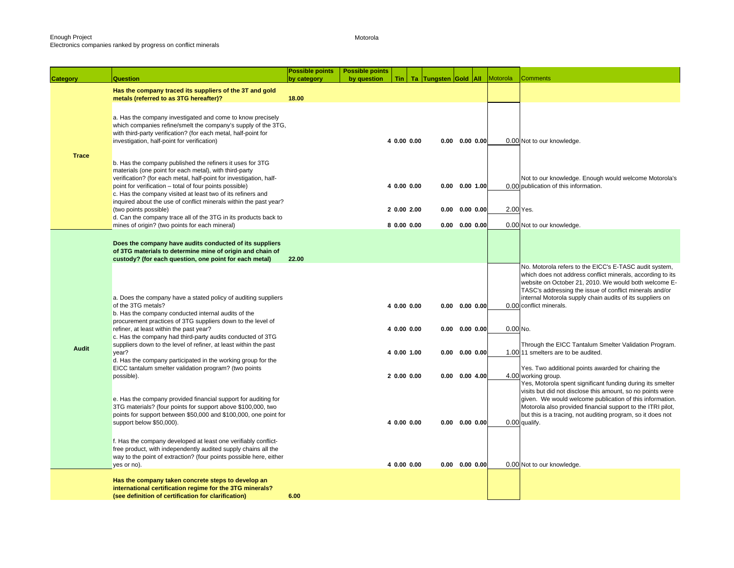Motorola

| <b>Category</b> | <b>Question</b>                                                                                                                                                                                                                                                                                                     | <b>Possible points</b><br>by category | <b>Possible points</b><br>by question |                            | Tin   Ta   Tungsten Gold   All |                                       | Motorola  | <b>Comments</b>                                                                                                                                                                                                                                                                                                                  |
|-----------------|---------------------------------------------------------------------------------------------------------------------------------------------------------------------------------------------------------------------------------------------------------------------------------------------------------------------|---------------------------------------|---------------------------------------|----------------------------|--------------------------------|---------------------------------------|-----------|----------------------------------------------------------------------------------------------------------------------------------------------------------------------------------------------------------------------------------------------------------------------------------------------------------------------------------|
|                 | Has the company traced its suppliers of the 3T and gold<br>metals (referred to as 3TG hereafter)?                                                                                                                                                                                                                   | 18.00                                 |                                       |                            |                                |                                       |           |                                                                                                                                                                                                                                                                                                                                  |
| <b>Trace</b>    | a. Has the company investigated and come to know precisely<br>which companies refine/smelt the company's supply of the 3TG,<br>with third-party verification? (for each metal, half-point for<br>investigation, half-point for verification)                                                                        |                                       |                                       | 4 0.00 0.00                |                                | $0.00$ $0.00$ $0.00$                  |           | 0.00 Not to our knowledge.                                                                                                                                                                                                                                                                                                       |
|                 | b. Has the company published the refiners it uses for 3TG<br>materials (one point for each metal), with third-party<br>verification? (for each metal, half-point for investigation, half-<br>point for verification - total of four points possible)<br>c. Has the company visited at least two of its refiners and |                                       |                                       | 4 0.00 0.00                | 0.00                           | $0.00$ 1.00                           |           | Not to our knowledge. Enough would welcome Motorola's<br>0.00 publication of this information.                                                                                                                                                                                                                                   |
|                 | inquired about the use of conflict minerals within the past year?<br>(two points possible)<br>d. Can the company trace all of the 3TG in its products back to                                                                                                                                                       |                                       |                                       | 2 0.00 2.00<br>8 0.00 0.00 | 0.00                           | $0.00$ $0.00$<br>$0.00$ $0.00$ $0.00$ | 2.00 Yes. |                                                                                                                                                                                                                                                                                                                                  |
|                 | mines of origin? (two points for each mineral)                                                                                                                                                                                                                                                                      |                                       |                                       |                            |                                |                                       |           | 0.00 Not to our knowledge.                                                                                                                                                                                                                                                                                                       |
|                 | Does the company have audits conducted of its suppliers<br>of 3TG materials to determine mine of origin and chain of<br>custody? (for each question, one point for each metal)                                                                                                                                      | 22.00                                 |                                       |                            |                                |                                       |           |                                                                                                                                                                                                                                                                                                                                  |
|                 | a. Does the company have a stated policy of auditing suppliers<br>of the 3TG metals?                                                                                                                                                                                                                                |                                       |                                       | 4 0.00 0.00                |                                | $0.00$ $0.00$ $0.00$                  |           | No. Motorola refers to the EICC's E-TASC audit system,<br>which does not address conflict minerals, according to its<br>website on October 21, 2010. We would both welcome E-<br>TASC's addressing the issue of conflict minerals and/or<br>internal Motorola supply chain audits of its suppliers on<br>0.00 conflict minerals. |
|                 | b. Has the company conducted internal audits of the<br>procurement practices of 3TG suppliers down to the level of<br>refiner, at least within the past year?<br>c. Has the company had third-party audits conducted of 3TG                                                                                         |                                       |                                       | 4 0.00 0.00                |                                | $0.00$ $0.00$ $0.00$                  | 0.00 No.  |                                                                                                                                                                                                                                                                                                                                  |
| <b>Audit</b>    | suppliers down to the level of refiner, at least within the past<br>year?<br>d. Has the company participated in the working group for the                                                                                                                                                                           |                                       |                                       | 4 0.00 1.00                |                                | $0.00$ $0.00$ $0.00$                  |           | Through the EICC Tantalum Smelter Validation Program.<br>1.00 11 smelters are to be audited.                                                                                                                                                                                                                                     |
|                 | EICC tantalum smelter validation program? (two points<br>possible).                                                                                                                                                                                                                                                 |                                       |                                       | 20.0000.00                 |                                | $0.00$ $0.00$ 4.00                    |           | Yes. Two additional points awarded for chairing the<br>4.00 working group.<br>Yes, Motorola spent significant funding during its smelter                                                                                                                                                                                         |
|                 | e. Has the company provided financial support for auditing for<br>3TG materials? (four points for support above \$100,000, two<br>points for support between \$50,000 and \$100,000, one point for<br>support below \$50,000).                                                                                      |                                       |                                       | 4 0.00 0.00                |                                | $0.00$ $0.00$ $0.00$                  |           | visits but did not disclose this amount, so no points were<br>given. We would welcome publication of this information.<br>Motorola also provided financial support to the ITRI pilot,<br>but this is a tracing, not auditing program, so it does not<br>0.00 qualify.                                                            |
|                 | f. Has the company developed at least one verifiably conflict-<br>free product, with independently audited supply chains all the<br>way to the point of extraction? (four points possible here, either<br>yes or no).                                                                                               |                                       |                                       | 4 0.00 0.00                |                                | $0.00$ $0.00$ $0.00$                  |           | 0.00 Not to our knowledge.                                                                                                                                                                                                                                                                                                       |
|                 | Has the company taken concrete steps to develop an<br>international certification regime for the 3TG minerals?<br>(see definition of certification for clarification)                                                                                                                                               | 6.00                                  |                                       |                            |                                |                                       |           |                                                                                                                                                                                                                                                                                                                                  |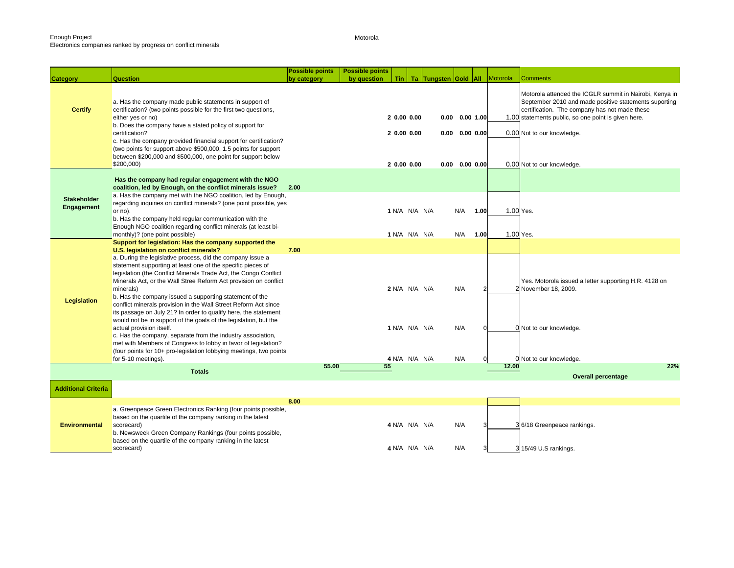### Enough Project Electronics companies ranked by progress on conflict minerals

Motorola

|                            |                                                                                                                                                                                                                                                                                                                                                                                                                                                                                 | <b>Possible points</b> | <b>Possible points</b> |                                        |                      |     |                                                                    |               |           |                                                                                                                                                                                                                                                                                      |
|----------------------------|---------------------------------------------------------------------------------------------------------------------------------------------------------------------------------------------------------------------------------------------------------------------------------------------------------------------------------------------------------------------------------------------------------------------------------------------------------------------------------|------------------------|------------------------|----------------------------------------|----------------------|-----|--------------------------------------------------------------------|---------------|-----------|--------------------------------------------------------------------------------------------------------------------------------------------------------------------------------------------------------------------------------------------------------------------------------------|
| <b>Category</b>            | <b>Question</b>                                                                                                                                                                                                                                                                                                                                                                                                                                                                 | by category            | by question            | Tin                                    | Ta Tungsten Gold All |     |                                                                    |               | Motorola  | <b>Comments</b>                                                                                                                                                                                                                                                                      |
| <b>Certify</b>             | a. Has the company made public statements in support of<br>certification? (two points possible for the first two questions,<br>either yes or no)<br>b. Does the company have a stated policy of support for<br>certification?<br>c. Has the company provided financial support for certification?<br>(two points for support above \$500,000, 1.5 points for support<br>between \$200,000 and \$500,000, one point for support below<br>\$200,000                               |                        |                        | 20.0000.00<br>20.0000.00<br>20.0000.00 |                      |     | $0.00$ $0.00$ 1.00<br>$0.00$ $0.00$ $0.00$<br>$0.00$ $0.00$ $0.00$ |               |           | Motorola attended the ICGLR summit in Nairobi, Kenya in<br>September 2010 and made positive statements suporting<br>certification. The company has not made these<br>1.00 statements public, so one point is given here.<br>0.00 Not to our knowledge.<br>0.00 Not to our knowledge. |
|                            |                                                                                                                                                                                                                                                                                                                                                                                                                                                                                 |                        |                        |                                        |                      |     |                                                                    |               |           |                                                                                                                                                                                                                                                                                      |
| <b>Stakeholder</b>         | Has the company had regular engagement with the NGO<br>coalition, led by Enough, on the conflict minerals issue?<br>a. Has the company met with the NGO coalition, led by Enough,<br>regarding inquiries on conflict minerals? (one point possible, yes                                                                                                                                                                                                                         | 2.00                   |                        |                                        |                      |     |                                                                    |               |           |                                                                                                                                                                                                                                                                                      |
| Engagement                 | or no).                                                                                                                                                                                                                                                                                                                                                                                                                                                                         |                        |                        | 1 N/A N/A N/A                          |                      | N/A |                                                                    | 1.00          | 1.00 Yes. |                                                                                                                                                                                                                                                                                      |
|                            | b. Has the company held regular communication with the<br>Enough NGO coalition regarding conflict minerals (at least bi-<br>monthly)? (one point possible)                                                                                                                                                                                                                                                                                                                      |                        |                        | 1 N/A N/A N/A                          |                      | N/A |                                                                    | 1.00          | 1.00 Yes. |                                                                                                                                                                                                                                                                                      |
|                            | Support for legislation: Has the company supported the                                                                                                                                                                                                                                                                                                                                                                                                                          |                        |                        |                                        |                      |     |                                                                    |               |           |                                                                                                                                                                                                                                                                                      |
|                            | U.S. legislation on conflict minerals?                                                                                                                                                                                                                                                                                                                                                                                                                                          | 7.00                   |                        |                                        |                      |     |                                                                    |               |           |                                                                                                                                                                                                                                                                                      |
| <b>Legislation</b>         | a. During the legislative process, did the company issue a<br>statement supporting at least one of the specific pieces of<br>legislation (the Conflict Minerals Trade Act, the Congo Conflict<br>Minerals Act, or the Wall Stree Reform Act provision on conflict<br>minerals)<br>b. Has the company issued a supporting statement of the<br>conflict minerals provision in the Wall Street Reform Act since<br>its passage on July 21? In order to qualify here, the statement |                        |                        | 2 N/A N/A N/A                          |                      | N/A |                                                                    | $\mathcal{P}$ |           | Yes. Motorola issued a letter supporting H.R. 4128 on<br>2 November 18, 2009.                                                                                                                                                                                                        |
|                            | would not be in support of the goals of the legislation, but the<br>actual provision itself.<br>c. Has the company, separate from the industry association,<br>met with Members of Congress to lobby in favor of legislation?<br>(four points for 10+ pro-legislation lobbying meetings, two points                                                                                                                                                                             |                        |                        | 1 N/A N/A N/A                          |                      | N/A |                                                                    | $\Omega$      |           | 0 Not to our knowledge.                                                                                                                                                                                                                                                              |
|                            | for 5-10 meetings).                                                                                                                                                                                                                                                                                                                                                                                                                                                             |                        |                        | 4 N/A N/A N/A                          |                      | N/A |                                                                    |               |           | 0 Not to our knowledge.                                                                                                                                                                                                                                                              |
|                            | <b>Totals</b>                                                                                                                                                                                                                                                                                                                                                                                                                                                                   | 55.00                  |                        | 55                                     |                      |     |                                                                    |               | 12.00     | 22%                                                                                                                                                                                                                                                                                  |
|                            |                                                                                                                                                                                                                                                                                                                                                                                                                                                                                 |                        |                        |                                        |                      |     |                                                                    |               |           | <b>Overall percentage</b>                                                                                                                                                                                                                                                            |
| <b>Additional Criteria</b> |                                                                                                                                                                                                                                                                                                                                                                                                                                                                                 |                        |                        |                                        |                      |     |                                                                    |               |           |                                                                                                                                                                                                                                                                                      |
|                            | a. Greenpeace Green Electronics Ranking (four points possible,                                                                                                                                                                                                                                                                                                                                                                                                                  | 8.00                   |                        |                                        |                      |     |                                                                    |               |           |                                                                                                                                                                                                                                                                                      |
| <b>Environmental</b>       | based on the quartile of the company ranking in the latest<br>scorecard)<br>b. Newsweek Green Company Rankings (four points possible,<br>based on the quartile of the company ranking in the latest                                                                                                                                                                                                                                                                             |                        |                        | 4 N/A N/A N/A                          |                      | N/A |                                                                    |               |           | 36/18 Greenpeace rankings.                                                                                                                                                                                                                                                           |
|                            | scorecard)                                                                                                                                                                                                                                                                                                                                                                                                                                                                      |                        |                        | 4 N/A N/A N/A                          |                      | N/A |                                                                    |               |           | 3 15/49 U.S rankings.                                                                                                                                                                                                                                                                |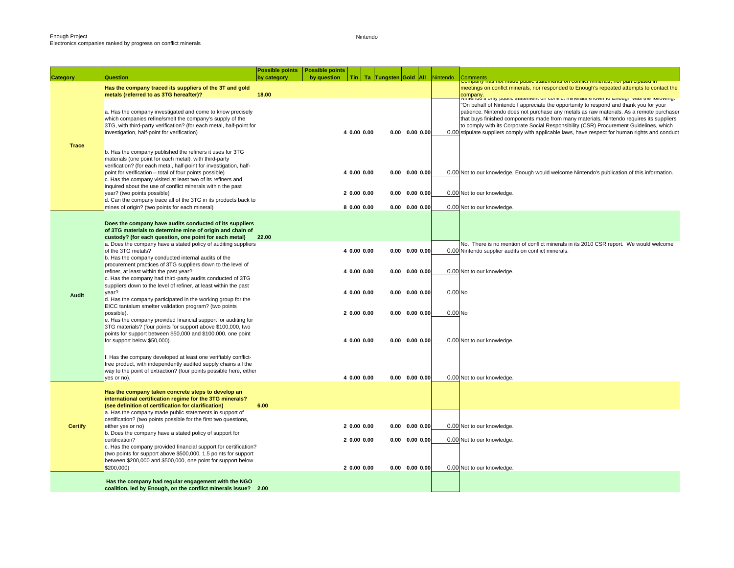Nintendo

| <b>Category</b> | Question                                                                                                                        | <b>Possible points</b><br>by category | Possible points<br>by question |             | Tin   Ta   Tungsten Gold   All |                              | Nintendo           |                                                                                                                                                                                   |
|-----------------|---------------------------------------------------------------------------------------------------------------------------------|---------------------------------------|--------------------------------|-------------|--------------------------------|------------------------------|--------------------|-----------------------------------------------------------------------------------------------------------------------------------------------------------------------------------|
|                 |                                                                                                                                 |                                       |                                |             |                                |                              |                    | Comments<br>Company nas not made public statements on commernmerals, nor panticipated in                                                                                          |
|                 | Has the company traced its suppliers of the 3T and gold                                                                         |                                       |                                |             |                                |                              |                    | meetings on conflct minerals, nor responded to Enough's repeated attempts to contact the                                                                                          |
|                 | metals (referred to as 3TG hereafter)?                                                                                          | 18.00                                 |                                |             |                                |                              |                    | company.<br>Nimenad s only paolic statement on commet minerals intown to Enough was the formale.                                                                                  |
|                 |                                                                                                                                 |                                       |                                |             |                                |                              |                    | "On behalf of Nintendo I appreciate the opportunity to respond and thank you for your                                                                                             |
|                 | a. Has the company investigated and come to know precisely                                                                      |                                       |                                |             |                                |                              |                    | patience. Nintendo does not purchase any metals as raw materials. As a remote purchaser                                                                                           |
|                 | which companies refine/smelt the company's supply of the<br>3TG, with third-party verification? (for each metal, half-point for |                                       |                                |             |                                |                              |                    | that buys finished components made from many materials, Nintendo requires its suppliers<br>to comply with its Corporate Social Responsibility (CSR) Procurement Guidelines, which |
|                 | investigation, half-point for verification)                                                                                     |                                       |                                | 4 0.00 0.00 |                                | $0.00$ $0.00$ $0.00$         |                    | 0.00 stipulate suppliers comply with applicable laws, have respect for human rights and conduct                                                                                   |
|                 |                                                                                                                                 |                                       |                                |             |                                |                              |                    |                                                                                                                                                                                   |
| <b>Trace</b>    |                                                                                                                                 |                                       |                                |             |                                |                              |                    |                                                                                                                                                                                   |
|                 | b. Has the company published the refiners it uses for 3TG                                                                       |                                       |                                |             |                                |                              |                    |                                                                                                                                                                                   |
|                 | materials (one point for each metal), with third-party                                                                          |                                       |                                |             |                                |                              |                    |                                                                                                                                                                                   |
|                 | verification? (for each metal, half-point for investigation, half-<br>point for verification - total of four points possible)   |                                       |                                | 4 0.00 0.00 |                                | $0.00$ $0.00$ $0.00$         |                    | 0.00 Not to our knowledge. Enough would welcome Nintendo's publication of this information.                                                                                       |
|                 | c. Has the company visited at least two of its refiners and                                                                     |                                       |                                |             |                                |                              |                    |                                                                                                                                                                                   |
|                 | inquired about the use of conflict minerals within the past                                                                     |                                       |                                |             |                                |                              |                    |                                                                                                                                                                                   |
|                 | year? (two points possible)                                                                                                     |                                       |                                | 20.0000.00  |                                | $0.00$ $0.00$ $0.00$         |                    | 0.00 Not to our knowledge.                                                                                                                                                        |
|                 | d. Can the company trace all of the 3TG in its products back to                                                                 |                                       |                                |             |                                |                              |                    |                                                                                                                                                                                   |
|                 | mines of origin? (two points for each mineral)                                                                                  |                                       |                                | 8 0.00 0.00 |                                | $0.00$ $0.00$ $0.00$         |                    | 0.00 Not to our knowledge.                                                                                                                                                        |
|                 |                                                                                                                                 |                                       |                                |             |                                |                              |                    |                                                                                                                                                                                   |
|                 | Does the company have audits conducted of its suppliers                                                                         |                                       |                                |             |                                |                              |                    |                                                                                                                                                                                   |
|                 | of 3TG materials to determine mine of origin and chain of<br>custody? (for each question, one point for each metal)             | 22.00                                 |                                |             |                                |                              |                    |                                                                                                                                                                                   |
|                 | a. Does the company have a stated policy of auditing suppliers                                                                  |                                       |                                |             |                                |                              |                    | No. There is no mention of conflict minerals in its 2010 CSR report. We would welcome                                                                                             |
|                 | of the 3TG metals?                                                                                                              |                                       |                                | 4 0.00 0.00 |                                | $0.00$ $0.00$ $0.00$         |                    | 0.00 Nintendo supplier audits on conflict minerals.                                                                                                                               |
|                 | b. Has the company conducted internal audits of the                                                                             |                                       |                                |             |                                |                              |                    |                                                                                                                                                                                   |
|                 | procurement practices of 3TG suppliers down to the level of                                                                     |                                       |                                |             |                                |                              |                    |                                                                                                                                                                                   |
|                 | refiner, at least within the past year?                                                                                         |                                       |                                | 4 0.00 0.00 |                                | $0.00$ $0.00$ $0.00$         |                    | 0.00 Not to our knowledge.                                                                                                                                                        |
|                 | c. Has the company had third-party audits conducted of 3TG<br>suppliers down to the level of refiner, at least within the past  |                                       |                                |             |                                |                              |                    |                                                                                                                                                                                   |
|                 | year?                                                                                                                           |                                       |                                | 4 0.00 0.00 |                                | $0.00$ $0.00$ $0.00$         | 0.00 <sub>No</sub> |                                                                                                                                                                                   |
| Audit           | d. Has the company participated in the working group for the                                                                    |                                       |                                |             |                                |                              |                    |                                                                                                                                                                                   |
|                 | EICC tantalum smelter validation program? (two points                                                                           |                                       |                                |             |                                |                              |                    |                                                                                                                                                                                   |
|                 | possible).                                                                                                                      |                                       |                                | 20.0000.00  |                                | $0.00$ $0.00$ $0.00$         | 0.00 <sub>No</sub> |                                                                                                                                                                                   |
|                 | e. Has the company provided financial support for auditing for                                                                  |                                       |                                |             |                                |                              |                    |                                                                                                                                                                                   |
|                 | 3TG materials? (four points for support above \$100,000, two<br>points for support between \$50,000 and \$100,000, one point    |                                       |                                |             |                                |                              |                    |                                                                                                                                                                                   |
|                 | for support below \$50,000).                                                                                                    |                                       |                                | 4 0.00 0.00 |                                | $0.00 \quad 0.00 \quad 0.00$ |                    | 0.00 Not to our knowledge.                                                                                                                                                        |
|                 |                                                                                                                                 |                                       |                                |             |                                |                              |                    |                                                                                                                                                                                   |
|                 | f. Has the company developed at least one verifiably conflict-                                                                  |                                       |                                |             |                                |                              |                    |                                                                                                                                                                                   |
|                 | free product, with independently audited supply chains all the                                                                  |                                       |                                |             |                                |                              |                    |                                                                                                                                                                                   |
|                 | way to the point of extraction? (four points possible here, either                                                              |                                       |                                |             |                                |                              |                    |                                                                                                                                                                                   |
|                 | yes or no).                                                                                                                     |                                       |                                | 4 0.00 0.00 |                                | $0.00 \quad 0.00 \quad 0.00$ |                    | 0.00 Not to our knowledge.                                                                                                                                                        |
|                 |                                                                                                                                 |                                       |                                |             |                                |                              |                    |                                                                                                                                                                                   |
|                 | Has the company taken concrete steps to develop an<br>international certification regime for the 3TG minerals?                  |                                       |                                |             |                                |                              |                    |                                                                                                                                                                                   |
|                 | (see definition of certification for clarification)                                                                             | 6.00                                  |                                |             |                                |                              |                    |                                                                                                                                                                                   |
|                 | a. Has the company made public statements in support of                                                                         |                                       |                                |             |                                |                              |                    |                                                                                                                                                                                   |
|                 | certification? (two points possible for the first two questions,                                                                |                                       |                                |             |                                |                              |                    |                                                                                                                                                                                   |
| <b>Certify</b>  | either yes or no)                                                                                                               |                                       |                                | 20.0000.00  |                                | $0.00$ $0.00$ $0.00$         |                    | 0.00 Not to our knowledge.                                                                                                                                                        |
|                 | b. Does the company have a stated policy of support for                                                                         |                                       |                                |             |                                |                              |                    |                                                                                                                                                                                   |
|                 | certification?<br>c. Has the company provided financial support for certification?                                              |                                       |                                | 2 0.00 0.00 |                                | $0.00$ $0.00$ $0.00$         |                    | 0.00 Not to our knowledge.                                                                                                                                                        |
|                 | (two points for support above \$500,000, 1.5 points for support                                                                 |                                       |                                |             |                                |                              |                    |                                                                                                                                                                                   |
|                 | between \$200,000 and \$500,000, one point for support below                                                                    |                                       |                                |             |                                |                              |                    |                                                                                                                                                                                   |
|                 | \$200,000)                                                                                                                      |                                       |                                | 2 0.00 0.00 |                                | $0.00$ $0.00$ $0.00$         |                    | 0.00 Not to our knowledge.                                                                                                                                                        |
|                 |                                                                                                                                 |                                       |                                |             |                                |                              |                    |                                                                                                                                                                                   |
|                 | Has the company had regular engagement with the NGO                                                                             |                                       |                                |             |                                |                              |                    |                                                                                                                                                                                   |
|                 | coalition, led by Enough, on the conflict minerals issue? 2.00                                                                  |                                       |                                |             |                                |                              |                    |                                                                                                                                                                                   |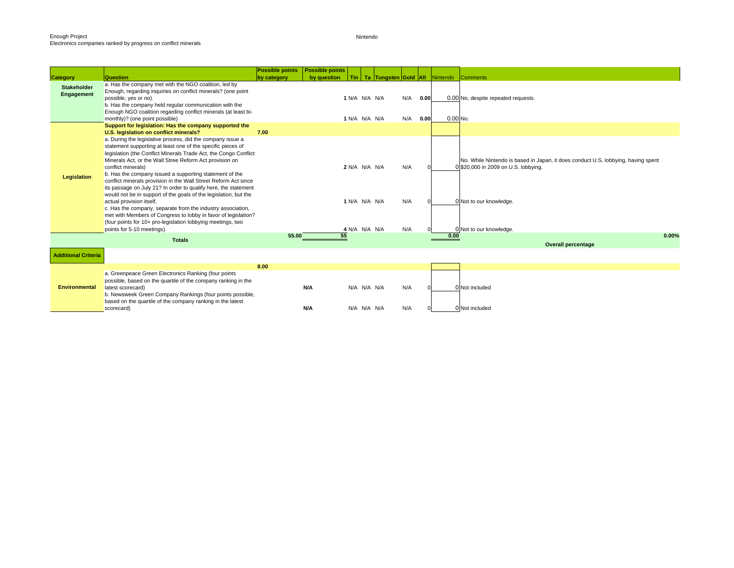Nintendo

|                                  |                                                                                                                                                                                                                                                                                                                                                                                                                                                                                                                                                                                                                                                                                                                                                                                                               | <b>Possible points</b> | <b>Possible points</b> |                                                 |  |                   |              |            |                                                                                                                                                                                 |
|----------------------------------|---------------------------------------------------------------------------------------------------------------------------------------------------------------------------------------------------------------------------------------------------------------------------------------------------------------------------------------------------------------------------------------------------------------------------------------------------------------------------------------------------------------------------------------------------------------------------------------------------------------------------------------------------------------------------------------------------------------------------------------------------------------------------------------------------------------|------------------------|------------------------|-------------------------------------------------|--|-------------------|--------------|------------|---------------------------------------------------------------------------------------------------------------------------------------------------------------------------------|
| <b>Category</b>                  | Question                                                                                                                                                                                                                                                                                                                                                                                                                                                                                                                                                                                                                                                                                                                                                                                                      | by category            | by question            |                                                 |  |                   |              |            | Tin Ta Tungsten Gold All Nintendo Comments                                                                                                                                      |
| <b>Stakeholder</b><br>Engagement | a. Has the company met with the NGO coalition, led by<br>Enough, regarding inquiries on conflict minerals? (one point<br>possible, yes or no).<br>b. Has the company held regular communication with the<br>Enough NGO coalition regarding conflict minerals (at least bi-<br>monthly)? (one point possible)                                                                                                                                                                                                                                                                                                                                                                                                                                                                                                  |                        |                        | 1 N/A N/A N/A<br>1 N/A N/A N/A                  |  | N/A<br>N/A        | 0.00<br>0.00 | $0.00$ No. | 0.00 No, despite repeated requests.                                                                                                                                             |
|                                  | Support for legislation: Has the company supported the                                                                                                                                                                                                                                                                                                                                                                                                                                                                                                                                                                                                                                                                                                                                                        |                        |                        |                                                 |  |                   |              |            |                                                                                                                                                                                 |
|                                  | U.S. legislation on conflict minerals?                                                                                                                                                                                                                                                                                                                                                                                                                                                                                                                                                                                                                                                                                                                                                                        | 7.00                   |                        |                                                 |  |                   |              |            |                                                                                                                                                                                 |
| Legislation                      | a. During the legislative process, did the company issue a<br>statement supporting at least one of the specific pieces of<br>legislation (the Conflict Minerals Trade Act, the Congo Conflict<br>Minerals Act, or the Wall Stree Reform Act provision on<br>conflict minerals)<br>b. Has the company issued a supporting statement of the<br>conflict minerals provision in the Wall Street Reform Act since<br>its passage on July 21? In order to qualify here, the statement<br>would not be in support of the goals of the legislation, but the<br>actual provision itself.<br>c. Has the company, separate from the industry association,<br>met with Members of Congress to lobby in favor of legislation?<br>(four points for 10+ pro-legislation lobbying meetings, two<br>points for 5-10 meetings). |                        |                        | 2 N/A N/A N/A<br>1 N/A N/A N/A<br>4 N/A N/A N/A |  | N/A<br>N/A<br>N/A |              |            | No. While Nintendo is based in Japan, it does conduct U.S. lobbying, having spent<br>0 \$20,000 in 2009 on U.S. lobbying.<br>0 Not to our knowledge.<br>0 Not to our knowledge. |
|                                  | <b>Totals</b>                                                                                                                                                                                                                                                                                                                                                                                                                                                                                                                                                                                                                                                                                                                                                                                                 | 55.00                  | 55                     |                                                 |  |                   |              | 0.00       | 0.00%                                                                                                                                                                           |
|                                  |                                                                                                                                                                                                                                                                                                                                                                                                                                                                                                                                                                                                                                                                                                                                                                                                               |                        |                        |                                                 |  |                   |              |            | <b>Overall percentage</b>                                                                                                                                                       |
| <b>Additional Criteria</b>       |                                                                                                                                                                                                                                                                                                                                                                                                                                                                                                                                                                                                                                                                                                                                                                                                               |                        |                        |                                                 |  |                   |              |            |                                                                                                                                                                                 |
|                                  |                                                                                                                                                                                                                                                                                                                                                                                                                                                                                                                                                                                                                                                                                                                                                                                                               | 8.00                   |                        |                                                 |  |                   |              |            |                                                                                                                                                                                 |
| <b>Environmental</b>             | a. Greenpeace Green Electronics Ranking (four points<br>possible, based on the quartile of the company ranking in the<br>latest scorecard)<br>b. Newsweek Green Company Rankings (four points possible,<br>based on the quartile of the company ranking in the latest                                                                                                                                                                                                                                                                                                                                                                                                                                                                                                                                         |                        | N/A                    | N/A N/A N/A                                     |  | N/A               |              |            | 0 Not included                                                                                                                                                                  |
|                                  | scorecard)                                                                                                                                                                                                                                                                                                                                                                                                                                                                                                                                                                                                                                                                                                                                                                                                    |                        | N/A                    | N/A N/A N/A                                     |  | N/A               |              |            | 0 Not included                                                                                                                                                                  |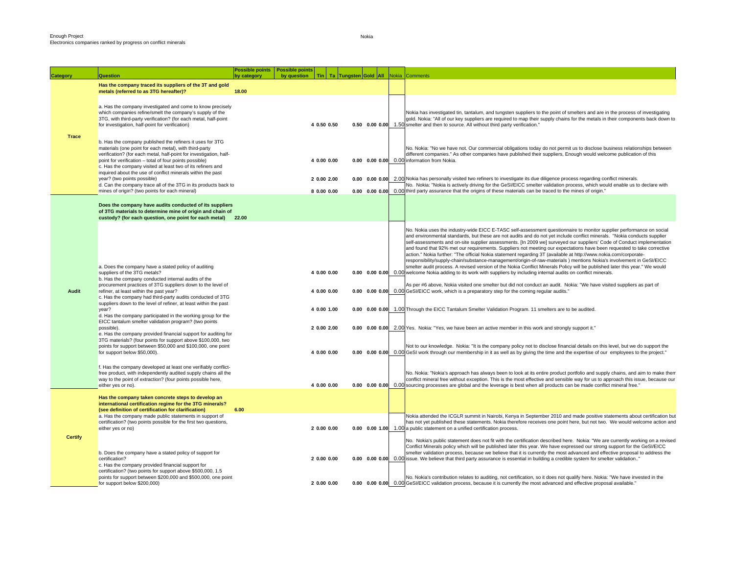| <b>Category</b> | <b>Question</b>                                                                                                                                                                                                                                                                                                                                                                                                                                                                                                                                                                                                                                                                                                                                                                                                                                                                                                                                                                                    | <b>Possible points</b><br>by category | <b>Possible points</b><br>by question | <b>Tin</b>                                                                             | Ta Tungsten Gold All                                 | Nokia | Comments                                                                                                                                                                                                                                                                                                                                                                                                                                                                                                                                                                                                                                                                                                                                                                                                                                                                                                                                                                                                                                                                                                                                                                                                                                                                                                                                                                                                                                                                                                                                                                                                                                                                                                                                                                                                                                                                                                                                                                                                                                                                                                                 |
|-----------------|----------------------------------------------------------------------------------------------------------------------------------------------------------------------------------------------------------------------------------------------------------------------------------------------------------------------------------------------------------------------------------------------------------------------------------------------------------------------------------------------------------------------------------------------------------------------------------------------------------------------------------------------------------------------------------------------------------------------------------------------------------------------------------------------------------------------------------------------------------------------------------------------------------------------------------------------------------------------------------------------------|---------------------------------------|---------------------------------------|----------------------------------------------------------------------------------------|------------------------------------------------------|-------|--------------------------------------------------------------------------------------------------------------------------------------------------------------------------------------------------------------------------------------------------------------------------------------------------------------------------------------------------------------------------------------------------------------------------------------------------------------------------------------------------------------------------------------------------------------------------------------------------------------------------------------------------------------------------------------------------------------------------------------------------------------------------------------------------------------------------------------------------------------------------------------------------------------------------------------------------------------------------------------------------------------------------------------------------------------------------------------------------------------------------------------------------------------------------------------------------------------------------------------------------------------------------------------------------------------------------------------------------------------------------------------------------------------------------------------------------------------------------------------------------------------------------------------------------------------------------------------------------------------------------------------------------------------------------------------------------------------------------------------------------------------------------------------------------------------------------------------------------------------------------------------------------------------------------------------------------------------------------------------------------------------------------------------------------------------------------------------------------------------------------|
|                 | Has the company traced its suppliers of the 3T and gold<br>metals (referred to as 3TG hereafter)?                                                                                                                                                                                                                                                                                                                                                                                                                                                                                                                                                                                                                                                                                                                                                                                                                                                                                                  | 18.00                                 |                                       |                                                                                        |                                                      |       |                                                                                                                                                                                                                                                                                                                                                                                                                                                                                                                                                                                                                                                                                                                                                                                                                                                                                                                                                                                                                                                                                                                                                                                                                                                                                                                                                                                                                                                                                                                                                                                                                                                                                                                                                                                                                                                                                                                                                                                                                                                                                                                          |
|                 | a. Has the company investigated and come to know precisely<br>which companies refine/smelt the company's supply of the<br>3TG, with third-party verification? (for each metal, half-point<br>for investigation, half-point for verification)                                                                                                                                                                                                                                                                                                                                                                                                                                                                                                                                                                                                                                                                                                                                                       |                                       |                                       | 4 0.50 0.50                                                                            |                                                      |       | Nokia has investigated tin, tantalum, and tungsten suppliers to the point of smelters and are in the process of investigating<br>gold. Nokia: "All of our key suppliers are required to map their supply chains for the metals in their components back down to<br>0.50 0.00 0.00 1.50 smelter and then to source. All without third party verification."                                                                                                                                                                                                                                                                                                                                                                                                                                                                                                                                                                                                                                                                                                                                                                                                                                                                                                                                                                                                                                                                                                                                                                                                                                                                                                                                                                                                                                                                                                                                                                                                                                                                                                                                                                |
| <b>Trace</b>    | b. Has the company published the refiners it uses for 3TG<br>materials (one point for each metal), with third-party<br>verification? (for each metal, half-point for investigation, half-<br>point for verification - total of four points possible)<br>c. Has the company visited at least two of its refiners and<br>inquired about the use of conflict minerals within the past                                                                                                                                                                                                                                                                                                                                                                                                                                                                                                                                                                                                                 |                                       |                                       | 4 0.00 0.00                                                                            |                                                      |       | No. Nokia: "No we have not. Our commercial obligations today do not permit us to disclose business relationships between<br>different companies." As other companies have published their suppliers, Enough would welcome publication of this<br>0.00 0.00 0.00 0.00 information from Nokia.                                                                                                                                                                                                                                                                                                                                                                                                                                                                                                                                                                                                                                                                                                                                                                                                                                                                                                                                                                                                                                                                                                                                                                                                                                                                                                                                                                                                                                                                                                                                                                                                                                                                                                                                                                                                                             |
|                 | year? (two points possible)<br>d. Can the company trace all of the 3TG in its products back to<br>mines of origin? (two points for each mineral)                                                                                                                                                                                                                                                                                                                                                                                                                                                                                                                                                                                                                                                                                                                                                                                                                                                   |                                       |                                       | 2 0.00 2.00<br>8 0.00 0.00                                                             | $0.00$ $0.00$ $0.00$                                 |       | 2.00 Nokia has personally visited two refiners to investigate its due diligence process regarding conflict minerals.<br>No. Nokia: "Nokia is actively driving for the GeSI/EICC smelter validation process, which would enable us to declare with<br>0.00 0.00 0.00 third party assurance that the origins of these materials can be traced to the mines of origin."                                                                                                                                                                                                                                                                                                                                                                                                                                                                                                                                                                                                                                                                                                                                                                                                                                                                                                                                                                                                                                                                                                                                                                                                                                                                                                                                                                                                                                                                                                                                                                                                                                                                                                                                                     |
|                 | Does the company have audits conducted of its suppliers<br>of 3TG materials to determine mine of origin and chain of<br>custody? (for each question, one point for each metal) 22.00                                                                                                                                                                                                                                                                                                                                                                                                                                                                                                                                                                                                                                                                                                                                                                                                               |                                       |                                       |                                                                                        |                                                      |       |                                                                                                                                                                                                                                                                                                                                                                                                                                                                                                                                                                                                                                                                                                                                                                                                                                                                                                                                                                                                                                                                                                                                                                                                                                                                                                                                                                                                                                                                                                                                                                                                                                                                                                                                                                                                                                                                                                                                                                                                                                                                                                                          |
| Audit           | a. Does the company have a stated policy of auditing<br>suppliers of the 3TG metals?<br>b. Has the company conducted internal audits of the<br>procurement practices of 3TG suppliers down to the level of<br>refiner, at least within the past year?<br>c. Has the company had third-party audits conducted of 3TG<br>suppliers down to the level of refiner, at least within the past<br>year?<br>d. Has the company participated in the working group for the<br>EICC tantalum smelter validation program? (two points<br>possible).<br>e. Has the company provided financial support for auditing for<br>3TG materials? (four points for support above \$100,000, two<br>points for support between \$50,000 and \$100,000, one point<br>for support below \$50,000).<br>f. Has the company developed at least one verifiably conflict-<br>free product, with independently audited supply chains all the<br>way to the point of extraction? (four points possible here,<br>either yes or no). |                                       |                                       | 4 0.00 0.00<br>4 0.00 0.00<br>4 0.00 1.00<br>2 0.00 2.00<br>4 0.00 0.00<br>4 0.00 0.00 | $0.00$ $0.00$ $0.00$<br>$0.00 \quad 0.00 \quad 0.00$ |       | No. Nokia uses the industry-wide EICC E-TASC self-assessment questionnaire to monitor supplier performance on social<br>and environmental standards, but these are not audits and do not yet include conflict minerals. "Nokia conducts supplier<br>self-assessments and on-site supplier assessments. [In 2009 we] surveyed our suppliers' Code of Conduct implementation<br>and found that 92% met our requirements. Suppliers not meeting our expectations have been requested to take corrective<br>action." Nokia further: "The official Nokia statement regarding 3T (available at http://www.nokia.com/corporate-<br>responsibility/supply-chain/substance-management/origin-of-raw-materials) mentions Nokia's involvement in GeSI/EICC<br>smelter audit process. A revised version of the Nokia Conflict Minerals Policy will be published later this year." We would<br>0.00 0.00 0.00 0.00 velcome Nokia adding to its work with suppliers by including internal audits on conflict minerals.<br>As per #6 above, Nokia visited one smelter but did not conduct an audit. Nokia: "We have visited suppliers as part of<br>0.00 GeSI/EICC work, which is a preparatory step for the coming regular audits."<br>0.00 0.00 0.00 1.00 Through the EICC Tantalum Smelter Validation Program. 11 smelters are to be audited.<br>2.00 Yes. Nokia: "Yes, we have been an active member in this work and strongly support it."<br>Not to our knowledge. Nokia: "It is the company policy not to disclose financial details on this level, but we do support the<br>0.00 0.00 0.00 0.00 GeSI work through our membership in it as well as by giving the time and the expertise of our employees to the project."<br>No. Nokia: "Nokia's approach has always been to look at its entire product portfolio and supply chains, and aim to make them<br>conflict mineral free without exception. This is the most effective and sensible way for us to approach this issue, because our<br>0.00 0.00 0.00 0.00 Sourcing processes are global and the leverage is best when all products can be made conflict mineral free." |
|                 | Has the company taken concrete steps to develop an<br>international certification regime for the 3TG minerals?<br>(see definition of certification for clarification)<br>a. Has the company made public statements in support of<br>certification? (two points possible for the first two questions,<br>either yes or no)                                                                                                                                                                                                                                                                                                                                                                                                                                                                                                                                                                                                                                                                          | 6.00                                  |                                       | 2 0.00 0.00                                                                            |                                                      |       | Nokia attended the ICGLR summit in Nairobi, Kenya in September 2010 and made positive statements about certification but<br>has not yet published these statements. Nokia therefore receives one point here, but not two. We would welcome action and<br>0.00 0.00 1.00 1.00 a public statement on a unified certification process.                                                                                                                                                                                                                                                                                                                                                                                                                                                                                                                                                                                                                                                                                                                                                                                                                                                                                                                                                                                                                                                                                                                                                                                                                                                                                                                                                                                                                                                                                                                                                                                                                                                                                                                                                                                      |
| <b>Certify</b>  | b. Does the company have a stated policy of support for<br>certification?<br>c. Has the company provided financial support for<br>certification? (two points for support above \$500,000, 1.5                                                                                                                                                                                                                                                                                                                                                                                                                                                                                                                                                                                                                                                                                                                                                                                                      |                                       |                                       | 2 0.00 0.00                                                                            |                                                      |       | No. Nokia's public statement does not fit with the certification described here. Nokia: "We are currently working on a revised<br>Conflict Minerals policy which will be published later this year. We have expressed our strong support for the GeSI/EICC<br>smelter validation process, because we believe that it is currently the most advanced and effective proposal to address the<br>0.00 0.00 0.00 0.00 issue. We believe that third party assurance is essential in building a credible system for smelter validation"                                                                                                                                                                                                                                                                                                                                                                                                                                                                                                                                                                                                                                                                                                                                                                                                                                                                                                                                                                                                                                                                                                                                                                                                                                                                                                                                                                                                                                                                                                                                                                                         |
|                 | points for support between \$200,000 and \$500,000, one point<br>for support below \$200,000)                                                                                                                                                                                                                                                                                                                                                                                                                                                                                                                                                                                                                                                                                                                                                                                                                                                                                                      |                                       |                                       | 2 0.00 0.00                                                                            |                                                      |       | No. Nokia's contribution relates to auditing, not certification, so it does not qualify here. Nokia: "We have invested in the<br>0.00 0.00 0.00 0.00 GeSI/EICC validation process, because it is currently the most advanced and effective proposal available."                                                                                                                                                                                                                                                                                                                                                                                                                                                                                                                                                                                                                                                                                                                                                                                                                                                                                                                                                                                                                                                                                                                                                                                                                                                                                                                                                                                                                                                                                                                                                                                                                                                                                                                                                                                                                                                          |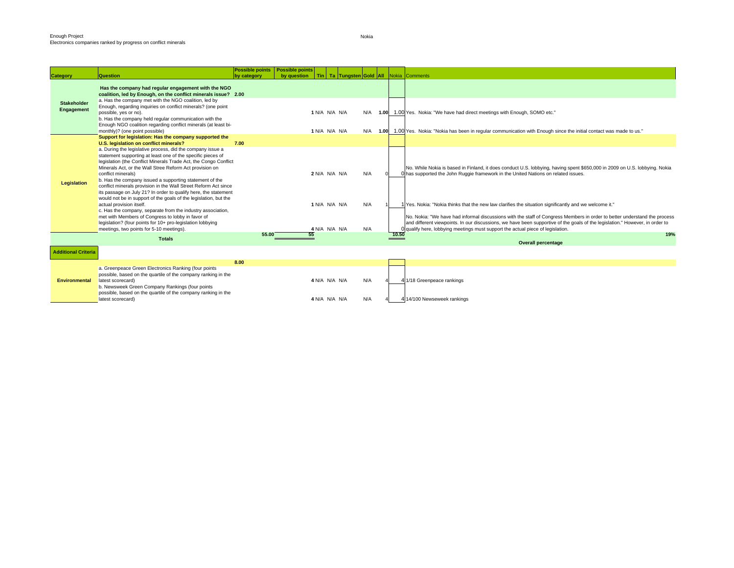| <b>Category</b>                  | <b>Question</b>                                                                                                                                                                                                                                                                                                                                                                                                                                                                                                                                                                                                                                                                                                                                                                                                                                         | Possible points   Possible points<br>by category | by question   Tin   Ta   Tungsten Gold   All   Nokia   Comments |                                                 |                   |       |                                                                                                                                                                                                                                                                                                                                                                                                                                                                                                                                                                                                                                                                          |
|----------------------------------|---------------------------------------------------------------------------------------------------------------------------------------------------------------------------------------------------------------------------------------------------------------------------------------------------------------------------------------------------------------------------------------------------------------------------------------------------------------------------------------------------------------------------------------------------------------------------------------------------------------------------------------------------------------------------------------------------------------------------------------------------------------------------------------------------------------------------------------------------------|--------------------------------------------------|-----------------------------------------------------------------|-------------------------------------------------|-------------------|-------|--------------------------------------------------------------------------------------------------------------------------------------------------------------------------------------------------------------------------------------------------------------------------------------------------------------------------------------------------------------------------------------------------------------------------------------------------------------------------------------------------------------------------------------------------------------------------------------------------------------------------------------------------------------------------|
| <b>Stakeholder</b><br>Engagement | Has the company had regular engagement with the NGO<br>coalition, led by Enough, on the conflict minerals issue? 2.00<br>a. Has the company met with the NGO coalition, led by<br>Enough, regarding inquiries on conflict minerals? (one point<br>possible, yes or no).<br>b. Has the company held regular communication with the<br>Enough NGO coalition regarding conflict minerals (at least bi-<br>monthly)? (one point possible)                                                                                                                                                                                                                                                                                                                                                                                                                   |                                                  |                                                                 | 1 N/A N/A N/A<br>1 N/A N/A N/A                  | N/A<br>N/A        |       | 1.00 1.00 Yes. Nokia: "We have had direct meetings with Enough, SOMO etc."<br>1.00 1.00 Yes. Nokia: "Nokia has been in regular communication with Enough since the initial contact was made to us."                                                                                                                                                                                                                                                                                                                                                                                                                                                                      |
|                                  | Support for legislation: Has the company supported the                                                                                                                                                                                                                                                                                                                                                                                                                                                                                                                                                                                                                                                                                                                                                                                                  |                                                  |                                                                 |                                                 |                   |       |                                                                                                                                                                                                                                                                                                                                                                                                                                                                                                                                                                                                                                                                          |
| Legislation                      | U.S. legislation on conflict minerals?<br>a. During the legislative process, did the company issue a<br>statement supporting at least one of the specific pieces of<br>legislation (the Conflict Minerals Trade Act, the Congo Conflict<br>Minerals Act, or the Wall Stree Reform Act provision on<br>conflict minerals)<br>b. Has the company issued a supporting statement of the<br>conflict minerals provision in the Wall Street Reform Act since<br>its passage on July 21? In order to qualify here, the statement<br>would not be in support of the goals of the legislation, but the<br>actual provision itself.<br>c. Has the company, separate from the industry association,<br>met with Members of Congress to lobby in favor of<br>legislation? (four points for 10+ pro-legislation lobbying<br>meetings, two points for 5-10 meetings). | 7.00                                             |                                                                 | 2 N/A N/A N/A<br>1 N/A N/A N/A<br>4 N/A N/A N/A | N/A<br>N/A<br>N/A |       | No. While Nokia is based in Finland, it does conduct U.S. lobbying, having spent \$650,000 in 2009 on U.S. lobbying. Nokia<br>O has supported the John Ruggie framework in the United Nations on related issues.<br>1 Yes. Nokia: "Nokia thinks that the new law clarifies the situation significantly and we welcome it."<br>No. Nokia: "We have had informal discussions with the staff of Congress Members in order to better understand the process<br>and different viewpoints. In our discussions, we have been supportive of the goals of the legislation." However, in order to<br>qualify here, lobbying meetings must support the actual piece of legislation. |
|                                  | <b>Totals</b>                                                                                                                                                                                                                                                                                                                                                                                                                                                                                                                                                                                                                                                                                                                                                                                                                                           | 55.00                                            |                                                                 |                                                 |                   | 10.50 | 19%                                                                                                                                                                                                                                                                                                                                                                                                                                                                                                                                                                                                                                                                      |
| <b>Additional Criteria</b>       |                                                                                                                                                                                                                                                                                                                                                                                                                                                                                                                                                                                                                                                                                                                                                                                                                                                         |                                                  |                                                                 |                                                 |                   |       | <b>Overall percentage</b>                                                                                                                                                                                                                                                                                                                                                                                                                                                                                                                                                                                                                                                |
|                                  |                                                                                                                                                                                                                                                                                                                                                                                                                                                                                                                                                                                                                                                                                                                                                                                                                                                         | 8.00                                             |                                                                 |                                                 |                   |       |                                                                                                                                                                                                                                                                                                                                                                                                                                                                                                                                                                                                                                                                          |
| <b>Environmental</b>             | a. Greenpeace Green Electronics Ranking (four points<br>possible, based on the quartile of the company ranking in the<br>latest scorecard)<br>b. Newsweek Green Company Rankings (four points<br>possible, based on the quartile of the company ranking in the                                                                                                                                                                                                                                                                                                                                                                                                                                                                                                                                                                                          |                                                  |                                                                 | 4 N/A N/A N/A<br>4 N/A N/A N/A                  | N/A<br>N/A        |       | 4 1/18 Greenpeace rankings                                                                                                                                                                                                                                                                                                                                                                                                                                                                                                                                                                                                                                               |
|                                  | latest scorecard)                                                                                                                                                                                                                                                                                                                                                                                                                                                                                                                                                                                                                                                                                                                                                                                                                                       |                                                  |                                                                 |                                                 |                   |       | 4 14/100 Newseweek rankings                                                                                                                                                                                                                                                                                                                                                                                                                                                                                                                                                                                                                                              |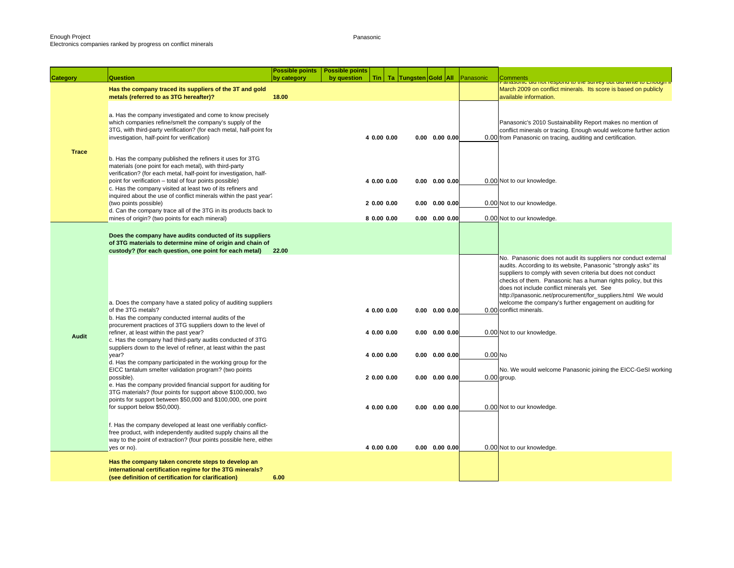Panasonic

| Tin   Ta   Tungsten Gold   All<br><b>Category</b><br>anasonic uiu nor respond to the survey but uiu whie to Enough in<br>Has the company traced its suppliers of the 3T and gold<br>March 2009 on conflict minerals. Its score is based on publicly<br>metals (referred to as 3TG hereafter)?<br>18.00<br>available information.<br>a. Has the company investigated and come to know precisely<br>which companies refine/smelt the company's supply of the<br>Panasonic's 2010 Sustainability Report makes no mention of<br>3TG, with third-party verification? (for each metal, half-point for<br>conflict minerals or tracing. Enough would welcome further action<br>investigation, half-point for verification)<br>4 0.00 0.00<br>$0.00$ $0.00$ $0.00$<br>0.00 from Panasonic on tracing, auditing and certification.<br><b>Trace</b><br>b. Has the company published the refiners it uses for 3TG<br>materials (one point for each metal), with third-party<br>verification? (for each metal, half-point for investigation, half-<br>point for verification - total of four points possible)<br>4 0.00 0.00<br>0.00 Not to our knowledge.<br>$0.00$ $0.00$ $0.00$<br>c. Has the company visited at least two of its refiners and<br>inquired about the use of conflict minerals within the past year?<br>(two points possible)<br>2 0.00 0.00<br>$0.00$ $0.00$ $0.00$<br>0.00 Not to our knowledge.<br>d. Can the company trace all of the 3TG in its products back to<br>mines of origin? (two points for each mineral)<br>8 0.00 0.00<br>$0.00$ $0.00$ $0.00$<br>0.00 Not to our knowledge.<br>Does the company have audits conducted of its suppliers<br>of 3TG materials to determine mine of origin and chain of<br>custody? (for each question, one point for each metal)<br>22.00<br>No. Panasonic does not audit its suppliers nor conduct external<br>audits. According to its website, Panasonic "strongly asks" its<br>suppliers to comply with seven criteria but does not conduct<br>checks of them. Panasonic has a human rights policy, but this<br>does not include conflict minerals yet. See<br>http://panasonic.net/procurement/for_suppliers.html We would<br>a. Does the company have a stated policy of auditing suppliers<br>welcome the company's further engagement on auditing for<br>of the 3TG metals?<br>0.00 conflict minerals.<br>4 0.00 0.00<br>$0.00$ $0.00$ $0.00$<br>b. Has the company conducted internal audits of the<br>procurement practices of 3TG suppliers down to the level of<br>refiner, at least within the past year?<br>0.00 Not to our knowledge.<br>4 0.00 0.00<br>$0.00$ $0.00$ $0.00$<br><b>Audit</b><br>c. Has the company had third-party audits conducted of 3TG<br>suppliers down to the level of refiner, at least within the past<br>$0.00$ No<br>year?<br>4 0.00 0.00<br>$0.00$ $0.00$ $0.00$<br>d. Has the company participated in the working group for the<br>EICC tantalum smelter validation program? (two points<br>$0.00$ group.<br>possible).<br>20.0000.00<br>$0.00$ $0.00$ $0.00$<br>e. Has the company provided financial support for auditing for<br>3TG materials? (four points for support above \$100,000, two<br>points for support between \$50,000 and \$100,000, one point<br>for support below \$50,000).<br>4 0.00 0.00<br>$0.00$ $0.00$ $0.00$<br>0.00 Not to our knowledge.<br>f. Has the company developed at least one verifiably conflict-<br>free product, with independently audited supply chains all the<br>way to the point of extraction? (four points possible here, either<br>4 0.00 0.00<br>$0.00$ $0.00$ $0.00$<br>0.00 Not to our knowledge.<br>yes or no).<br>Has the company taken concrete steps to develop an<br>international certification regime for the 3TG minerals?<br>(see definition of certification for clarification)<br>6.00 |          | <b>Possible points</b> | <b>Possible points</b> |  |  |           |          |
|----------------------------------------------------------------------------------------------------------------------------------------------------------------------------------------------------------------------------------------------------------------------------------------------------------------------------------------------------------------------------------------------------------------------------------------------------------------------------------------------------------------------------------------------------------------------------------------------------------------------------------------------------------------------------------------------------------------------------------------------------------------------------------------------------------------------------------------------------------------------------------------------------------------------------------------------------------------------------------------------------------------------------------------------------------------------------------------------------------------------------------------------------------------------------------------------------------------------------------------------------------------------------------------------------------------------------------------------------------------------------------------------------------------------------------------------------------------------------------------------------------------------------------------------------------------------------------------------------------------------------------------------------------------------------------------------------------------------------------------------------------------------------------------------------------------------------------------------------------------------------------------------------------------------------------------------------------------------------------------------------------------------------------------------------------------------------------------------------------------------------------------------------------------------------------------------------------------------------------------------------------------------------------------------------------------------------------------------------------------------------------------------------------------------------------------------------------------------------------------------------------------------------------------------------------------------------------------------------------------------------------------------------------------------------------------------------------------------------------------------------------------------------------------------------------------------------------------------------------------------------------------------------------------------------------------------------------------------------------------------------------------------------------------------------------------------------------------------------------------------------------------------------------------------------------------------------------------------------------------------------------------------------------------------------------------------------------------------------------------------------------------------------------------------------------------------------------------------------------------------------------------------------------------------------------------------------------------------------------------------------------------------------------------------------------------------------------------------------------------------------------------------------------------------------------------------------------------------------|----------|------------------------|------------------------|--|--|-----------|----------|
|                                                                                                                                                                                                                                                                                                                                                                                                                                                                                                                                                                                                                                                                                                                                                                                                                                                                                                                                                                                                                                                                                                                                                                                                                                                                                                                                                                                                                                                                                                                                                                                                                                                                                                                                                                                                                                                                                                                                                                                                                                                                                                                                                                                                                                                                                                                                                                                                                                                                                                                                                                                                                                                                                                                                                                                                                                                                                                                                                                                                                                                                                                                                                                                                                                                                                                                                                                                                                                                                                                                                                                                                                                                                                                                                                                                                                                                    | Question | by category            | by question            |  |  | Panasonic | Comments |
|                                                                                                                                                                                                                                                                                                                                                                                                                                                                                                                                                                                                                                                                                                                                                                                                                                                                                                                                                                                                                                                                                                                                                                                                                                                                                                                                                                                                                                                                                                                                                                                                                                                                                                                                                                                                                                                                                                                                                                                                                                                                                                                                                                                                                                                                                                                                                                                                                                                                                                                                                                                                                                                                                                                                                                                                                                                                                                                                                                                                                                                                                                                                                                                                                                                                                                                                                                                                                                                                                                                                                                                                                                                                                                                                                                                                                                                    |          |                        |                        |  |  |           |          |
| No. We would welcome Panasonic joining the EICC-GeSI working                                                                                                                                                                                                                                                                                                                                                                                                                                                                                                                                                                                                                                                                                                                                                                                                                                                                                                                                                                                                                                                                                                                                                                                                                                                                                                                                                                                                                                                                                                                                                                                                                                                                                                                                                                                                                                                                                                                                                                                                                                                                                                                                                                                                                                                                                                                                                                                                                                                                                                                                                                                                                                                                                                                                                                                                                                                                                                                                                                                                                                                                                                                                                                                                                                                                                                                                                                                                                                                                                                                                                                                                                                                                                                                                                                                       |          |                        |                        |  |  |           |          |
|                                                                                                                                                                                                                                                                                                                                                                                                                                                                                                                                                                                                                                                                                                                                                                                                                                                                                                                                                                                                                                                                                                                                                                                                                                                                                                                                                                                                                                                                                                                                                                                                                                                                                                                                                                                                                                                                                                                                                                                                                                                                                                                                                                                                                                                                                                                                                                                                                                                                                                                                                                                                                                                                                                                                                                                                                                                                                                                                                                                                                                                                                                                                                                                                                                                                                                                                                                                                                                                                                                                                                                                                                                                                                                                                                                                                                                                    |          |                        |                        |  |  |           |          |
|                                                                                                                                                                                                                                                                                                                                                                                                                                                                                                                                                                                                                                                                                                                                                                                                                                                                                                                                                                                                                                                                                                                                                                                                                                                                                                                                                                                                                                                                                                                                                                                                                                                                                                                                                                                                                                                                                                                                                                                                                                                                                                                                                                                                                                                                                                                                                                                                                                                                                                                                                                                                                                                                                                                                                                                                                                                                                                                                                                                                                                                                                                                                                                                                                                                                                                                                                                                                                                                                                                                                                                                                                                                                                                                                                                                                                                                    |          |                        |                        |  |  |           |          |
|                                                                                                                                                                                                                                                                                                                                                                                                                                                                                                                                                                                                                                                                                                                                                                                                                                                                                                                                                                                                                                                                                                                                                                                                                                                                                                                                                                                                                                                                                                                                                                                                                                                                                                                                                                                                                                                                                                                                                                                                                                                                                                                                                                                                                                                                                                                                                                                                                                                                                                                                                                                                                                                                                                                                                                                                                                                                                                                                                                                                                                                                                                                                                                                                                                                                                                                                                                                                                                                                                                                                                                                                                                                                                                                                                                                                                                                    |          |                        |                        |  |  |           |          |
|                                                                                                                                                                                                                                                                                                                                                                                                                                                                                                                                                                                                                                                                                                                                                                                                                                                                                                                                                                                                                                                                                                                                                                                                                                                                                                                                                                                                                                                                                                                                                                                                                                                                                                                                                                                                                                                                                                                                                                                                                                                                                                                                                                                                                                                                                                                                                                                                                                                                                                                                                                                                                                                                                                                                                                                                                                                                                                                                                                                                                                                                                                                                                                                                                                                                                                                                                                                                                                                                                                                                                                                                                                                                                                                                                                                                                                                    |          |                        |                        |  |  |           |          |
|                                                                                                                                                                                                                                                                                                                                                                                                                                                                                                                                                                                                                                                                                                                                                                                                                                                                                                                                                                                                                                                                                                                                                                                                                                                                                                                                                                                                                                                                                                                                                                                                                                                                                                                                                                                                                                                                                                                                                                                                                                                                                                                                                                                                                                                                                                                                                                                                                                                                                                                                                                                                                                                                                                                                                                                                                                                                                                                                                                                                                                                                                                                                                                                                                                                                                                                                                                                                                                                                                                                                                                                                                                                                                                                                                                                                                                                    |          |                        |                        |  |  |           |          |
|                                                                                                                                                                                                                                                                                                                                                                                                                                                                                                                                                                                                                                                                                                                                                                                                                                                                                                                                                                                                                                                                                                                                                                                                                                                                                                                                                                                                                                                                                                                                                                                                                                                                                                                                                                                                                                                                                                                                                                                                                                                                                                                                                                                                                                                                                                                                                                                                                                                                                                                                                                                                                                                                                                                                                                                                                                                                                                                                                                                                                                                                                                                                                                                                                                                                                                                                                                                                                                                                                                                                                                                                                                                                                                                                                                                                                                                    |          |                        |                        |  |  |           |          |
|                                                                                                                                                                                                                                                                                                                                                                                                                                                                                                                                                                                                                                                                                                                                                                                                                                                                                                                                                                                                                                                                                                                                                                                                                                                                                                                                                                                                                                                                                                                                                                                                                                                                                                                                                                                                                                                                                                                                                                                                                                                                                                                                                                                                                                                                                                                                                                                                                                                                                                                                                                                                                                                                                                                                                                                                                                                                                                                                                                                                                                                                                                                                                                                                                                                                                                                                                                                                                                                                                                                                                                                                                                                                                                                                                                                                                                                    |          |                        |                        |  |  |           |          |
|                                                                                                                                                                                                                                                                                                                                                                                                                                                                                                                                                                                                                                                                                                                                                                                                                                                                                                                                                                                                                                                                                                                                                                                                                                                                                                                                                                                                                                                                                                                                                                                                                                                                                                                                                                                                                                                                                                                                                                                                                                                                                                                                                                                                                                                                                                                                                                                                                                                                                                                                                                                                                                                                                                                                                                                                                                                                                                                                                                                                                                                                                                                                                                                                                                                                                                                                                                                                                                                                                                                                                                                                                                                                                                                                                                                                                                                    |          |                        |                        |  |  |           |          |
|                                                                                                                                                                                                                                                                                                                                                                                                                                                                                                                                                                                                                                                                                                                                                                                                                                                                                                                                                                                                                                                                                                                                                                                                                                                                                                                                                                                                                                                                                                                                                                                                                                                                                                                                                                                                                                                                                                                                                                                                                                                                                                                                                                                                                                                                                                                                                                                                                                                                                                                                                                                                                                                                                                                                                                                                                                                                                                                                                                                                                                                                                                                                                                                                                                                                                                                                                                                                                                                                                                                                                                                                                                                                                                                                                                                                                                                    |          |                        |                        |  |  |           |          |
|                                                                                                                                                                                                                                                                                                                                                                                                                                                                                                                                                                                                                                                                                                                                                                                                                                                                                                                                                                                                                                                                                                                                                                                                                                                                                                                                                                                                                                                                                                                                                                                                                                                                                                                                                                                                                                                                                                                                                                                                                                                                                                                                                                                                                                                                                                                                                                                                                                                                                                                                                                                                                                                                                                                                                                                                                                                                                                                                                                                                                                                                                                                                                                                                                                                                                                                                                                                                                                                                                                                                                                                                                                                                                                                                                                                                                                                    |          |                        |                        |  |  |           |          |
|                                                                                                                                                                                                                                                                                                                                                                                                                                                                                                                                                                                                                                                                                                                                                                                                                                                                                                                                                                                                                                                                                                                                                                                                                                                                                                                                                                                                                                                                                                                                                                                                                                                                                                                                                                                                                                                                                                                                                                                                                                                                                                                                                                                                                                                                                                                                                                                                                                                                                                                                                                                                                                                                                                                                                                                                                                                                                                                                                                                                                                                                                                                                                                                                                                                                                                                                                                                                                                                                                                                                                                                                                                                                                                                                                                                                                                                    |          |                        |                        |  |  |           |          |
|                                                                                                                                                                                                                                                                                                                                                                                                                                                                                                                                                                                                                                                                                                                                                                                                                                                                                                                                                                                                                                                                                                                                                                                                                                                                                                                                                                                                                                                                                                                                                                                                                                                                                                                                                                                                                                                                                                                                                                                                                                                                                                                                                                                                                                                                                                                                                                                                                                                                                                                                                                                                                                                                                                                                                                                                                                                                                                                                                                                                                                                                                                                                                                                                                                                                                                                                                                                                                                                                                                                                                                                                                                                                                                                                                                                                                                                    |          |                        |                        |  |  |           |          |
|                                                                                                                                                                                                                                                                                                                                                                                                                                                                                                                                                                                                                                                                                                                                                                                                                                                                                                                                                                                                                                                                                                                                                                                                                                                                                                                                                                                                                                                                                                                                                                                                                                                                                                                                                                                                                                                                                                                                                                                                                                                                                                                                                                                                                                                                                                                                                                                                                                                                                                                                                                                                                                                                                                                                                                                                                                                                                                                                                                                                                                                                                                                                                                                                                                                                                                                                                                                                                                                                                                                                                                                                                                                                                                                                                                                                                                                    |          |                        |                        |  |  |           |          |
|                                                                                                                                                                                                                                                                                                                                                                                                                                                                                                                                                                                                                                                                                                                                                                                                                                                                                                                                                                                                                                                                                                                                                                                                                                                                                                                                                                                                                                                                                                                                                                                                                                                                                                                                                                                                                                                                                                                                                                                                                                                                                                                                                                                                                                                                                                                                                                                                                                                                                                                                                                                                                                                                                                                                                                                                                                                                                                                                                                                                                                                                                                                                                                                                                                                                                                                                                                                                                                                                                                                                                                                                                                                                                                                                                                                                                                                    |          |                        |                        |  |  |           |          |
|                                                                                                                                                                                                                                                                                                                                                                                                                                                                                                                                                                                                                                                                                                                                                                                                                                                                                                                                                                                                                                                                                                                                                                                                                                                                                                                                                                                                                                                                                                                                                                                                                                                                                                                                                                                                                                                                                                                                                                                                                                                                                                                                                                                                                                                                                                                                                                                                                                                                                                                                                                                                                                                                                                                                                                                                                                                                                                                                                                                                                                                                                                                                                                                                                                                                                                                                                                                                                                                                                                                                                                                                                                                                                                                                                                                                                                                    |          |                        |                        |  |  |           |          |
|                                                                                                                                                                                                                                                                                                                                                                                                                                                                                                                                                                                                                                                                                                                                                                                                                                                                                                                                                                                                                                                                                                                                                                                                                                                                                                                                                                                                                                                                                                                                                                                                                                                                                                                                                                                                                                                                                                                                                                                                                                                                                                                                                                                                                                                                                                                                                                                                                                                                                                                                                                                                                                                                                                                                                                                                                                                                                                                                                                                                                                                                                                                                                                                                                                                                                                                                                                                                                                                                                                                                                                                                                                                                                                                                                                                                                                                    |          |                        |                        |  |  |           |          |
|                                                                                                                                                                                                                                                                                                                                                                                                                                                                                                                                                                                                                                                                                                                                                                                                                                                                                                                                                                                                                                                                                                                                                                                                                                                                                                                                                                                                                                                                                                                                                                                                                                                                                                                                                                                                                                                                                                                                                                                                                                                                                                                                                                                                                                                                                                                                                                                                                                                                                                                                                                                                                                                                                                                                                                                                                                                                                                                                                                                                                                                                                                                                                                                                                                                                                                                                                                                                                                                                                                                                                                                                                                                                                                                                                                                                                                                    |          |                        |                        |  |  |           |          |
|                                                                                                                                                                                                                                                                                                                                                                                                                                                                                                                                                                                                                                                                                                                                                                                                                                                                                                                                                                                                                                                                                                                                                                                                                                                                                                                                                                                                                                                                                                                                                                                                                                                                                                                                                                                                                                                                                                                                                                                                                                                                                                                                                                                                                                                                                                                                                                                                                                                                                                                                                                                                                                                                                                                                                                                                                                                                                                                                                                                                                                                                                                                                                                                                                                                                                                                                                                                                                                                                                                                                                                                                                                                                                                                                                                                                                                                    |          |                        |                        |  |  |           |          |
|                                                                                                                                                                                                                                                                                                                                                                                                                                                                                                                                                                                                                                                                                                                                                                                                                                                                                                                                                                                                                                                                                                                                                                                                                                                                                                                                                                                                                                                                                                                                                                                                                                                                                                                                                                                                                                                                                                                                                                                                                                                                                                                                                                                                                                                                                                                                                                                                                                                                                                                                                                                                                                                                                                                                                                                                                                                                                                                                                                                                                                                                                                                                                                                                                                                                                                                                                                                                                                                                                                                                                                                                                                                                                                                                                                                                                                                    |          |                        |                        |  |  |           |          |
|                                                                                                                                                                                                                                                                                                                                                                                                                                                                                                                                                                                                                                                                                                                                                                                                                                                                                                                                                                                                                                                                                                                                                                                                                                                                                                                                                                                                                                                                                                                                                                                                                                                                                                                                                                                                                                                                                                                                                                                                                                                                                                                                                                                                                                                                                                                                                                                                                                                                                                                                                                                                                                                                                                                                                                                                                                                                                                                                                                                                                                                                                                                                                                                                                                                                                                                                                                                                                                                                                                                                                                                                                                                                                                                                                                                                                                                    |          |                        |                        |  |  |           |          |
|                                                                                                                                                                                                                                                                                                                                                                                                                                                                                                                                                                                                                                                                                                                                                                                                                                                                                                                                                                                                                                                                                                                                                                                                                                                                                                                                                                                                                                                                                                                                                                                                                                                                                                                                                                                                                                                                                                                                                                                                                                                                                                                                                                                                                                                                                                                                                                                                                                                                                                                                                                                                                                                                                                                                                                                                                                                                                                                                                                                                                                                                                                                                                                                                                                                                                                                                                                                                                                                                                                                                                                                                                                                                                                                                                                                                                                                    |          |                        |                        |  |  |           |          |
|                                                                                                                                                                                                                                                                                                                                                                                                                                                                                                                                                                                                                                                                                                                                                                                                                                                                                                                                                                                                                                                                                                                                                                                                                                                                                                                                                                                                                                                                                                                                                                                                                                                                                                                                                                                                                                                                                                                                                                                                                                                                                                                                                                                                                                                                                                                                                                                                                                                                                                                                                                                                                                                                                                                                                                                                                                                                                                                                                                                                                                                                                                                                                                                                                                                                                                                                                                                                                                                                                                                                                                                                                                                                                                                                                                                                                                                    |          |                        |                        |  |  |           |          |
|                                                                                                                                                                                                                                                                                                                                                                                                                                                                                                                                                                                                                                                                                                                                                                                                                                                                                                                                                                                                                                                                                                                                                                                                                                                                                                                                                                                                                                                                                                                                                                                                                                                                                                                                                                                                                                                                                                                                                                                                                                                                                                                                                                                                                                                                                                                                                                                                                                                                                                                                                                                                                                                                                                                                                                                                                                                                                                                                                                                                                                                                                                                                                                                                                                                                                                                                                                                                                                                                                                                                                                                                                                                                                                                                                                                                                                                    |          |                        |                        |  |  |           |          |
|                                                                                                                                                                                                                                                                                                                                                                                                                                                                                                                                                                                                                                                                                                                                                                                                                                                                                                                                                                                                                                                                                                                                                                                                                                                                                                                                                                                                                                                                                                                                                                                                                                                                                                                                                                                                                                                                                                                                                                                                                                                                                                                                                                                                                                                                                                                                                                                                                                                                                                                                                                                                                                                                                                                                                                                                                                                                                                                                                                                                                                                                                                                                                                                                                                                                                                                                                                                                                                                                                                                                                                                                                                                                                                                                                                                                                                                    |          |                        |                        |  |  |           |          |
|                                                                                                                                                                                                                                                                                                                                                                                                                                                                                                                                                                                                                                                                                                                                                                                                                                                                                                                                                                                                                                                                                                                                                                                                                                                                                                                                                                                                                                                                                                                                                                                                                                                                                                                                                                                                                                                                                                                                                                                                                                                                                                                                                                                                                                                                                                                                                                                                                                                                                                                                                                                                                                                                                                                                                                                                                                                                                                                                                                                                                                                                                                                                                                                                                                                                                                                                                                                                                                                                                                                                                                                                                                                                                                                                                                                                                                                    |          |                        |                        |  |  |           |          |
|                                                                                                                                                                                                                                                                                                                                                                                                                                                                                                                                                                                                                                                                                                                                                                                                                                                                                                                                                                                                                                                                                                                                                                                                                                                                                                                                                                                                                                                                                                                                                                                                                                                                                                                                                                                                                                                                                                                                                                                                                                                                                                                                                                                                                                                                                                                                                                                                                                                                                                                                                                                                                                                                                                                                                                                                                                                                                                                                                                                                                                                                                                                                                                                                                                                                                                                                                                                                                                                                                                                                                                                                                                                                                                                                                                                                                                                    |          |                        |                        |  |  |           |          |
|                                                                                                                                                                                                                                                                                                                                                                                                                                                                                                                                                                                                                                                                                                                                                                                                                                                                                                                                                                                                                                                                                                                                                                                                                                                                                                                                                                                                                                                                                                                                                                                                                                                                                                                                                                                                                                                                                                                                                                                                                                                                                                                                                                                                                                                                                                                                                                                                                                                                                                                                                                                                                                                                                                                                                                                                                                                                                                                                                                                                                                                                                                                                                                                                                                                                                                                                                                                                                                                                                                                                                                                                                                                                                                                                                                                                                                                    |          |                        |                        |  |  |           |          |
|                                                                                                                                                                                                                                                                                                                                                                                                                                                                                                                                                                                                                                                                                                                                                                                                                                                                                                                                                                                                                                                                                                                                                                                                                                                                                                                                                                                                                                                                                                                                                                                                                                                                                                                                                                                                                                                                                                                                                                                                                                                                                                                                                                                                                                                                                                                                                                                                                                                                                                                                                                                                                                                                                                                                                                                                                                                                                                                                                                                                                                                                                                                                                                                                                                                                                                                                                                                                                                                                                                                                                                                                                                                                                                                                                                                                                                                    |          |                        |                        |  |  |           |          |
|                                                                                                                                                                                                                                                                                                                                                                                                                                                                                                                                                                                                                                                                                                                                                                                                                                                                                                                                                                                                                                                                                                                                                                                                                                                                                                                                                                                                                                                                                                                                                                                                                                                                                                                                                                                                                                                                                                                                                                                                                                                                                                                                                                                                                                                                                                                                                                                                                                                                                                                                                                                                                                                                                                                                                                                                                                                                                                                                                                                                                                                                                                                                                                                                                                                                                                                                                                                                                                                                                                                                                                                                                                                                                                                                                                                                                                                    |          |                        |                        |  |  |           |          |
|                                                                                                                                                                                                                                                                                                                                                                                                                                                                                                                                                                                                                                                                                                                                                                                                                                                                                                                                                                                                                                                                                                                                                                                                                                                                                                                                                                                                                                                                                                                                                                                                                                                                                                                                                                                                                                                                                                                                                                                                                                                                                                                                                                                                                                                                                                                                                                                                                                                                                                                                                                                                                                                                                                                                                                                                                                                                                                                                                                                                                                                                                                                                                                                                                                                                                                                                                                                                                                                                                                                                                                                                                                                                                                                                                                                                                                                    |          |                        |                        |  |  |           |          |
|                                                                                                                                                                                                                                                                                                                                                                                                                                                                                                                                                                                                                                                                                                                                                                                                                                                                                                                                                                                                                                                                                                                                                                                                                                                                                                                                                                                                                                                                                                                                                                                                                                                                                                                                                                                                                                                                                                                                                                                                                                                                                                                                                                                                                                                                                                                                                                                                                                                                                                                                                                                                                                                                                                                                                                                                                                                                                                                                                                                                                                                                                                                                                                                                                                                                                                                                                                                                                                                                                                                                                                                                                                                                                                                                                                                                                                                    |          |                        |                        |  |  |           |          |
|                                                                                                                                                                                                                                                                                                                                                                                                                                                                                                                                                                                                                                                                                                                                                                                                                                                                                                                                                                                                                                                                                                                                                                                                                                                                                                                                                                                                                                                                                                                                                                                                                                                                                                                                                                                                                                                                                                                                                                                                                                                                                                                                                                                                                                                                                                                                                                                                                                                                                                                                                                                                                                                                                                                                                                                                                                                                                                                                                                                                                                                                                                                                                                                                                                                                                                                                                                                                                                                                                                                                                                                                                                                                                                                                                                                                                                                    |          |                        |                        |  |  |           |          |
|                                                                                                                                                                                                                                                                                                                                                                                                                                                                                                                                                                                                                                                                                                                                                                                                                                                                                                                                                                                                                                                                                                                                                                                                                                                                                                                                                                                                                                                                                                                                                                                                                                                                                                                                                                                                                                                                                                                                                                                                                                                                                                                                                                                                                                                                                                                                                                                                                                                                                                                                                                                                                                                                                                                                                                                                                                                                                                                                                                                                                                                                                                                                                                                                                                                                                                                                                                                                                                                                                                                                                                                                                                                                                                                                                                                                                                                    |          |                        |                        |  |  |           |          |
|                                                                                                                                                                                                                                                                                                                                                                                                                                                                                                                                                                                                                                                                                                                                                                                                                                                                                                                                                                                                                                                                                                                                                                                                                                                                                                                                                                                                                                                                                                                                                                                                                                                                                                                                                                                                                                                                                                                                                                                                                                                                                                                                                                                                                                                                                                                                                                                                                                                                                                                                                                                                                                                                                                                                                                                                                                                                                                                                                                                                                                                                                                                                                                                                                                                                                                                                                                                                                                                                                                                                                                                                                                                                                                                                                                                                                                                    |          |                        |                        |  |  |           |          |
|                                                                                                                                                                                                                                                                                                                                                                                                                                                                                                                                                                                                                                                                                                                                                                                                                                                                                                                                                                                                                                                                                                                                                                                                                                                                                                                                                                                                                                                                                                                                                                                                                                                                                                                                                                                                                                                                                                                                                                                                                                                                                                                                                                                                                                                                                                                                                                                                                                                                                                                                                                                                                                                                                                                                                                                                                                                                                                                                                                                                                                                                                                                                                                                                                                                                                                                                                                                                                                                                                                                                                                                                                                                                                                                                                                                                                                                    |          |                        |                        |  |  |           |          |
|                                                                                                                                                                                                                                                                                                                                                                                                                                                                                                                                                                                                                                                                                                                                                                                                                                                                                                                                                                                                                                                                                                                                                                                                                                                                                                                                                                                                                                                                                                                                                                                                                                                                                                                                                                                                                                                                                                                                                                                                                                                                                                                                                                                                                                                                                                                                                                                                                                                                                                                                                                                                                                                                                                                                                                                                                                                                                                                                                                                                                                                                                                                                                                                                                                                                                                                                                                                                                                                                                                                                                                                                                                                                                                                                                                                                                                                    |          |                        |                        |  |  |           |          |
|                                                                                                                                                                                                                                                                                                                                                                                                                                                                                                                                                                                                                                                                                                                                                                                                                                                                                                                                                                                                                                                                                                                                                                                                                                                                                                                                                                                                                                                                                                                                                                                                                                                                                                                                                                                                                                                                                                                                                                                                                                                                                                                                                                                                                                                                                                                                                                                                                                                                                                                                                                                                                                                                                                                                                                                                                                                                                                                                                                                                                                                                                                                                                                                                                                                                                                                                                                                                                                                                                                                                                                                                                                                                                                                                                                                                                                                    |          |                        |                        |  |  |           |          |
|                                                                                                                                                                                                                                                                                                                                                                                                                                                                                                                                                                                                                                                                                                                                                                                                                                                                                                                                                                                                                                                                                                                                                                                                                                                                                                                                                                                                                                                                                                                                                                                                                                                                                                                                                                                                                                                                                                                                                                                                                                                                                                                                                                                                                                                                                                                                                                                                                                                                                                                                                                                                                                                                                                                                                                                                                                                                                                                                                                                                                                                                                                                                                                                                                                                                                                                                                                                                                                                                                                                                                                                                                                                                                                                                                                                                                                                    |          |                        |                        |  |  |           |          |
|                                                                                                                                                                                                                                                                                                                                                                                                                                                                                                                                                                                                                                                                                                                                                                                                                                                                                                                                                                                                                                                                                                                                                                                                                                                                                                                                                                                                                                                                                                                                                                                                                                                                                                                                                                                                                                                                                                                                                                                                                                                                                                                                                                                                                                                                                                                                                                                                                                                                                                                                                                                                                                                                                                                                                                                                                                                                                                                                                                                                                                                                                                                                                                                                                                                                                                                                                                                                                                                                                                                                                                                                                                                                                                                                                                                                                                                    |          |                        |                        |  |  |           |          |
|                                                                                                                                                                                                                                                                                                                                                                                                                                                                                                                                                                                                                                                                                                                                                                                                                                                                                                                                                                                                                                                                                                                                                                                                                                                                                                                                                                                                                                                                                                                                                                                                                                                                                                                                                                                                                                                                                                                                                                                                                                                                                                                                                                                                                                                                                                                                                                                                                                                                                                                                                                                                                                                                                                                                                                                                                                                                                                                                                                                                                                                                                                                                                                                                                                                                                                                                                                                                                                                                                                                                                                                                                                                                                                                                                                                                                                                    |          |                        |                        |  |  |           |          |
|                                                                                                                                                                                                                                                                                                                                                                                                                                                                                                                                                                                                                                                                                                                                                                                                                                                                                                                                                                                                                                                                                                                                                                                                                                                                                                                                                                                                                                                                                                                                                                                                                                                                                                                                                                                                                                                                                                                                                                                                                                                                                                                                                                                                                                                                                                                                                                                                                                                                                                                                                                                                                                                                                                                                                                                                                                                                                                                                                                                                                                                                                                                                                                                                                                                                                                                                                                                                                                                                                                                                                                                                                                                                                                                                                                                                                                                    |          |                        |                        |  |  |           |          |
|                                                                                                                                                                                                                                                                                                                                                                                                                                                                                                                                                                                                                                                                                                                                                                                                                                                                                                                                                                                                                                                                                                                                                                                                                                                                                                                                                                                                                                                                                                                                                                                                                                                                                                                                                                                                                                                                                                                                                                                                                                                                                                                                                                                                                                                                                                                                                                                                                                                                                                                                                                                                                                                                                                                                                                                                                                                                                                                                                                                                                                                                                                                                                                                                                                                                                                                                                                                                                                                                                                                                                                                                                                                                                                                                                                                                                                                    |          |                        |                        |  |  |           |          |
|                                                                                                                                                                                                                                                                                                                                                                                                                                                                                                                                                                                                                                                                                                                                                                                                                                                                                                                                                                                                                                                                                                                                                                                                                                                                                                                                                                                                                                                                                                                                                                                                                                                                                                                                                                                                                                                                                                                                                                                                                                                                                                                                                                                                                                                                                                                                                                                                                                                                                                                                                                                                                                                                                                                                                                                                                                                                                                                                                                                                                                                                                                                                                                                                                                                                                                                                                                                                                                                                                                                                                                                                                                                                                                                                                                                                                                                    |          |                        |                        |  |  |           |          |
|                                                                                                                                                                                                                                                                                                                                                                                                                                                                                                                                                                                                                                                                                                                                                                                                                                                                                                                                                                                                                                                                                                                                                                                                                                                                                                                                                                                                                                                                                                                                                                                                                                                                                                                                                                                                                                                                                                                                                                                                                                                                                                                                                                                                                                                                                                                                                                                                                                                                                                                                                                                                                                                                                                                                                                                                                                                                                                                                                                                                                                                                                                                                                                                                                                                                                                                                                                                                                                                                                                                                                                                                                                                                                                                                                                                                                                                    |          |                        |                        |  |  |           |          |
|                                                                                                                                                                                                                                                                                                                                                                                                                                                                                                                                                                                                                                                                                                                                                                                                                                                                                                                                                                                                                                                                                                                                                                                                                                                                                                                                                                                                                                                                                                                                                                                                                                                                                                                                                                                                                                                                                                                                                                                                                                                                                                                                                                                                                                                                                                                                                                                                                                                                                                                                                                                                                                                                                                                                                                                                                                                                                                                                                                                                                                                                                                                                                                                                                                                                                                                                                                                                                                                                                                                                                                                                                                                                                                                                                                                                                                                    |          |                        |                        |  |  |           |          |
|                                                                                                                                                                                                                                                                                                                                                                                                                                                                                                                                                                                                                                                                                                                                                                                                                                                                                                                                                                                                                                                                                                                                                                                                                                                                                                                                                                                                                                                                                                                                                                                                                                                                                                                                                                                                                                                                                                                                                                                                                                                                                                                                                                                                                                                                                                                                                                                                                                                                                                                                                                                                                                                                                                                                                                                                                                                                                                                                                                                                                                                                                                                                                                                                                                                                                                                                                                                                                                                                                                                                                                                                                                                                                                                                                                                                                                                    |          |                        |                        |  |  |           |          |
|                                                                                                                                                                                                                                                                                                                                                                                                                                                                                                                                                                                                                                                                                                                                                                                                                                                                                                                                                                                                                                                                                                                                                                                                                                                                                                                                                                                                                                                                                                                                                                                                                                                                                                                                                                                                                                                                                                                                                                                                                                                                                                                                                                                                                                                                                                                                                                                                                                                                                                                                                                                                                                                                                                                                                                                                                                                                                                                                                                                                                                                                                                                                                                                                                                                                                                                                                                                                                                                                                                                                                                                                                                                                                                                                                                                                                                                    |          |                        |                        |  |  |           |          |
|                                                                                                                                                                                                                                                                                                                                                                                                                                                                                                                                                                                                                                                                                                                                                                                                                                                                                                                                                                                                                                                                                                                                                                                                                                                                                                                                                                                                                                                                                                                                                                                                                                                                                                                                                                                                                                                                                                                                                                                                                                                                                                                                                                                                                                                                                                                                                                                                                                                                                                                                                                                                                                                                                                                                                                                                                                                                                                                                                                                                                                                                                                                                                                                                                                                                                                                                                                                                                                                                                                                                                                                                                                                                                                                                                                                                                                                    |          |                        |                        |  |  |           |          |
|                                                                                                                                                                                                                                                                                                                                                                                                                                                                                                                                                                                                                                                                                                                                                                                                                                                                                                                                                                                                                                                                                                                                                                                                                                                                                                                                                                                                                                                                                                                                                                                                                                                                                                                                                                                                                                                                                                                                                                                                                                                                                                                                                                                                                                                                                                                                                                                                                                                                                                                                                                                                                                                                                                                                                                                                                                                                                                                                                                                                                                                                                                                                                                                                                                                                                                                                                                                                                                                                                                                                                                                                                                                                                                                                                                                                                                                    |          |                        |                        |  |  |           |          |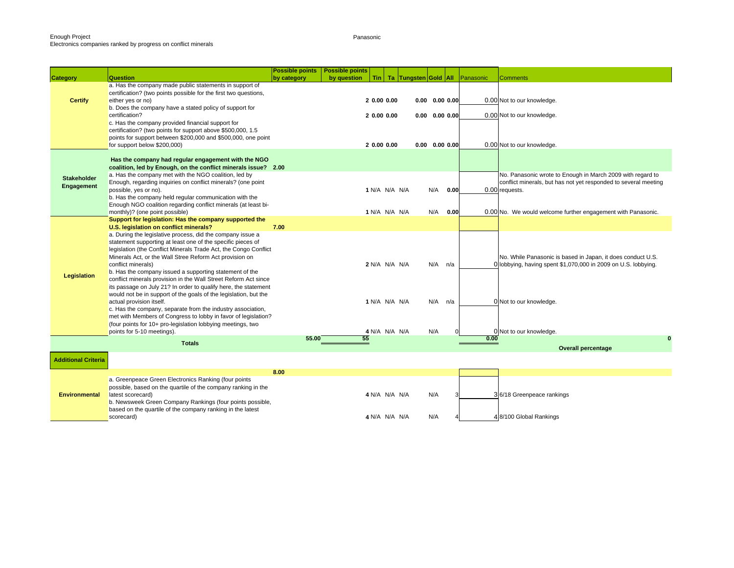Panasonic

|                                  |                                                                                                                                                                                                                                                                                                                                                                                                                                                                                 | <b>Possible points</b> | <b>Possible points</b> |                                           |                                |                                                                      |      |           |                                                                                                                                                 |
|----------------------------------|---------------------------------------------------------------------------------------------------------------------------------------------------------------------------------------------------------------------------------------------------------------------------------------------------------------------------------------------------------------------------------------------------------------------------------------------------------------------------------|------------------------|------------------------|-------------------------------------------|--------------------------------|----------------------------------------------------------------------|------|-----------|-------------------------------------------------------------------------------------------------------------------------------------------------|
| <b>Category</b>                  | Question                                                                                                                                                                                                                                                                                                                                                                                                                                                                        | by category            | by question            |                                           | Tin   Ta   Tungsten Gold   All |                                                                      |      | Panasonic | Comments                                                                                                                                        |
| <b>Certify</b>                   | a. Has the company made public statements in support of<br>certification? (two points possible for the first two questions,<br>either yes or no)<br>b. Does the company have a stated policy of support for<br>certification?<br>c. Has the company provided financial support for<br>certification? (two points for support above \$500,000, 1.5<br>points for support between \$200,000 and \$500,000, one point<br>for support below \$200,000)                              |                        |                        | 2 0.00 0.00<br>2 0.00 0.00<br>2 0.00 0.00 |                                | $0.00$ $0.00$ $0.00$<br>$0.00$ $0.00$ $0.00$<br>$0.00$ $0.00$ $0.00$ |      |           | 0.00 Not to our knowledge.<br>0.00 Not to our knowledge.<br>0.00 Not to our knowledge.                                                          |
|                                  | Has the company had regular engagement with the NGO<br>coalition, led by Enough, on the conflict minerals issue? 2.00                                                                                                                                                                                                                                                                                                                                                           |                        |                        |                                           |                                |                                                                      |      |           |                                                                                                                                                 |
| <b>Stakeholder</b><br>Engagement | a. Has the company met with the NGO coalition, led by<br>Enough, regarding inquiries on conflict minerals? (one point<br>possible, yes or no).<br>b. Has the company held regular communication with the                                                                                                                                                                                                                                                                        |                        |                        | 1 N/A N/A N/A                             |                                | N/A                                                                  | 0.00 |           | No. Panasonic wrote to Enough in March 2009 with regard to<br>conflict minerals, but has not yet responded to several meeting<br>0.00 requests. |
|                                  | Enough NGO coalition regarding conflict minerals (at least bi-<br>monthly)? (one point possible)                                                                                                                                                                                                                                                                                                                                                                                |                        |                        | 1 N/A N/A N/A                             |                                | N/A                                                                  | 0.00 |           | 0.00 No. We would welcome further engagement with Panasonic.                                                                                    |
|                                  | Support for legislation: Has the company supported the<br>U.S. legislation on conflict minerals?                                                                                                                                                                                                                                                                                                                                                                                | 7.00                   |                        |                                           |                                |                                                                      |      |           |                                                                                                                                                 |
| Legislation                      | a. During the legislative process, did the company issue a<br>statement supporting at least one of the specific pieces of<br>legislation (the Conflict Minerals Trade Act, the Congo Conflict<br>Minerals Act, or the Wall Stree Reform Act provision on<br>conflict minerals)<br>b. Has the company issued a supporting statement of the<br>conflict minerals provision in the Wall Street Reform Act since<br>its passage on July 21? In order to qualify here, the statement |                        |                        | 2 N/A N/A N/A                             |                                | $N/A$ $n/a$                                                          |      |           | No. While Panasonic is based in Japan, it does conduct U.S.<br>0 lobbying, having spent \$1,070,000 in 2009 on U.S. lobbying.                   |
|                                  | would not be in support of the goals of the legislation, but the<br>actual provision itself.<br>c. Has the company, separate from the industry association,<br>met with Members of Congress to lobby in favor of legislation?<br>(four points for 10+ pro-legislation lobbying meetings, two                                                                                                                                                                                    |                        |                        | 1 N/A N/A N/A                             |                                | $N/A$ $n/a$                                                          |      |           | 0 Not to our knowledge.                                                                                                                         |
|                                  | points for 5-10 meetings).                                                                                                                                                                                                                                                                                                                                                                                                                                                      | 55.00                  | 55                     | 4 N/A N/A N/A                             |                                | N/A                                                                  |      | 0.00      | 0 Not to our knowledge.<br>0                                                                                                                    |
|                                  | <b>Totals</b>                                                                                                                                                                                                                                                                                                                                                                                                                                                                   |                        |                        |                                           |                                |                                                                      |      |           | <b>Overall percentage</b>                                                                                                                       |
| <b>Additional Criteria</b>       |                                                                                                                                                                                                                                                                                                                                                                                                                                                                                 |                        |                        |                                           |                                |                                                                      |      |           |                                                                                                                                                 |
|                                  |                                                                                                                                                                                                                                                                                                                                                                                                                                                                                 | 8.00                   |                        |                                           |                                |                                                                      |      |           |                                                                                                                                                 |
| <b>Environmental</b>             | a. Greenpeace Green Electronics Ranking (four points<br>possible, based on the quartile of the company ranking in the<br>latest scorecard)<br>b. Newsweek Green Company Rankings (four points possible,                                                                                                                                                                                                                                                                         |                        |                        | 4 N/A N/A N/A                             |                                | N/A                                                                  |      |           | 36/18 Greenpeace rankings                                                                                                                       |
|                                  | based on the quartile of the company ranking in the latest<br>scorecard)                                                                                                                                                                                                                                                                                                                                                                                                        |                        |                        | 4 N/A N/A N/A                             |                                | N/A                                                                  |      |           | 4 8/100 Global Rankings                                                                                                                         |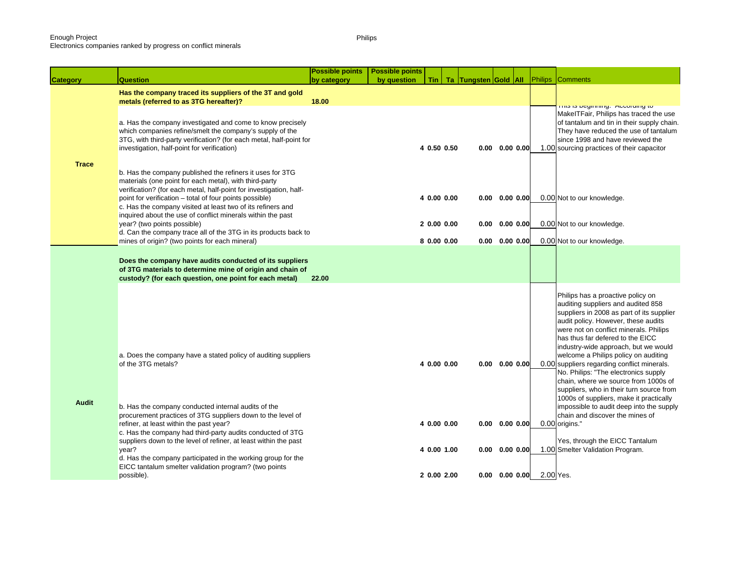### Electronics companies ranked by progress on conflict minerals

Philips

| <b>Category</b> | <b>Question</b>                                                                                                                                                                                                                                                                                                                                                                    | <b>Possible points</b><br>by category | <b>Possible points</b><br>by question | Tin |                            | Ta Tungsten Gold All |                                                      |           |           | <b>Philips Comments</b>                                                                                                                                                                                                                                                                                                                                                                                                                                                                                                                                                                                                                          |
|-----------------|------------------------------------------------------------------------------------------------------------------------------------------------------------------------------------------------------------------------------------------------------------------------------------------------------------------------------------------------------------------------------------|---------------------------------------|---------------------------------------|-----|----------------------------|----------------------|------------------------------------------------------|-----------|-----------|--------------------------------------------------------------------------------------------------------------------------------------------------------------------------------------------------------------------------------------------------------------------------------------------------------------------------------------------------------------------------------------------------------------------------------------------------------------------------------------------------------------------------------------------------------------------------------------------------------------------------------------------------|
|                 | Has the company traced its suppliers of the 3T and gold<br>metals (referred to as 3TG hereafter)?                                                                                                                                                                                                                                                                                  | 18.00                                 |                                       |     |                            |                      |                                                      |           |           |                                                                                                                                                                                                                                                                                                                                                                                                                                                                                                                                                                                                                                                  |
|                 | a. Has the company investigated and come to know precisely<br>which companies refine/smelt the company's supply of the<br>3TG, with third-party verification? (for each metal, half-point for<br>investigation, half-point for verification)                                                                                                                                       |                                       |                                       |     | 4 0.50 0.50                |                      | $0.00$ $0.00$ $0.00$                                 |           |           | million to bogin milligy. Proportantly to<br>MakelTFair, Philips has traced the use<br>of tantalum and tin in their supply chain.<br>They have reduced the use of tantalum<br>since 1998 and have reviewed the<br>1.00 sourcing practices of their capacitor                                                                                                                                                                                                                                                                                                                                                                                     |
| <b>Trace</b>    | b. Has the company published the refiners it uses for 3TG<br>materials (one point for each metal), with third-party<br>verification? (for each metal, half-point for investigation, half-<br>point for verification – total of four points possible)<br>c. Has the company visited at least two of its refiners and<br>inquired about the use of conflict minerals within the past |                                       |                                       |     | 4 0.00 0.00                |                      | $0.00 \quad 0.00 \quad 0.00$                         |           |           | 0.00 Not to our knowledge.                                                                                                                                                                                                                                                                                                                                                                                                                                                                                                                                                                                                                       |
|                 | year? (two points possible)<br>d. Can the company trace all of the 3TG in its products back to<br>mines of origin? (two points for each mineral)                                                                                                                                                                                                                                   |                                       |                                       |     | 20.0000.00<br>8 0.00 0.00  | 0.00                 | $0.00 \quad 0.00 \quad 0.00$                         | 0.00 0.00 |           | 0.00 Not to our knowledge.<br>0.00 Not to our knowledge.                                                                                                                                                                                                                                                                                                                                                                                                                                                                                                                                                                                         |
|                 | Does the company have audits conducted of its suppliers<br>of 3TG materials to determine mine of origin and chain of<br>custody? (for each question, one point for each metal)                                                                                                                                                                                                     | 22.00                                 |                                       |     |                            |                      |                                                      |           |           |                                                                                                                                                                                                                                                                                                                                                                                                                                                                                                                                                                                                                                                  |
| <b>Audit</b>    | a. Does the company have a stated policy of auditing suppliers<br>of the 3TG metals?<br>b. Has the company conducted internal audits of the<br>procurement practices of 3TG suppliers down to the level of<br>refiner, at least within the past year?                                                                                                                              |                                       |                                       |     | 4 0.00 0.00<br>4 0.00 0.00 |                      | $0.00 \quad 0.00 \quad 0.00$<br>$0.00$ $0.00$ $0.00$ |           |           | Philips has a proactive policy on<br>auditing suppliers and audited 858<br>suppliers in 2008 as part of its supplier<br>audit policy. However, these audits<br>were not on conflict minerals. Philips<br>has thus far defered to the EICC<br>industry-wide approach, but we would<br>welcome a Philips policy on auditing<br>0.00 suppliers regarding conflict minerals.<br>No. Philips: "The electronics supply<br>chain, where we source from 1000s of<br>suppliers, who in their turn source from<br>1000s of suppliers, make it practically<br>impossible to audit deep into the supply<br>chain and discover the mines of<br>0.00 origins." |
|                 | c. Has the company had third-party audits conducted of 3TG<br>suppliers down to the level of refiner, at least within the past<br>year?<br>d. Has the company participated in the working group for the                                                                                                                                                                            |                                       |                                       |     | 4 0.00 1.00                |                      | $0.00 \quad 0.00 \quad 0.00$                         |           |           | Yes, through the EICC Tantalum<br>1.00 Smelter Validation Program.                                                                                                                                                                                                                                                                                                                                                                                                                                                                                                                                                                               |
|                 | EICC tantalum smelter validation program? (two points<br>possible).                                                                                                                                                                                                                                                                                                                |                                       |                                       |     | 2 0.00 2.00                |                      | $0.00 \quad 0.00 \quad 0.00$                         |           | 2.00 Yes. |                                                                                                                                                                                                                                                                                                                                                                                                                                                                                                                                                                                                                                                  |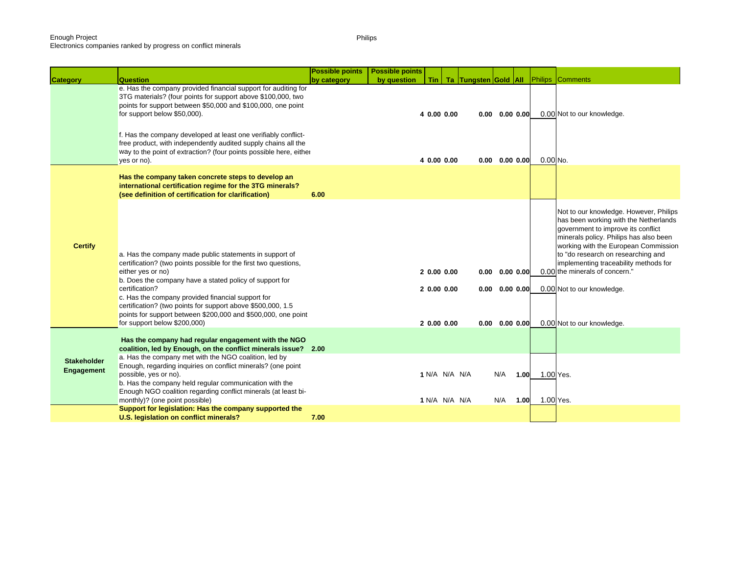Electronics companies ranked by progress on conflict minerals

|                                         |                                                                                                                                                                                                                                                                                                                                                                                                                                                         | <b>Possible points</b> | <b>Possible points</b> |                                        |                                |                                                                                      |      |                             |                                                                                                                                                                                                                                                                                                                                                                                      |
|-----------------------------------------|---------------------------------------------------------------------------------------------------------------------------------------------------------------------------------------------------------------------------------------------------------------------------------------------------------------------------------------------------------------------------------------------------------------------------------------------------------|------------------------|------------------------|----------------------------------------|--------------------------------|--------------------------------------------------------------------------------------|------|-----------------------------|--------------------------------------------------------------------------------------------------------------------------------------------------------------------------------------------------------------------------------------------------------------------------------------------------------------------------------------------------------------------------------------|
| <b>Category</b>                         | <b>Question</b>                                                                                                                                                                                                                                                                                                                                                                                                                                         | by category            | by question            |                                        | Tin   Ta   Tungsten Gold   All |                                                                                      |      |                             | <b>Philips Comments</b>                                                                                                                                                                                                                                                                                                                                                              |
|                                         | e. Has the company provided financial support for auditing for<br>3TG materials? (four points for support above \$100,000, two<br>points for support between \$50,000 and \$100,000, one point<br>for support below \$50,000).<br>f. Has the company developed at least one verifiably conflict-<br>free product, with independently audited supply chains all the<br>way to the point of extraction? (four points possible here, either<br>yes or no). |                        |                        | 4 0.00 0.00<br>4 0.00 0.00             |                                | $0.00 \quad 0.00 \quad 0.00$<br>$0.00 \quad 0.00 \quad 0.00$                         |      | $0.00$ No.                  | 0.00 Not to our knowledge.                                                                                                                                                                                                                                                                                                                                                           |
|                                         | Has the company taken concrete steps to develop an<br>international certification regime for the 3TG minerals?<br>(see definition of certification for clarification)                                                                                                                                                                                                                                                                                   | 6.00                   |                        |                                        |                                |                                                                                      |      |                             |                                                                                                                                                                                                                                                                                                                                                                                      |
| <b>Certify</b>                          | a. Has the company made public statements in support of<br>certification? (two points possible for the first two questions,<br>either yes or no)<br>b. Does the company have a stated policy of support for<br>certification?<br>c. Has the company provided financial support for<br>certification? (two points for support above \$500,000, 1.5<br>points for support between \$200,000 and \$500,000, one point<br>for support below \$200,000)      |                        |                        | 20.0000.00<br>20.0000.00<br>20.0000.00 |                                | $0.00 \quad 0.00 \quad 0.00$<br>$0.00$ $0.00$ $0.00$<br>$0.00 \quad 0.00 \quad 0.00$ |      |                             | Not to our knowledge. However, Philips<br>has been working with the Netherlands<br>government to improve its conflict<br>minerals policy. Philips has also been<br>working with the European Commission<br>to "do research on researching and<br>implementing traceability methods for<br>0.00 the minerals of concern."<br>0.00 Not to our knowledge.<br>0.00 Not to our knowledge. |
|                                         | Has the company had regular engagement with the NGO<br>coalition, led by Enough, on the conflict minerals issue? 2.00                                                                                                                                                                                                                                                                                                                                   |                        |                        |                                        |                                |                                                                                      |      |                             |                                                                                                                                                                                                                                                                                                                                                                                      |
| <b>Stakeholder</b><br><b>Engagement</b> | a. Has the company met with the NGO coalition, led by<br>Enough, regarding inquiries on conflict minerals? (one point<br>possible, yes or no).<br>b. Has the company held regular communication with the<br>Enough NGO coalition regarding conflict minerals (at least bi-<br>monthly)? (one point possible)                                                                                                                                            |                        |                        | 1 N/A N/A N/A<br>1 N/A N/A N/A         |                                | N/A<br>N/A                                                                           | 1.00 | 1.00 1.00 Yes.<br>1.00 Yes. |                                                                                                                                                                                                                                                                                                                                                                                      |
|                                         | Support for legislation: Has the company supported the                                                                                                                                                                                                                                                                                                                                                                                                  |                        |                        |                                        |                                |                                                                                      |      |                             |                                                                                                                                                                                                                                                                                                                                                                                      |
|                                         | U.S. legislation on conflict minerals?                                                                                                                                                                                                                                                                                                                                                                                                                  | 7.00                   |                        |                                        |                                |                                                                                      |      |                             |                                                                                                                                                                                                                                                                                                                                                                                      |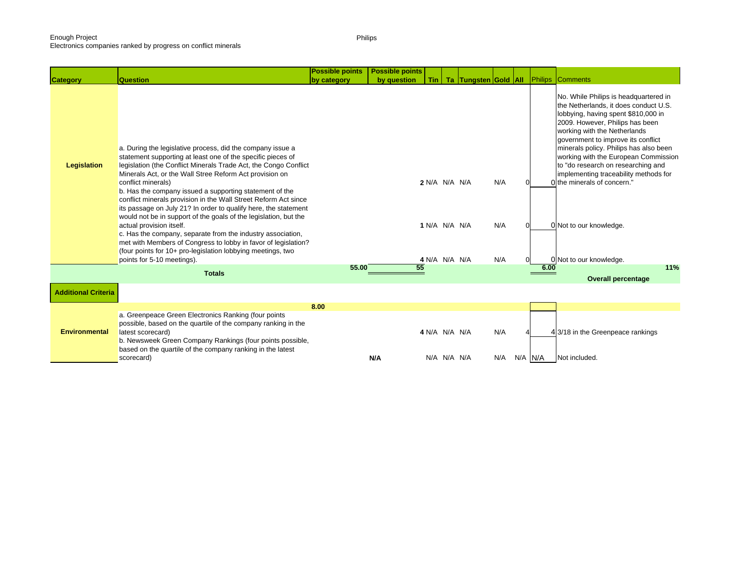Electronics companies ranked by progress on conflict minerals

**Category Question Possible points by category Possible points by question Tin Ta Tungsten Gold All** Philips Comments a. During the legislative process, did the company issue a statement supporting at least one of the specific pieces of legislation (the Conflict Minerals Trade Act, the Congo Conflict Minerals Act, or the Wall Stree Reform Act provision on conflict minerals) **2** N/A N/A N/A N/A 0 0 No. While Philips is headquartered in the Netherlands, it does conduct U.S. lobbying, having spent \$810,000 in 2009. However, Philips has been working with the Netherlands government to improve its conflict minerals policy. Philips has also been working with the European Commission to "do research on researching and implementing traceability methods for the minerals of concern." b. Has the company issued a supporting statement of the conflict minerals provision in the Wall Street Reform Act since its passage on July 21? In order to qualify here, the statement would not be in support of the goals of the legislation, but the actual provision itself. **1** N/A N/A N/A N/A N/A N/A O 0 Not to our knowledge. c. Has the company, separate from the industry association, met with Members of Congress to lobby in favor of legislation? (four points for 10+ pro-legislation lobbying meetings, two points for 5-10 meetings).<br>**4** N/A N/A N/A N/A N/A N/A O 0 0 Not to our knowledge. **55.00 55 6.00 11%Overall percentage 8.00**a. Greenpeace Green Electronics Ranking (four points possible, based on the quartile of the company ranking in the **a** N/A N/A N/A N/A N/A N/A  $\rightarrow$  4  $\rightarrow$  4/3/18 in the Greenpeace rankings b. Newsweek Green Company Rankings (four points possible, based on the quartile of the company ranking in the latest scorecard) **N/A** N/A N/A N/A N/A N/A N/A N/A N/A Not included. **Environmental TotalsLegislation Additional Criteria**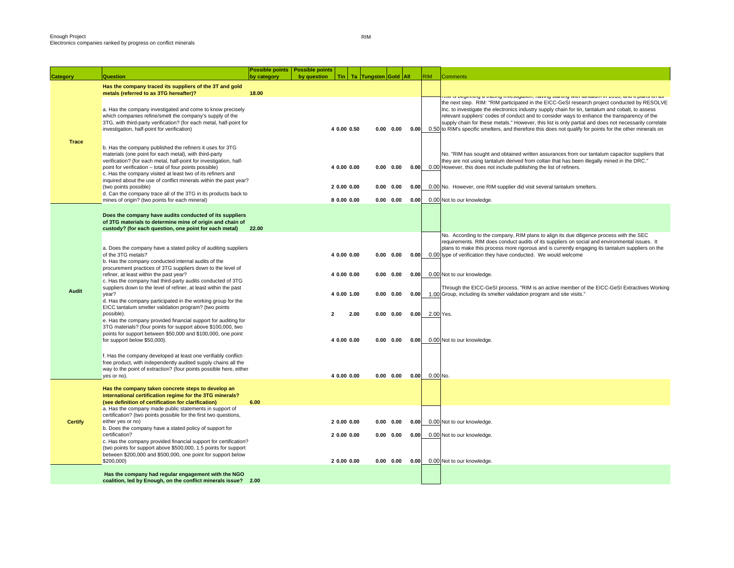| <b>Category</b> | Question                                                                                                                                                                                                                                                                                                                                                                                 | Possible points   Possible points<br>by category | by question | Tin   Ta   Tungsten Gold   All |      |                   |      | RIM.      | <b>Comments</b>                                                                                                                                                                                                                                                                                                                                                                                                                                                                                                         |
|-----------------|------------------------------------------------------------------------------------------------------------------------------------------------------------------------------------------------------------------------------------------------------------------------------------------------------------------------------------------------------------------------------------------|--------------------------------------------------|-------------|--------------------------------|------|-------------------|------|-----------|-------------------------------------------------------------------------------------------------------------------------------------------------------------------------------------------------------------------------------------------------------------------------------------------------------------------------------------------------------------------------------------------------------------------------------------------------------------------------------------------------------------------------|
|                 | Has the company traced its suppliers of the 3T and gold<br>metals (referred to as 3TG hereafter)?                                                                                                                                                                                                                                                                                        | 18.00                                            |             |                                |      |                   |      |           | isini io boginimiy a traoniy mvootiyationi, naviny otartiny with tantaium in zo ro, anu it piano tin ao                                                                                                                                                                                                                                                                                                                                                                                                                 |
|                 | a. Has the company investigated and come to know precisely<br>which companies refine/smelt the company's supply of the<br>3TG, with third-party verification? (for each metal, half-point for<br>investigation, half-point for verification)                                                                                                                                             |                                                  |             | 4 0.00 0.50                    |      | $0.00 \quad 0.00$ | 0.00 |           | the next step. RIM: "RIM participated in the EICC-GeSI research project conducted by RESOLVE<br>Inc. to investigate the electronics industry supply chain for tin, tantalum and cobalt, to assess<br>relevant suppliers' codes of conduct and to consider ways to enhance the transparency of the<br>supply chain for these metals." However, this list is only partial and does not necessarily correlate<br>0.50 to RIM's specific smelters, and therefore this does not qualify for points for the other minerals on |
| <b>Trace</b>    | b. Has the company published the refiners it uses for 3TG<br>materials (one point for each metal), with third-party<br>verification? (for each metal, half-point for investigation, half-<br>point for verification - total of four points possible)<br>c. Has the company visited at least two of its refiners and<br>inquired about the use of conflict minerals within the past year? |                                                  |             | 4 0.00 0.00                    |      | $0.00 \quad 0.00$ | 0.00 |           | No. "RIM has sought and obtained written assurances from our tantalum capacitor suppliers that<br>they are not using tantalum derived from coltan that has been illegally mined in the DRC."<br>0.00 However, this does not include publishing the list of refiners.                                                                                                                                                                                                                                                    |
|                 | (two points possible)<br>d. Can the company trace all of the 3TG in its products back to                                                                                                                                                                                                                                                                                                 |                                                  |             | 2 0.00 0.00                    |      | $0.00 \quad 0.00$ | 0.00 |           | 0.00 No. However, one RIM supplier did visit several tantalum smelters.                                                                                                                                                                                                                                                                                                                                                                                                                                                 |
|                 | mines of origin? (two points for each mineral)                                                                                                                                                                                                                                                                                                                                           |                                                  |             | 8 0.00 0.00                    |      | $0.00 \quad 0.00$ | 0.00 |           | 0.00 Not to our knowledge.                                                                                                                                                                                                                                                                                                                                                                                                                                                                                              |
|                 | Does the company have audits conducted of its suppliers<br>of 3TG materials to determine mine of origin and chain of<br>custody? (for each question, one point for each metal)                                                                                                                                                                                                           | 22.00                                            |             |                                |      |                   |      |           |                                                                                                                                                                                                                                                                                                                                                                                                                                                                                                                         |
|                 | a. Does the company have a stated policy of auditing suppliers<br>of the 3TG metals?<br>b. Has the company conducted internal audits of the<br>procurement practices of 3TG suppliers down to the level of                                                                                                                                                                               |                                                  |             | 4 0.00 0.00                    |      | $0.00 \quad 0.00$ | 0.00 |           | No. According to the company, RIM plans to align its due diligence process with the SEC<br>requirements. RIM does conduct audits of its suppliers on social and environmental issues. It<br>plans to make this process more rigorous and is currently engaging its tantalum suppliers on the<br>0.00 type of verification they have conducted. We would welcome                                                                                                                                                         |
|                 | refiner, at least within the past year?<br>c. Has the company had third-party audits conducted of 3TG                                                                                                                                                                                                                                                                                    |                                                  |             | 4 0.00 0.00                    |      | 0.00 0.00         | 0.00 |           | 0.00 Not to our knowledge.                                                                                                                                                                                                                                                                                                                                                                                                                                                                                              |
| Audit           | suppliers down to the level of refiner, at least within the past<br>year?<br>d. Has the company participated in the working group for the                                                                                                                                                                                                                                                |                                                  |             | 4 0.00 1.00                    |      | $0.00 \quad 0.00$ | 0.00 |           | Through the EICC-GeSI process. "RIM is an active member of the EICC-GeSI Extractives Working<br>1.00 Group, including its smelter validation program and site visits."                                                                                                                                                                                                                                                                                                                                                  |
|                 | EICC tantalum smelter validation program? (two points<br>possible).<br>e. Has the company provided financial support for auditing for<br>3TG materials? (four points for support above \$100,000, two<br>points for support between \$50,000 and \$100,000, one point                                                                                                                    |                                                  |             | 2.00<br>$\overline{2}$         |      | $0.00 \quad 0.00$ | 0.00 | 2.00 Yes. |                                                                                                                                                                                                                                                                                                                                                                                                                                                                                                                         |
|                 | for support below \$50,000).                                                                                                                                                                                                                                                                                                                                                             |                                                  |             | 4 0.00 0.00                    |      | $0.00 \quad 0.00$ | 0.00 |           | 0.00 Not to our knowledge.                                                                                                                                                                                                                                                                                                                                                                                                                                                                                              |
|                 | f. Has the company developed at least one verifiably conflict-<br>free product, with independently audited supply chains all the<br>way to the point of extraction? (four points possible here, either                                                                                                                                                                                   |                                                  |             | 4 0.00 0.00                    |      | $0.00 \quad 0.00$ |      | 0.00 No.  |                                                                                                                                                                                                                                                                                                                                                                                                                                                                                                                         |
|                 | yes or no).<br>Has the company taken concrete steps to develop an                                                                                                                                                                                                                                                                                                                        |                                                  |             |                                |      |                   | 0.00 |           |                                                                                                                                                                                                                                                                                                                                                                                                                                                                                                                         |
|                 | international certification regime for the 3TG minerals?<br>(see definition of certification for clarification)                                                                                                                                                                                                                                                                          | 6.00                                             |             |                                |      |                   |      |           |                                                                                                                                                                                                                                                                                                                                                                                                                                                                                                                         |
|                 | a. Has the company made public statements in support of<br>certification? (two points possible for the first two questions,                                                                                                                                                                                                                                                              |                                                  |             |                                |      |                   |      |           |                                                                                                                                                                                                                                                                                                                                                                                                                                                                                                                         |
| <b>Certify</b>  | either yes or no)<br>b. Does the company have a stated policy of support for                                                                                                                                                                                                                                                                                                             |                                                  |             | 2 0.00 0.00                    | 0.00 | 0.00              | 0.00 |           | 0.00 Not to our knowledge.                                                                                                                                                                                                                                                                                                                                                                                                                                                                                              |
|                 | certification?<br>c. Has the company provided financial support for certification?<br>(two points for support above \$500,000, 1.5 points for support                                                                                                                                                                                                                                    |                                                  |             | 2 0.00 0.00                    |      | $0.00 \quad 0.00$ | 0.00 |           | 0.00 Not to our knowledge.                                                                                                                                                                                                                                                                                                                                                                                                                                                                                              |
|                 | between \$200,000 and \$500,000, one point for support below<br>\$200,000)                                                                                                                                                                                                                                                                                                               |                                                  |             | 2 0.00 0.00                    |      | $0.00 \quad 0.00$ | 0.00 |           | 0.00 Not to our knowledge.                                                                                                                                                                                                                                                                                                                                                                                                                                                                                              |
|                 | Has the company had regular engagement with the NGO<br>coalition, led by Enough, on the conflict minerals issue? 2.00                                                                                                                                                                                                                                                                    |                                                  |             |                                |      |                   |      |           |                                                                                                                                                                                                                                                                                                                                                                                                                                                                                                                         |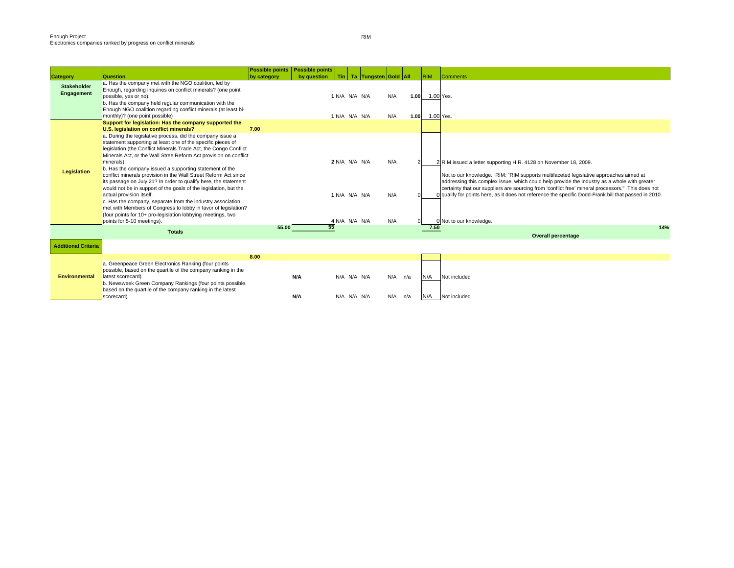|                                  |                                                                                                                                                                                                                                                                                                                                                                                                                                                                                                                                                                                                                                                                                                                                                                                                               | <b>Possible points</b> | <b>Possible points</b> |    |                                                 |                                |                   |              |            |                                                                                                                                                                                                                                                                                                                                                                                                                                                                                                    |
|----------------------------------|---------------------------------------------------------------------------------------------------------------------------------------------------------------------------------------------------------------------------------------------------------------------------------------------------------------------------------------------------------------------------------------------------------------------------------------------------------------------------------------------------------------------------------------------------------------------------------------------------------------------------------------------------------------------------------------------------------------------------------------------------------------------------------------------------------------|------------------------|------------------------|----|-------------------------------------------------|--------------------------------|-------------------|--------------|------------|----------------------------------------------------------------------------------------------------------------------------------------------------------------------------------------------------------------------------------------------------------------------------------------------------------------------------------------------------------------------------------------------------------------------------------------------------------------------------------------------------|
| <b>Category</b>                  | Question                                                                                                                                                                                                                                                                                                                                                                                                                                                                                                                                                                                                                                                                                                                                                                                                      | by category            | by question            |    |                                                 | Tin   Ta   Tungsten Gold   All |                   |              | <b>RIM</b> | <b>Comments</b>                                                                                                                                                                                                                                                                                                                                                                                                                                                                                    |
| <b>Stakeholder</b><br>Engagement | a. Has the company met with the NGO coalition, led by<br>Enough, regarding inquiries on conflict minerals? (one point<br>possible, yes or no).<br>b. Has the company held regular communication with the<br>Enough NGO coalition regarding conflict minerals (at least bi-<br>monthly)? (one point possible)                                                                                                                                                                                                                                                                                                                                                                                                                                                                                                  |                        |                        |    | 1 N/A N/A N/A<br>1 N/A N/A N/A                  |                                | N/A<br>N/A        | 1.00<br>1.00 |            | 1.00 Yes.<br>1.00 Yes.                                                                                                                                                                                                                                                                                                                                                                                                                                                                             |
|                                  | Support for legislation: Has the company supported the<br>U.S. legislation on conflict minerals?                                                                                                                                                                                                                                                                                                                                                                                                                                                                                                                                                                                                                                                                                                              | 7.00                   |                        |    |                                                 |                                |                   |              |            |                                                                                                                                                                                                                                                                                                                                                                                                                                                                                                    |
| <b>Legislation</b>               | a. During the legislative process, did the company issue a<br>statement supporting at least one of the specific pieces of<br>legislation (the Conflict Minerals Trade Act, the Congo Conflict<br>Minerals Act, or the Wall Stree Reform Act provision on conflict<br>minerals)<br>b. Has the company issued a supporting statement of the<br>conflict minerals provision in the Wall Street Reform Act since<br>its passage on July 21? In order to qualify here, the statement<br>would not be in support of the goals of the legislation, but the<br>actual provision itself.<br>c. Has the company, separate from the industry association,<br>met with Members of Congress to lobby in favor of legislation?<br>(four points for 10+ pro-legislation lobbying meetings, two<br>points for 5-10 meetings). |                        |                        |    | 2 N/A N/A N/A<br>1 N/A N/A N/A<br>4 N/A N/A N/A |                                | N/A<br>N/A<br>N/A |              |            | 2 RIM issued a letter supporting H.R. 4128 on November 18, 2009.<br>Not to our knowledge. RIM: "RIM supports multifaceted legislative approaches aimed at<br>addressing this complex issue, which could help provide the industry as a whole with greater<br>certainty that our suppliers are sourcing from 'conflict free' mineral processors." This does not<br>O qualify for points here, as it does not reference the specific Dodd-Frank bill that passed in 2010.<br>0 Not to our knowledge. |
|                                  | <b>Totals</b>                                                                                                                                                                                                                                                                                                                                                                                                                                                                                                                                                                                                                                                                                                                                                                                                 | 55.00                  |                        | 55 |                                                 |                                |                   |              | 7.50       | 14%                                                                                                                                                                                                                                                                                                                                                                                                                                                                                                |
|                                  |                                                                                                                                                                                                                                                                                                                                                                                                                                                                                                                                                                                                                                                                                                                                                                                                               |                        |                        |    |                                                 |                                |                   |              |            | <b>Overall percentage</b>                                                                                                                                                                                                                                                                                                                                                                                                                                                                          |
| <b>Additional Criteria</b>       |                                                                                                                                                                                                                                                                                                                                                                                                                                                                                                                                                                                                                                                                                                                                                                                                               |                        |                        |    |                                                 |                                |                   |              |            |                                                                                                                                                                                                                                                                                                                                                                                                                                                                                                    |
| <b>Environmental</b>             | a. Greenpeace Green Electronics Ranking (four points<br>possible, based on the quartile of the company ranking in the<br>latest scorecard)                                                                                                                                                                                                                                                                                                                                                                                                                                                                                                                                                                                                                                                                    | 8.00                   | N/A                    |    | N/A N/A N/A                                     |                                | $N/A$ $n/a$       |              | N/A        | Not included                                                                                                                                                                                                                                                                                                                                                                                                                                                                                       |
|                                  | b. Newsweek Green Company Rankings (four points possible,<br>based on the quartile of the company ranking in the latest<br>scorecard)                                                                                                                                                                                                                                                                                                                                                                                                                                                                                                                                                                                                                                                                         |                        | N/A                    |    | N/A N/A N/A                                     |                                | $N/A$ $n/a$       |              | N/A        | Not included                                                                                                                                                                                                                                                                                                                                                                                                                                                                                       |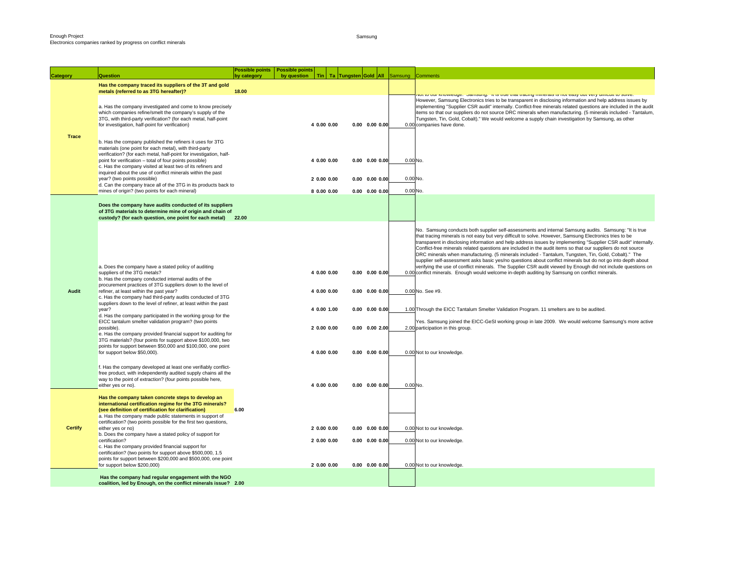Samsung

| <b>Category</b> | <b>Question</b>                                                                                                                                                                                                                                                                                                                                                                                                   | by category | Possible points   Possible points<br>by question |                            | Tin   Ta   Tungsten Gold   All |                                              | Samsung              | <b>Comments</b>                                                                                                                                                                                                                                                                                                                                                                                                                                                                                                                                                                                                                                                                                                                                                                                                                                                                                                  |
|-----------------|-------------------------------------------------------------------------------------------------------------------------------------------------------------------------------------------------------------------------------------------------------------------------------------------------------------------------------------------------------------------------------------------------------------------|-------------|--------------------------------------------------|----------------------------|--------------------------------|----------------------------------------------|----------------------|------------------------------------------------------------------------------------------------------------------------------------------------------------------------------------------------------------------------------------------------------------------------------------------------------------------------------------------------------------------------------------------------------------------------------------------------------------------------------------------------------------------------------------------------------------------------------------------------------------------------------------------------------------------------------------------------------------------------------------------------------------------------------------------------------------------------------------------------------------------------------------------------------------------|
|                 | Has the company traced its suppliers of the 3T and gold                                                                                                                                                                                                                                                                                                                                                           |             |                                                  |                            |                                |                                              |                      |                                                                                                                                                                                                                                                                                                                                                                                                                                                                                                                                                                                                                                                                                                                                                                                                                                                                                                                  |
|                 | metals (referred to as 3TG hereafter)?                                                                                                                                                                                                                                                                                                                                                                            | 18.00       |                                                  |                            |                                |                                              |                      | ναι το σαι κποινίσαιρο. Θαπισατία. Τι το τίτσι τι αυτή αρμητη πιπισταιο το ποι σαογ σαι νατιγύμπισατείο συινά.<br>However, Samsung Electronics tries to be transparent in disclosing information and help address issues by                                                                                                                                                                                                                                                                                                                                                                                                                                                                                                                                                                                                                                                                                      |
|                 | a. Has the company investigated and come to know precisely<br>which companies refine/smelt the company's supply of the<br>3TG, with third-party verification? (for each metal, half-point<br>for investigation, half-point for verification)                                                                                                                                                                      |             |                                                  | 4 0.00 0.00                |                                | $0.00$ $0.00$ $0.00$                         |                      | implementing "Supplier CSR audit" internally. Conflict-free minerals related questions are included in the audit<br>items so that our suppliers do not source DRC minerals when manufacturing. (5 minerals included - Tantalum,<br>Tungsten, Tin, Gold, Cobalt)." We would welcome a supply chain investigation by Samsung, as other<br>0.00 companies have done.                                                                                                                                                                                                                                                                                                                                                                                                                                                                                                                                                |
| <b>Trace</b>    | b. Has the company published the refiners it uses for 3TG<br>materials (one point for each metal), with third-party<br>verification? (for each metal, half-point for investigation, half-<br>point for verification - total of four points possible)<br>c. Has the company visited at least two of its refiners and<br>inquired about the use of conflict minerals within the past<br>year? (two points possible) |             |                                                  | 4 0.00 0.00<br>2 0.00 0.00 |                                | $0.00$ $0.00$ $0.00$<br>$0.00$ $0.00$ $0.00$ | 0.00 No.<br>0.00 No. |                                                                                                                                                                                                                                                                                                                                                                                                                                                                                                                                                                                                                                                                                                                                                                                                                                                                                                                  |
|                 | d. Can the company trace all of the 3TG in its products back to                                                                                                                                                                                                                                                                                                                                                   |             |                                                  |                            |                                |                                              |                      |                                                                                                                                                                                                                                                                                                                                                                                                                                                                                                                                                                                                                                                                                                                                                                                                                                                                                                                  |
|                 | mines of origin? (two points for each mineral)                                                                                                                                                                                                                                                                                                                                                                    |             |                                                  | 8 0.00 0.00                |                                | $0.00$ $0.00$ $0.00$                         | 0.00 No.             |                                                                                                                                                                                                                                                                                                                                                                                                                                                                                                                                                                                                                                                                                                                                                                                                                                                                                                                  |
|                 | Does the company have audits conducted of its suppliers<br>of 3TG materials to determine mine of origin and chain of<br>custody? (for each question, one point for each metal)                                                                                                                                                                                                                                    | 22.00       |                                                  |                            |                                |                                              |                      |                                                                                                                                                                                                                                                                                                                                                                                                                                                                                                                                                                                                                                                                                                                                                                                                                                                                                                                  |
| <b>Audit</b>    | a. Does the company have a stated policy of auditing<br>suppliers of the 3TG metals?<br>b. Has the company conducted internal audits of the<br>procurement practices of 3TG suppliers down to the level of<br>refiner, at least within the past year?                                                                                                                                                             |             |                                                  | 4 0.00 0.00<br>4 0.00 0.00 |                                | $0.00$ $0.00$ $0.00$<br>$0.00$ $0.00$ $0.00$ |                      | No. Samsung conducts both supplier self-assessments and internal Samsung audits. Samsung: "It is true<br>that tracing minerals is not easy but very difficult to solve. However, Samsung Electronics tries to be<br>transparent in disclosing information and help address issues by implementing "Supplier CSR audit" internally.<br>Conflict-free minerals related questions are included in the audit items so that our suppliers do not source<br>DRC minerals when manufacturing. (5 minerals included - Tantalum, Tungsten, Tin, Gold, Cobalt)." The<br>supplier self-assessment asks basic yes/no questions about conflict minerals but do not go into depth about<br>verifying the use of conflict minerals. The Supplier CSR audit viewed by Enough did not include questions on<br>0.00 conflict minerals. Enough would welcome in-depth auditing by Samsung on conflict minerals.<br>0.00 No. See #9. |
|                 | c. Has the company had third-party audits conducted of 3TG<br>suppliers down to the level of refiner, at least within the past<br>year?                                                                                                                                                                                                                                                                           |             |                                                  | 4 0.00 1.00                |                                | $0.00$ $0.00$ $0.00$                         |                      | 1.00 Through the EICC Tantalum Smelter Validation Program. 11 smelters are to be audited.                                                                                                                                                                                                                                                                                                                                                                                                                                                                                                                                                                                                                                                                                                                                                                                                                        |
|                 | d. Has the company participated in the working group for the<br>EICC tantalum smelter validation program? (two points<br>possible).                                                                                                                                                                                                                                                                               |             |                                                  | 2 0.00 0.00                |                                | $0.00$ $0.00$ $2.00$                         |                      | Yes. Samsung joined the EICC-GeSI working group in late 2009. We would welcome Samsung's more active<br>2.00 participation in this group.                                                                                                                                                                                                                                                                                                                                                                                                                                                                                                                                                                                                                                                                                                                                                                        |
|                 | e. Has the company provided financial support for auditing for<br>3TG materials? (four points for support above \$100,000, two<br>points for support between \$50,000 and \$100,000, one point<br>for support below \$50,000).                                                                                                                                                                                    |             |                                                  | 4 0.00 0.00                |                                | $0.00$ $0.00$ $0.00$                         |                      | 0.00 Not to our knowledge.                                                                                                                                                                                                                                                                                                                                                                                                                                                                                                                                                                                                                                                                                                                                                                                                                                                                                       |
|                 | f. Has the company developed at least one verifiably conflict-<br>free product, with independently audited supply chains all the<br>way to the point of extraction? (four points possible here,<br>either yes or no).                                                                                                                                                                                             |             |                                                  | 4 0.00 0.00                |                                | $0.00$ $0.00$ $0.00$                         | 0.00 No.             |                                                                                                                                                                                                                                                                                                                                                                                                                                                                                                                                                                                                                                                                                                                                                                                                                                                                                                                  |
|                 | Has the company taken concrete steps to develop an<br>international certification regime for the 3TG minerals?<br>(see definition of certification for clarification)<br>a. Has the company made public statements in support of<br>certification? (two points possible for the first two questions,                                                                                                              | 6.00        |                                                  |                            |                                |                                              |                      |                                                                                                                                                                                                                                                                                                                                                                                                                                                                                                                                                                                                                                                                                                                                                                                                                                                                                                                  |
| <b>Certify</b>  | either yes or no)<br>b. Does the company have a stated policy of support for                                                                                                                                                                                                                                                                                                                                      |             |                                                  | 2 0.00 0.00                |                                | $0.00$ $0.00$ $0.00$                         |                      | 0.00 Not to our knowledge.                                                                                                                                                                                                                                                                                                                                                                                                                                                                                                                                                                                                                                                                                                                                                                                                                                                                                       |
|                 | certification?<br>c. Has the company provided financial support for<br>certification? (two points for support above \$500,000, 1.5<br>points for support between \$200,000 and \$500,000, one point                                                                                                                                                                                                               |             |                                                  | 2 0.00 0.00                |                                | $0.00$ $0.00$ $0.00$                         |                      | 0.00 Not to our knowledge.                                                                                                                                                                                                                                                                                                                                                                                                                                                                                                                                                                                                                                                                                                                                                                                                                                                                                       |
|                 | for support below \$200,000)                                                                                                                                                                                                                                                                                                                                                                                      |             |                                                  | 2 0.00 0.00                |                                | $0.00$ $0.00$ $0.00$                         |                      | 0.00 Not to our knowledge.                                                                                                                                                                                                                                                                                                                                                                                                                                                                                                                                                                                                                                                                                                                                                                                                                                                                                       |
|                 | Has the company had regular engagement with the NGO<br>coalition, led by Enough, on the conflict minerals issue? 2.00                                                                                                                                                                                                                                                                                             |             |                                                  |                            |                                |                                              |                      |                                                                                                                                                                                                                                                                                                                                                                                                                                                                                                                                                                                                                                                                                                                                                                                                                                                                                                                  |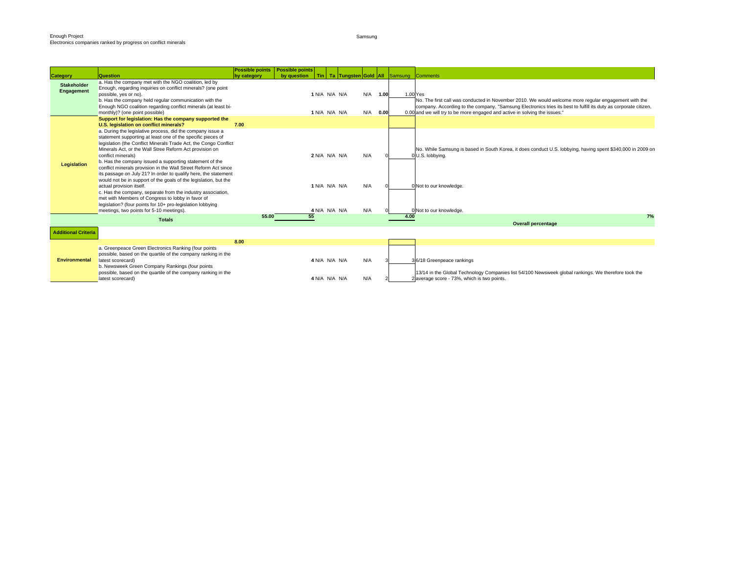Samsung

|                            |                                                                                                                                 | <b>Possible points</b>   Possible points |             |               |  |     |      |      |                                                                                                                  |
|----------------------------|---------------------------------------------------------------------------------------------------------------------------------|------------------------------------------|-------------|---------------|--|-----|------|------|------------------------------------------------------------------------------------------------------------------|
| <b>Category</b>            | Question<br>a. Has the company met with the NGO coalition, led by                                                               | by category                              | by question |               |  |     |      |      | Tin   Ta Tungsten Gold   All Samsung Comments                                                                    |
| <b>Stakeholder</b>         | Enough, regarding inquiries on conflict minerals? (one point                                                                    |                                          |             |               |  |     |      |      |                                                                                                                  |
| Engagement                 | possible, yes or no).                                                                                                           |                                          |             | 1 N/A N/A N/A |  | N/A | 1.00 |      | 1.00 Yes                                                                                                         |
|                            | b. Has the company held regular communication with the                                                                          |                                          |             |               |  |     |      |      | No. The first call was conducted in November 2010. We would welcome more regular engagement with the             |
|                            | Enough NGO coalition regarding conflict minerals (at least bi-                                                                  |                                          |             |               |  |     |      |      | company. According to the company, "Samsung Electronics tries its best to fulfill its duty as corporate citizen, |
|                            | monthly)? (one point possible)                                                                                                  |                                          |             | 1 N/A N/A N/A |  | N/A | 0.00 |      | 0.00 and we will try to be more engaged and active in solving the issues."                                       |
|                            | Support for legislation: Has the company supported the                                                                          |                                          |             |               |  |     |      |      |                                                                                                                  |
|                            | U.S. legislation on conflict minerals?                                                                                          | 7.00                                     |             |               |  |     |      |      |                                                                                                                  |
|                            | a. During the legislative process, did the company issue a                                                                      |                                          |             |               |  |     |      |      |                                                                                                                  |
|                            | statement supporting at least one of the specific pieces of<br>legislation (the Conflict Minerals Trade Act, the Congo Conflict |                                          |             |               |  |     |      |      |                                                                                                                  |
|                            | Minerals Act, or the Wall Stree Reform Act provision on                                                                         |                                          |             |               |  |     |      |      | No. While Samsung is based in South Korea, it does conduct U.S. lobbying, having spent \$340,000 in 2009 on      |
|                            | conflict minerals)                                                                                                              |                                          |             | 2 N/A N/A N/A |  | N/A |      |      | 0 U.S. lobbying.                                                                                                 |
|                            | b. Has the company issued a supporting statement of the                                                                         |                                          |             |               |  |     |      |      |                                                                                                                  |
| Legislation                | conflict minerals provision in the Wall Street Reform Act since                                                                 |                                          |             |               |  |     |      |      |                                                                                                                  |
|                            | its passage on July 21? In order to qualify here, the statement                                                                 |                                          |             |               |  |     |      |      |                                                                                                                  |
|                            | would not be in support of the goals of the legislation, but the                                                                |                                          |             |               |  |     |      |      |                                                                                                                  |
|                            | actual provision itself.                                                                                                        |                                          |             | 1 N/A N/A N/A |  | N/A |      |      | 0 Not to our knowledge.                                                                                          |
|                            | c. Has the company, separate from the industry association,<br>met with Members of Congress to lobby in favor of                |                                          |             |               |  |     |      |      |                                                                                                                  |
|                            | legislation? (four points for 10+ pro-legislation lobbying                                                                      |                                          |             |               |  |     |      |      |                                                                                                                  |
|                            | meetings, two points for 5-10 meetings).                                                                                        |                                          |             | 4 N/A N/A N/A |  | N/A |      |      | 0 Not to our knowledge.                                                                                          |
|                            | <b>Totals</b>                                                                                                                   | 55.00                                    |             |               |  |     |      | 4.00 | 7%                                                                                                               |
|                            |                                                                                                                                 |                                          |             |               |  |     |      |      | <b>Overall percentage</b>                                                                                        |
| <b>Additional Criteria</b> |                                                                                                                                 |                                          |             |               |  |     |      |      |                                                                                                                  |
|                            |                                                                                                                                 | 8.00                                     |             |               |  |     |      |      |                                                                                                                  |
|                            | a. Greenpeace Green Electronics Ranking (four points                                                                            |                                          |             |               |  |     |      |      |                                                                                                                  |
|                            | possible, based on the quartile of the company ranking in the                                                                   |                                          |             |               |  |     |      |      |                                                                                                                  |
| <b>Environmental</b>       | latest scorecard)<br>b. Newsweek Green Company Rankings (four points                                                            |                                          |             | 4 N/A N/A N/A |  | N/A |      |      | 36/18 Greenpeace rankings                                                                                        |
|                            | possible, based on the quartile of the company ranking in the                                                                   |                                          |             |               |  |     |      |      | 13/14 in the Global Technology Companies list 54/100 Newsweek global rankings. We therefore took the             |
|                            | latest scorecard)                                                                                                               |                                          |             | 4 N/A N/A N/A |  | N/A |      |      | 2 average score - 73%, which is two points.                                                                      |
|                            |                                                                                                                                 |                                          |             |               |  |     |      |      |                                                                                                                  |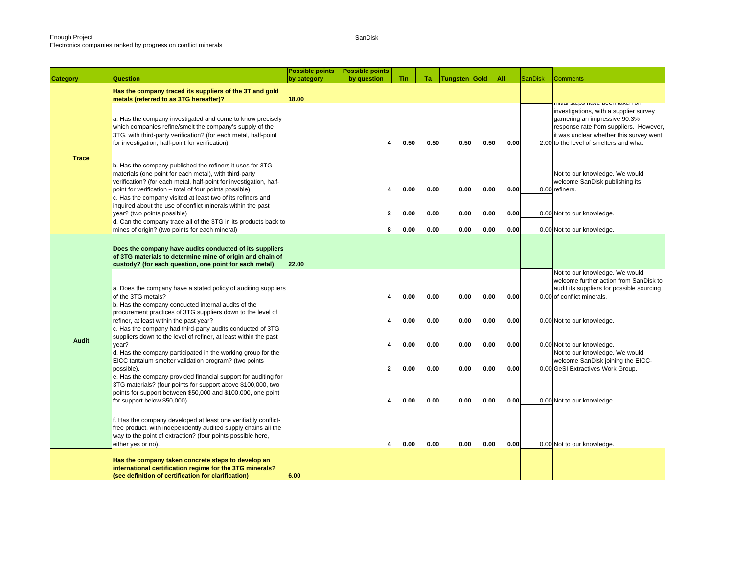Electronics companies ranked by progress on conflict minerals

SanDisk

|              |                                                                                                                                                                                                                                                                                                                                                                                    | Possible points | Possible points |              |              |               |              |              |                |                                                                                                                                                                                                        |
|--------------|------------------------------------------------------------------------------------------------------------------------------------------------------------------------------------------------------------------------------------------------------------------------------------------------------------------------------------------------------------------------------------|-----------------|-----------------|--------------|--------------|---------------|--------------|--------------|----------------|--------------------------------------------------------------------------------------------------------------------------------------------------------------------------------------------------------|
| Category     | Question                                                                                                                                                                                                                                                                                                                                                                           | by category     | by question     | <b>Tin</b>   | Ta.          | Tungsten Gold |              | All          | <b>SanDisk</b> | <b>Comments</b>                                                                                                                                                                                        |
|              | Has the company traced its suppliers of the 3T and gold<br>metals (referred to as 3TG hereafter)?                                                                                                                                                                                                                                                                                  | 18.00           |                 |              |              |               |              |              |                | וווע <mark>ם וספור ממשט של השטר ומ</mark>                                                                                                                                                              |
| <b>Trace</b> | a. Has the company investigated and come to know precisely<br>which companies refine/smelt the company's supply of the<br>3TG, with third-party verification? (for each metal, half-point<br>for investigation, half-point for verification)                                                                                                                                       |                 | 4               | 0.50         | 0.50         | 0.50          | 0.50         | 0.00         |                | investigations, with a supplier survey<br>garnering an impressive 90.3%<br>response rate from suppliers. However,<br>it was unclear whether this survey went<br>2.00 to the level of smelters and what |
|              | b. Has the company published the refiners it uses for 3TG<br>materials (one point for each metal), with third-party<br>verification? (for each metal, half-point for investigation, half-<br>point for verification - total of four points possible)<br>c. Has the company visited at least two of its refiners and<br>inquired about the use of conflict minerals within the past |                 | 4               | 0.00         | 0.00         | 0.00          | 0.00         | 0.00         |                | Not to our knowledge. We would<br>welcome SanDisk publishing its<br>0.00 refiners.                                                                                                                     |
|              | year? (two points possible)<br>d. Can the company trace all of the 3TG in its products back to                                                                                                                                                                                                                                                                                     |                 | 2               | 0.00         | 0.00         | 0.00          | 0.00         | 0.00         |                | 0.00 Not to our knowledge.                                                                                                                                                                             |
|              | mines of origin? (two points for each mineral)                                                                                                                                                                                                                                                                                                                                     |                 | 8               | 0.00         | 0.00         | 0.00          | 0.00         | 0.00         |                | 0.00 Not to our knowledge.                                                                                                                                                                             |
|              | Does the company have audits conducted of its suppliers<br>of 3TG materials to determine mine of origin and chain of<br>custody? (for each question, one point for each metal)                                                                                                                                                                                                     | 22.00           |                 |              |              |               |              |              |                | Not to our knowledge. We would                                                                                                                                                                         |
|              | a. Does the company have a stated policy of auditing suppliers<br>of the 3TG metals?<br>b. Has the company conducted internal audits of the<br>procurement practices of 3TG suppliers down to the level of                                                                                                                                                                         |                 |                 | 0.00         | 0.00         | 0.00          | 0.00         | 0.00         |                | welcome further action from SanDisk to<br>audit its suppliers for possible sourcing<br>0.00 of conflict minerals.                                                                                      |
| <b>Audit</b> | refiner, at least within the past year?<br>c. Has the company had third-party audits conducted of 3TG<br>suppliers down to the level of refiner, at least within the past                                                                                                                                                                                                          |                 | 4               | 0.00         | 0.00         | 0.00          | 0.00         | 0.00         |                | 0.00 Not to our knowledge.                                                                                                                                                                             |
|              | year?<br>d. Has the company participated in the working group for the<br>EICC tantalum smelter validation program? (two points                                                                                                                                                                                                                                                     |                 | $\mathbf{2}$    | 0.00<br>0.00 | 0.00         | 0.00          | 0.00<br>0.00 | 0.00         |                | 0.00 Not to our knowledge.<br>Not to our knowledge. We would<br>welcome SanDisk joining the EICC-                                                                                                      |
|              | possible).<br>e. Has the company provided financial support for auditing for<br>3TG materials? (four points for support above \$100,000, two<br>points for support between \$50,000 and \$100,000, one point<br>for support below \$50,000).                                                                                                                                       |                 |                 | 0.00         | 0.00<br>0.00 | 0.00<br>0.00  | 0.00         | 0.00<br>0.00 |                | 0.00 GeSI Extractives Work Group.<br>0.00 Not to our knowledge.                                                                                                                                        |
|              | f. Has the company developed at least one verifiably conflict-<br>free product, with independently audited supply chains all the<br>way to the point of extraction? (four points possible here,<br>either yes or no).                                                                                                                                                              |                 |                 | 0.00         | 0.00         | 0.00          | 0.00         | 0.00         |                | 0.00 Not to our knowledge.                                                                                                                                                                             |
|              | Has the company taken concrete steps to develop an<br>international certification regime for the 3TG minerals?<br>(see definition of certification for clarification)                                                                                                                                                                                                              | 6.00            |                 |              |              |               |              |              |                |                                                                                                                                                                                                        |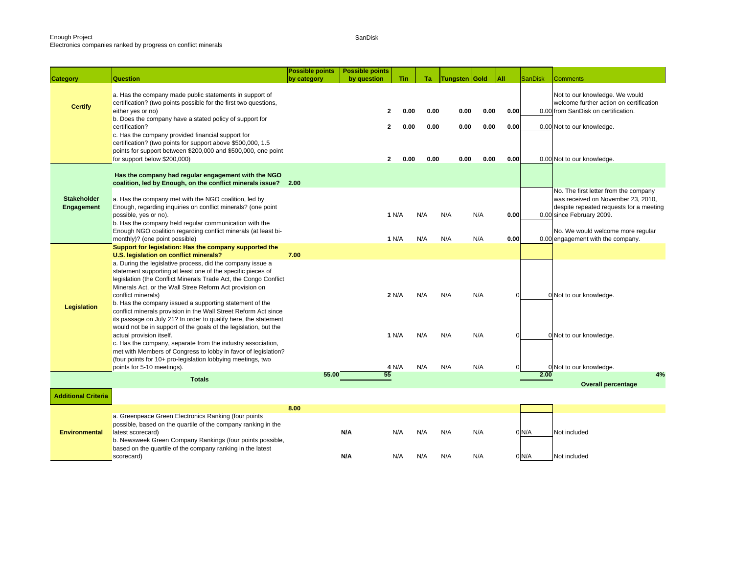Electronics companies ranked by progress on conflict minerals

SanDisk

| Category                         | <b>Question</b>                                                                                                                                                                                                                                                                                                                                              | <b>Possible points</b><br>by category | <b>Possible points</b><br>by question | <b>Tin</b>             | Ta   | <b>Tungsten Gold</b> |      | All      | <b>SanDisk</b> | <b>Comments</b>                                                                                                                                     |
|----------------------------------|--------------------------------------------------------------------------------------------------------------------------------------------------------------------------------------------------------------------------------------------------------------------------------------------------------------------------------------------------------------|---------------------------------------|---------------------------------------|------------------------|------|----------------------|------|----------|----------------|-----------------------------------------------------------------------------------------------------------------------------------------------------|
|                                  |                                                                                                                                                                                                                                                                                                                                                              |                                       |                                       |                        |      |                      |      |          |                |                                                                                                                                                     |
| <b>Certify</b>                   | a. Has the company made public statements in support of<br>certification? (two points possible for the first two questions,<br>either yes or no)                                                                                                                                                                                                             |                                       |                                       | 0.00<br>$\mathbf{2}$   | 0.00 | 0.00                 | 0.00 | 0.00     |                | Not to our knowledge. We would<br>welcome further action on certification<br>0.00 from SanDisk on certification.                                    |
|                                  | b. Does the company have a stated policy of support for<br>certification?                                                                                                                                                                                                                                                                                    |                                       |                                       | 0.00<br>$\overline{2}$ | 0.00 | 0.00                 | 0.00 | 0.00     |                | 0.00 Not to our knowledge.                                                                                                                          |
|                                  | c. Has the company provided financial support for<br>certification? (two points for support above \$500,000, 1.5<br>points for support between \$200,000 and \$500,000, one point<br>for support below \$200,000)                                                                                                                                            |                                       |                                       | 0.00<br>$\mathbf{2}$   | 0.00 | 0.00                 | 0.00 | 0.00     |                | 0.00 Not to our knowledge.                                                                                                                          |
|                                  | Has the company had regular engagement with the NGO<br>coalition, led by Enough, on the conflict minerals issue? 2.00                                                                                                                                                                                                                                        |                                       |                                       |                        |      |                      |      |          |                |                                                                                                                                                     |
| <b>Stakeholder</b><br>Engagement | a. Has the company met with the NGO coalition, led by<br>Enough, regarding inquiries on conflict minerals? (one point<br>possible, yes or no).<br>b. Has the company held regular communication with the                                                                                                                                                     |                                       |                                       | 1 N/A                  | N/A  | N/A                  | N/A  | 0.00     |                | No. The first letter from the company<br>was received on November 23, 2010,<br>despite repeated requests for a meeting<br>0.00 since February 2009. |
|                                  | Enough NGO coalition regarding conflict minerals (at least bi-<br>monthly)? (one point possible)                                                                                                                                                                                                                                                             |                                       |                                       | 1 N/A                  | N/A  | N/A                  | N/A  | 0.00     |                | No. We would welcome more regular<br>0.00 engagement with the company.                                                                              |
|                                  | Support for legislation: Has the company supported the<br>U.S. legislation on conflict minerals?                                                                                                                                                                                                                                                             | 7.00                                  |                                       |                        |      |                      |      |          |                |                                                                                                                                                     |
|                                  | a. During the legislative process, did the company issue a<br>statement supporting at least one of the specific pieces of<br>legislation (the Conflict Minerals Trade Act, the Congo Conflict<br>Minerals Act, or the Wall Stree Reform Act provision on<br>conflict minerals)                                                                               |                                       |                                       | 2 N/A                  | N/A  | N/A                  | N/A  | $\Omega$ |                | 0 Not to our knowledge.                                                                                                                             |
| Legislation                      | b. Has the company issued a supporting statement of the<br>conflict minerals provision in the Wall Street Reform Act since<br>its passage on July 21? In order to qualify here, the statement<br>would not be in support of the goals of the legislation, but the<br>actual provision itself.<br>c. Has the company, separate from the industry association, |                                       |                                       | 1 N/A                  | N/A  | N/A                  | N/A  | U        |                | 0 Not to our knowledge.                                                                                                                             |
|                                  | met with Members of Congress to lobby in favor of legislation?<br>(four points for 10+ pro-legislation lobbying meetings, two<br>points for 5-10 meetings).                                                                                                                                                                                                  |                                       |                                       | 4 N/A                  | N/A  | N/A                  | N/A  |          |                | 0 Not to our knowledge.                                                                                                                             |
|                                  | <b>Totals</b>                                                                                                                                                                                                                                                                                                                                                | 55.00                                 | 55                                    |                        |      |                      |      |          | 2.00           | 4%<br><b>Overall percentage</b>                                                                                                                     |
| <b>Additional Criteria</b>       |                                                                                                                                                                                                                                                                                                                                                              |                                       |                                       |                        |      |                      |      |          |                |                                                                                                                                                     |
|                                  |                                                                                                                                                                                                                                                                                                                                                              | 8.00                                  |                                       |                        |      |                      |      |          |                |                                                                                                                                                     |
| <b>Environmental</b>             | a. Greenpeace Green Electronics Ranking (four points<br>possible, based on the quartile of the company ranking in the<br>latest scorecard)<br>b. Newsweek Green Company Rankings (four points possible,<br>based on the quartile of the company ranking in the latest                                                                                        |                                       | N/A                                   | N/A                    | N/A  | N/A                  | N/A  |          | 0 N/A          | Not included                                                                                                                                        |
|                                  | scorecard)                                                                                                                                                                                                                                                                                                                                                   |                                       | N/A                                   | N/A                    | N/A  | N/A                  | N/A  |          | 0 N/A          | Not included                                                                                                                                        |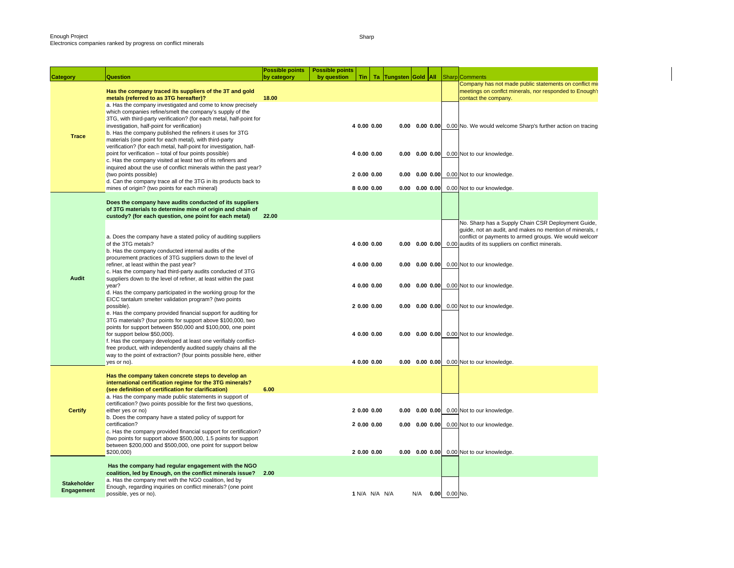| Category                         | <b>Question</b>                                                                                                                                                                                                                                                                                                                                                        | Possible points<br>by category | <b>Possible points</b><br>by question | Tin                        | Ta Tungsten Gold All |     |                 | <b>Sharp</b> Comments                                                                                                                                                                                                                        |
|----------------------------------|------------------------------------------------------------------------------------------------------------------------------------------------------------------------------------------------------------------------------------------------------------------------------------------------------------------------------------------------------------------------|--------------------------------|---------------------------------------|----------------------------|----------------------|-----|-----------------|----------------------------------------------------------------------------------------------------------------------------------------------------------------------------------------------------------------------------------------------|
|                                  | Has the company traced its suppliers of the 3T and gold<br>metals (referred to as 3TG hereafter)?                                                                                                                                                                                                                                                                      | 18.00                          |                                       |                            |                      |     |                 | Company has not made public statements on conflict mi<br>meetings on conflct minerals, nor responded to Enough's<br>contact the company.                                                                                                     |
| <b>Trace</b>                     | a. Has the company investigated and come to know precisely<br>which companies refine/smelt the company's supply of the<br>3TG, with third-party verification? (for each metal, half-point for<br>investigation, half-point for verification)<br>b. Has the company published the refiners it uses for 3TG<br>materials (one point for each metal), with third-party    |                                |                                       | 4 0.00 0.00                |                      |     |                 | <b>0.00 0.00 0.00 0.00</b> No. We would welcome Sharp's further action on tracing                                                                                                                                                            |
|                                  | verification? (for each metal, half-point for investigation, half-<br>point for verification - total of four points possible)<br>c. Has the company visited at least two of its refiners and                                                                                                                                                                           |                                |                                       | 4 0.00 0.00                |                      |     |                 | 0.00 0.00 0.00 0.00 Not to our knowledge.                                                                                                                                                                                                    |
|                                  | inquired about the use of conflict minerals within the past year?<br>(two points possible)<br>d. Can the company trace all of the 3TG in its products back to<br>mines of origin? (two points for each mineral)                                                                                                                                                        |                                |                                       | 20.0000.00<br>8 0.00 0.00  |                      |     |                 | 0.00 0.00 0.00 0.00 Not to our knowledge.<br>0.00 0.00 0.00 0.00 Not to our knowledge.                                                                                                                                                       |
|                                  | Does the company have audits conducted of its suppliers<br>of 3TG materials to determine mine of origin and chain of                                                                                                                                                                                                                                                   |                                |                                       |                            |                      |     |                 |                                                                                                                                                                                                                                              |
| <b>Audit</b>                     | custody? (for each question, one point for each metal)<br>a. Does the company have a stated policy of auditing suppliers<br>of the 3TG metals?<br>b. Has the company conducted internal audits of the                                                                                                                                                                  | 22.00                          |                                       | 4 0.00 0.00                |                      |     |                 | No. Sharp has a Supply Chain CSR Deployment Guide,<br>guide, not an audit, and makes no mention of minerals, r<br>conflict or payments to armed groups. We would welcom<br>0.00 0.00 0.00 0.00 audits of its suppliers on conflict minerals. |
|                                  | procurement practices of 3TG suppliers down to the level of<br>refiner, at least within the past year?<br>c. Has the company had third-party audits conducted of 3TG<br>suppliers down to the level of refiner, at least within the past                                                                                                                               |                                |                                       | 4 0.00 0.00                |                      |     |                 | 0.00 0.00 0.00 0.00 Not to our knowledge.                                                                                                                                                                                                    |
|                                  | year?<br>d. Has the company participated in the working group for the<br>EICC tantalum smelter validation program? (two points<br>possible).<br>e. Has the company provided financial support for auditing for                                                                                                                                                         |                                |                                       | 4 0.00 0.00<br>2 0.00 0.00 |                      |     |                 | 0.00 0.00 0.00 0.00 Not to our knowledge.<br>0.00 0.00 0.00 0.00 Not to our knowledge.                                                                                                                                                       |
|                                  | 3TG materials? (four points for support above \$100,000, two<br>points for support between \$50,000 and \$100,000, one point<br>for support below \$50,000).<br>f. Has the company developed at least one verifiably conflict-<br>free product, with independently audited supply chains all the<br>way to the point of extraction? (four points possible here, either |                                |                                       | 4 0.00 0.00                |                      |     |                 | 0.00 0.00 0.00 0.00 Not to our knowledge.                                                                                                                                                                                                    |
|                                  | yes or no).                                                                                                                                                                                                                                                                                                                                                            |                                |                                       | 4 0.00 0.00                |                      |     |                 | 0.00 0.00 0.00 0.00 Not to our knowledge.                                                                                                                                                                                                    |
|                                  | Has the company taken concrete steps to develop an<br>international certification regime for the 3TG minerals?<br>(see definition of certification for clarification)                                                                                                                                                                                                  | 6.00                           |                                       |                            |                      |     |                 |                                                                                                                                                                                                                                              |
| <b>Certify</b>                   | a. Has the company made public statements in support of<br>certification? (two points possible for the first two questions,<br>either yes or no)<br>b. Does the company have a stated policy of support for                                                                                                                                                            |                                |                                       | 2 0.00 0.00                |                      |     |                 | 0.00 0.00 0.00 0.00 Not to our knowledge.                                                                                                                                                                                                    |
|                                  | certification?<br>c. Has the company provided financial support for certification?<br>(two points for support above \$500,000, 1.5 points for support                                                                                                                                                                                                                  |                                |                                       | 2 0.00 0.00                |                      |     |                 | 0.00 0.00 0.00 0.00 Not to our knowledge.                                                                                                                                                                                                    |
|                                  | between \$200,000 and \$500,000, one point for support below<br>\$200,000)                                                                                                                                                                                                                                                                                             |                                |                                       | 2 0.00 0.00                |                      |     |                 | 0.00 0.00 0.00 0.00 Not to our knowledge.                                                                                                                                                                                                    |
|                                  | Has the company had regular engagement with the NGO<br>coalition, led by Enough, on the conflict minerals issue? 2.00                                                                                                                                                                                                                                                  |                                |                                       |                            |                      |     |                 |                                                                                                                                                                                                                                              |
| <b>Stakeholder</b><br>Engagement | a. Has the company met with the NGO coalition, led by<br>Enough, regarding inquiries on conflict minerals? (one point<br>possible, yes or no).                                                                                                                                                                                                                         |                                |                                       | 1 N/A N/A N/A              |                      | N/A | $0.00$ 0.00 No. |                                                                                                                                                                                                                                              |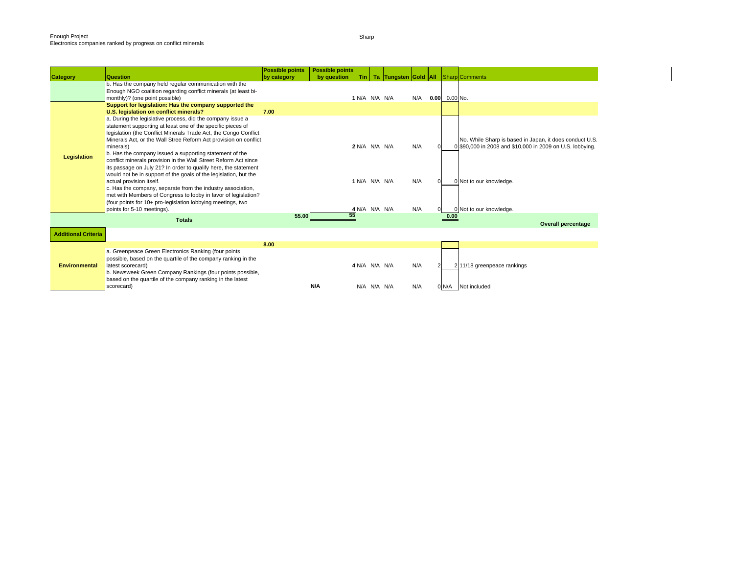| No. While Sharp is based in Japan, it does conduct U.S.<br>0 \$90,000 in 2008 and \$10,000 in 2009 on U.S. lobbying. |
|----------------------------------------------------------------------------------------------------------------------|
| <b>Overall percentage</b>                                                                                            |
|                                                                                                                      |
|                                                                                                                      |
|                                                                                                                      |
|                                                                                                                      |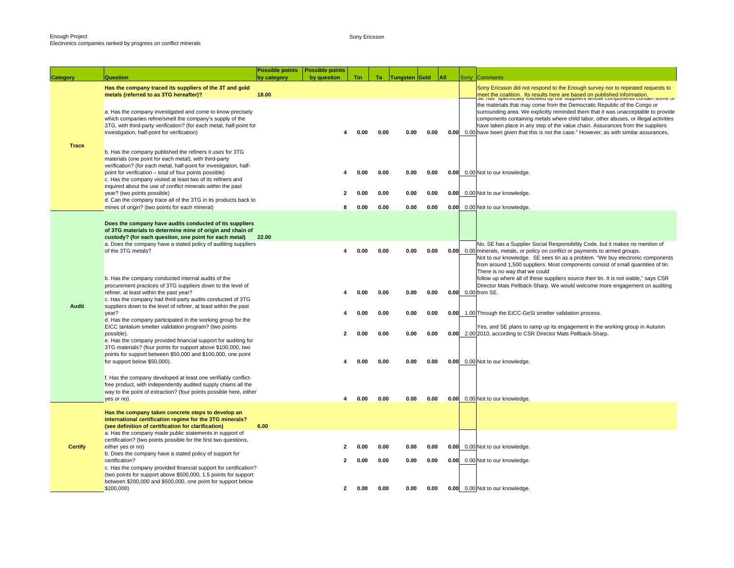Sony Ericsson

| <b>Category</b> | <b>Question</b>                                                                                                                                                                                                                                                                                                     | <b>Possible points</b><br>by category | <b>Possible points</b><br>by question | Tin  | Ta:  | <b>Tungsten Gold</b> |      | All | Sony | Comments                                                                                                                                                                                                                                                                                                                                                                                                                             |
|-----------------|---------------------------------------------------------------------------------------------------------------------------------------------------------------------------------------------------------------------------------------------------------------------------------------------------------------------|---------------------------------------|---------------------------------------|------|------|----------------------|------|-----|------|--------------------------------------------------------------------------------------------------------------------------------------------------------------------------------------------------------------------------------------------------------------------------------------------------------------------------------------------------------------------------------------------------------------------------------------|
|                 | Has the company traced its suppliers of the 3T and gold<br>metals (referred to as 3TG hereafter)?                                                                                                                                                                                                                   | 18.00                                 |                                       |      |      |                      |      |     |      | Sony Ericsson did not respond to the Enough survey nor to repeated requests to<br>meet the coalition. Its results here are based on published information.<br>Such as specifically relieved up our suppliers writes components comain some or                                                                                                                                                                                        |
| <b>Trace</b>    | a. Has the company investigated and come to know precisely<br>which companies refine/smelt the company's supply of the<br>3TG, with third-party verification? (for each metal, half-point for<br>investigation, half-point for verification)                                                                        |                                       | 4                                     | 0.00 | 0.00 | 0.00                 | 0.00 |     |      | the materials that may come from the Democratic Republic of the Congo or<br>surrounding area. We explicitly reminded them that it was unacceptable to provide<br>components containing metals where child labor, other abuses, or illegal activities<br>have taken place in any step of the value chain. Assurances from the suppliers<br>0.00 0.00 have been given that this is not the case." However, as with similar assurances, |
|                 | b. Has the company published the refiners it uses for 3TG<br>materials (one point for each metal), with third-party<br>verification? (for each metal, half-point for investigation, half-<br>point for verification - total of four points possible)<br>c. Has the company visited at least two of its refiners and |                                       | 4                                     | 0.00 | 0.00 | 0.00                 | 0.00 |     |      | 0.00 0.00 Not to our knowledge.                                                                                                                                                                                                                                                                                                                                                                                                      |
|                 | inquired about the use of conflict minerals within the past<br>year? (two points possible)<br>d. Can the company trace all of the 3TG in its products back to                                                                                                                                                       |                                       | 2                                     | 0.00 | 0.00 | 0.00                 | 0.00 |     |      | 0.00 0.00 Not to our knowledge.                                                                                                                                                                                                                                                                                                                                                                                                      |
|                 | mines of origin? (two points for each mineral)                                                                                                                                                                                                                                                                      |                                       | 8                                     | 0.00 | 0.00 | 0.00                 | 0.00 |     |      | 0.00 0.00 Not to our knowledge.                                                                                                                                                                                                                                                                                                                                                                                                      |
|                 | Does the company have audits conducted of its suppliers<br>of 3TG materials to determine mine of origin and chain of<br>custody? (for each question, one point for each metal)                                                                                                                                      | 22.00                                 |                                       |      |      |                      |      |     |      |                                                                                                                                                                                                                                                                                                                                                                                                                                      |
| Audit           | a. Does the company have a stated policy of auditing suppliers<br>of the 3TG metals?                                                                                                                                                                                                                                |                                       |                                       | 0.00 | 0.00 | 0.00                 | 0.00 |     |      | No. SE has a Supplier Social Responsibility Code, but it makes no mention of<br>0.00 0.00 minerals, metals, or policy on conflict or payments to armed groups.<br>Not to our knowledge. SE sees tin as a problem. "We buy electronic components<br>from around 1,500 suppliers. Most components consist of small quantities of tin.<br>There is no way that we could                                                                 |
|                 | b. Has the company conducted internal audits of the<br>procurement practices of 3TG suppliers down to the level of<br>refiner, at least within the past year?<br>c. Has the company had third-party audits conducted of 3TG<br>suppliers down to the level of refiner, at least within the past                     |                                       |                                       | 0.00 | 0.00 | 0.00                 | 0.00 |     |      | follow up where all of these suppliers source their tin. It is not viable," says CSR<br>Director Mats Pellbäck-Sharp. We would welcome more engagement on auditing<br>0.00 0.00 from SE.                                                                                                                                                                                                                                             |
|                 | year?<br>d. Has the company participated in the working group for the<br>EICC tantalum smelter validation program? (two points                                                                                                                                                                                      |                                       | 4                                     | 0.00 | 0.00 | 0.00                 | 0.00 |     |      | 0.00 1.00 Through the EICC-GeSI smelter validation process.<br>Yes, and SE plans to ramp up its engagement in the working group in Autumn                                                                                                                                                                                                                                                                                            |
|                 | possible).<br>e. Has the company provided financial support for auditing for                                                                                                                                                                                                                                        |                                       | 2                                     | 0.00 | 0.00 | 0.00                 | 0.00 |     |      | 0.00 2.00 2010, according to CSR Director Mats Pellback-Sharp.                                                                                                                                                                                                                                                                                                                                                                       |
|                 | 3TG materials? (four points for support above \$100,000, two<br>points for support between \$50,000 and \$100,000, one point<br>for support below \$50,000).                                                                                                                                                        |                                       |                                       | 0.00 | 0.00 | 0.00                 | 0.00 |     |      | 0.00 0.00 Not to our knowledge.                                                                                                                                                                                                                                                                                                                                                                                                      |
|                 | f. Has the company developed at least one verifiably conflict-<br>free product, with independently audited supply chains all the<br>way to the point of extraction? (four points possible here, either<br>yes or no).                                                                                               |                                       | 4                                     | 0.00 | 0.00 | 0.00                 | 0.00 |     |      | 0.00 0.00 Not to our knowledge.                                                                                                                                                                                                                                                                                                                                                                                                      |
|                 | Has the company taken concrete steps to develop an<br>international certification regime for the 3TG minerals?<br>(see definition of certification for clarification)                                                                                                                                               | 6.00                                  |                                       |      |      |                      |      |     |      |                                                                                                                                                                                                                                                                                                                                                                                                                                      |
| <b>Certify</b>  | a. Has the company made public statements in support of<br>certification? (two points possible for the first two questions,<br>either yes or no)                                                                                                                                                                    |                                       |                                       | 0.00 | 0.00 | 0.00                 | 0.00 |     |      | 0.00 0.00 Not to our knowledge.                                                                                                                                                                                                                                                                                                                                                                                                      |
|                 | b. Does the company have a stated policy of support for<br>certification?<br>c. Has the company provided financial support for certification?                                                                                                                                                                       |                                       | $\mathbf{2}$                          | 0.00 | 0.00 | 0.00                 | 0.00 |     |      | 0.00 0.00 Not to our knowledge.                                                                                                                                                                                                                                                                                                                                                                                                      |
|                 | (two points for support above \$500,000, 1.5 points for support<br>between \$200,000 and \$500,000, one point for support below<br>\$200,000)                                                                                                                                                                       |                                       |                                       | 0.00 | 0.00 | 0.00                 | 0.00 |     |      | 0.00 0.00 Not to our knowledge.                                                                                                                                                                                                                                                                                                                                                                                                      |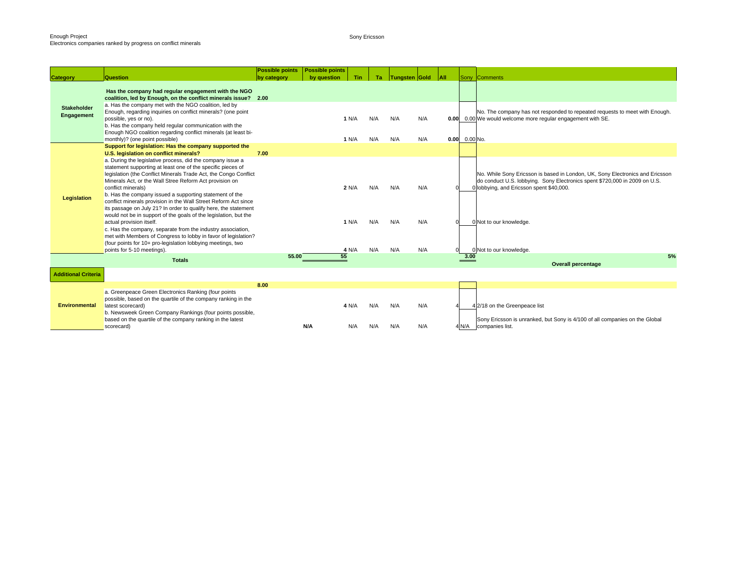Sony Ericsson

|                                  |                                                                                                                                                                                                                                                                                                                                                                                                                                                                                                                                                                                                                                                                                                                                                                                                               | <b>Possible points</b> | <b>Possible points</b> |                         |                   |                   |                   |         |                 |                                                                                                                                                                                                                                                               |
|----------------------------------|---------------------------------------------------------------------------------------------------------------------------------------------------------------------------------------------------------------------------------------------------------------------------------------------------------------------------------------------------------------------------------------------------------------------------------------------------------------------------------------------------------------------------------------------------------------------------------------------------------------------------------------------------------------------------------------------------------------------------------------------------------------------------------------------------------------|------------------------|------------------------|-------------------------|-------------------|-------------------|-------------------|---------|-----------------|---------------------------------------------------------------------------------------------------------------------------------------------------------------------------------------------------------------------------------------------------------------|
| <b>Category</b>                  | Question                                                                                                                                                                                                                                                                                                                                                                                                                                                                                                                                                                                                                                                                                                                                                                                                      | by category            | by question            | Tin                     | Ta                | Tungsten Gold     |                   | $ $ All |                 | Sony Comments                                                                                                                                                                                                                                                 |
| <b>Stakeholder</b><br>Engagement | Has the company had regular engagement with the NGO<br>coalition, led by Enough, on the conflict minerals issue? 2.00<br>a. Has the company met with the NGO coalition, led by<br>Enough, regarding inquiries on conflict minerals? (one point<br>possible, yes or no).<br>b. Has the company held regular communication with the<br>Enough NGO coalition regarding conflict minerals (at least bi-<br>monthly)? (one point possible)                                                                                                                                                                                                                                                                                                                                                                         |                        |                        | 1 N/A<br>1 N/A          | N/A<br>N/A        | N/A<br>N/A        | N/A<br>N/A        |         | $0.00$ 0.00 No. | No. The company has not responded to repeated requests to meet with Enough.<br>0.00 0.00 We would welcome more regular engagement with SE.                                                                                                                    |
|                                  | Support for legislation: Has the company supported the<br>U.S. legislation on conflict minerals?                                                                                                                                                                                                                                                                                                                                                                                                                                                                                                                                                                                                                                                                                                              | 7.00                   |                        |                         |                   |                   |                   |         |                 |                                                                                                                                                                                                                                                               |
| Legislation                      | a. During the legislative process, did the company issue a<br>statement supporting at least one of the specific pieces of<br>legislation (the Conflict Minerals Trade Act, the Congo Conflict<br>Minerals Act, or the Wall Stree Reform Act provision on<br>conflict minerals)<br>b. Has the company issued a supporting statement of the<br>conflict minerals provision in the Wall Street Reform Act since<br>its passage on July 21? In order to qualify here, the statement<br>would not be in support of the goals of the legislation, but the<br>actual provision itself.<br>c. Has the company, separate from the industry association,<br>met with Members of Congress to lobby in favor of legislation?<br>(four points for 10+ pro-legislation lobbying meetings, two<br>points for 5-10 meetings). |                        |                        | 2 N/A<br>1 N/A<br>4 N/A | N/A<br>N/A<br>N/A | N/A<br>N/A<br>N/A | N/A<br>N/A<br>N/A |         |                 | No. While Sony Ericsson is based in London, UK, Sony Electronics and Ericsson<br>do conduct U.S. lobbying. Sony Electronics spent \$720,000 in 2009 on U.S.<br>0 lobbying, and Ericsson spent \$40,000.<br>0 Not to our knowledge.<br>0 Not to our knowledge. |
|                                  | <b>Totals</b>                                                                                                                                                                                                                                                                                                                                                                                                                                                                                                                                                                                                                                                                                                                                                                                                 | 55.00                  | 55                     |                         |                   |                   |                   |         | 3.00            | 5%                                                                                                                                                                                                                                                            |
|                                  |                                                                                                                                                                                                                                                                                                                                                                                                                                                                                                                                                                                                                                                                                                                                                                                                               |                        |                        |                         |                   |                   |                   |         |                 | <b>Overall percentage</b>                                                                                                                                                                                                                                     |
| <b>Additional Criteria</b>       |                                                                                                                                                                                                                                                                                                                                                                                                                                                                                                                                                                                                                                                                                                                                                                                                               |                        |                        |                         |                   |                   |                   |         |                 |                                                                                                                                                                                                                                                               |
|                                  |                                                                                                                                                                                                                                                                                                                                                                                                                                                                                                                                                                                                                                                                                                                                                                                                               | 8.00                   |                        |                         |                   |                   |                   |         |                 |                                                                                                                                                                                                                                                               |
| <b>Environmental</b>             | a. Greenpeace Green Electronics Ranking (four points<br>possible, based on the quartile of the company ranking in the<br>latest scorecard)<br>b. Newsweek Green Company Rankings (four points possible,<br>based on the quartile of the company ranking in the latest                                                                                                                                                                                                                                                                                                                                                                                                                                                                                                                                         |                        |                        | 4 N/A                   | N/A               | N/A               | N/A               |         |                 | 4 2/18 on the Greenpeace list<br>Sony Ericsson is unranked, but Sony is 4/100 of all companies on the Global                                                                                                                                                  |
|                                  | scorecard)                                                                                                                                                                                                                                                                                                                                                                                                                                                                                                                                                                                                                                                                                                                                                                                                    |                        | N/A                    | N/A                     | N/A               | N/A               | N/A               |         | 4 N/A           | companies list.                                                                                                                                                                                                                                               |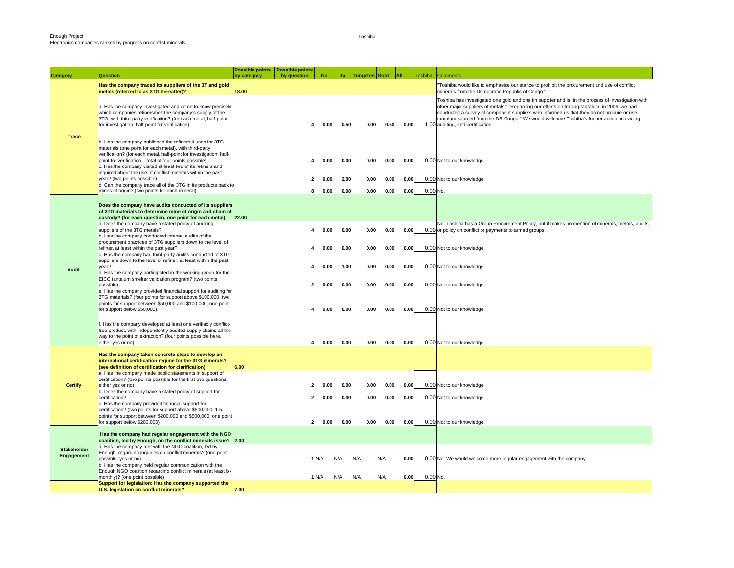| <b>Category</b>    | Question                                                                                                                                                                                                                                                                                                                                                                                                                                                                                                                               | <b>Possible points   Possible points</b><br>by category | by question       | Tin                  | Ta .                 | Tungsten Gold        |                      | <b>JAII</b>          | <b>Toshiba</b> | <b>Comments</b>                                                                                                                                                                                                                                                                                                                                                                                                                      |
|--------------------|----------------------------------------------------------------------------------------------------------------------------------------------------------------------------------------------------------------------------------------------------------------------------------------------------------------------------------------------------------------------------------------------------------------------------------------------------------------------------------------------------------------------------------------|---------------------------------------------------------|-------------------|----------------------|----------------------|----------------------|----------------------|----------------------|----------------|--------------------------------------------------------------------------------------------------------------------------------------------------------------------------------------------------------------------------------------------------------------------------------------------------------------------------------------------------------------------------------------------------------------------------------------|
|                    | Has the company traced its suppliers of the 3T and gold<br>metals (referred to as 3TG hereafter)?                                                                                                                                                                                                                                                                                                                                                                                                                                      | 18.00                                                   |                   |                      |                      |                      |                      |                      |                | Toshiba would like to emphasize our stance to prohibit the procurement and use of conflict<br>minerals from the Democratic Republic of Congo."                                                                                                                                                                                                                                                                                       |
|                    | a. Has the company investigated and come to know precisely<br>which companies refine/smelt the company's supply of the<br>3TG, with third-party verification? (for each metal, half-point<br>for investigation, half-point for verification)                                                                                                                                                                                                                                                                                           |                                                         |                   | 0.00                 | 0.50                 | 0.00                 | 0.50                 | 0.00                 |                | Toshiba has investigated one gold and one tin supplier and is "in the process of investigation with<br>other major suppliers of metals." "Regarding our efforts on tracing tantalum, in 2009, we had<br>conducted a survey of component suppliers who informed us that they do not procure or use<br>tantalum sourced from the DR Congo." We would welcome Toshiba's further action on tracing,<br>1.00 auditing, and certification. |
| <b>Trace</b>       | b. Has the company published the refiners it uses for 3TG<br>materials (one point for each metal), with third-party<br>verification? (for each metal, half-point for investigation, half-<br>point for verification - total of four points possible)<br>c. Has the company visited at least two of its refiners and<br>inquired about the use of conflict minerals within the past<br>year? (two points possible)<br>d. Can the company trace all of the 3TG in its products back to<br>mines of origin? (two points for each mineral) |                                                         | $\mathbf{2}$<br>8 | 0.00<br>0.00<br>0.00 | 0.00<br>2.00<br>0.00 | 0.00<br>0.00<br>0.00 | 0.00<br>0.00<br>0.00 | 0.00<br>0.00<br>0.00 | $0.00$ No.     | 0.00 Not to our knowledge.<br>0.00 Not to our knowledge.                                                                                                                                                                                                                                                                                                                                                                             |
|                    | Does the company have audits conducted of its suppliers                                                                                                                                                                                                                                                                                                                                                                                                                                                                                |                                                         |                   |                      |                      |                      |                      |                      |                |                                                                                                                                                                                                                                                                                                                                                                                                                                      |
|                    | of 3TG materials to determine mine of origin and chain of<br>custody? (for each question, one point for each metal) 22.00<br>a. Does the company have a stated policy of auditing<br>suppliers of the 3TG metals?<br>b. Has the company conducted internal audits of the                                                                                                                                                                                                                                                               |                                                         |                   | 0.00                 | 0.00                 | 0.00                 | 0.00                 | 0.00                 |                | No. Toshiba has a Group Procurement Policy, but it makes no mention of minerals, metals, audits,<br>0.00 or policy on conflict or payments to armed groups.                                                                                                                                                                                                                                                                          |
| Audit              | procurement practices of 3TG suppliers down to the level of<br>refiner, at least within the past year?<br>c. Has the company had third-party audits conducted of 3TG<br>suppliers down to the level of refiner, at least within the past<br>year?                                                                                                                                                                                                                                                                                      |                                                         | 4                 | 0.00<br>0.00         | 0.00<br>1.00         | 0.00<br>0.00         | 0.00<br>0.00         | 0.00<br>0.00         |                | 0.00 Not to our knowledge.<br>0.00 Not to our knowledge.                                                                                                                                                                                                                                                                                                                                                                             |
|                    | d. Has the company participated in the working group for the<br>EICC tantalum smelter validation program? (two points<br>possible).<br>e. Has the company provided financial support for auditing for<br>3TG materials? (four points for support above \$100,000, two<br>points for support between \$50,000 and \$100,000, one point                                                                                                                                                                                                  |                                                         | $\mathbf{2}$      | 0.00                 | 0.00                 | 0.00                 | 0.00                 | 0.00                 |                | 0.00 Not to our knowledge.                                                                                                                                                                                                                                                                                                                                                                                                           |
|                    | for support below \$50,000).<br>f. Has the company developed at least one verifiably conflict-<br>free product, with independently audited supply chains all the                                                                                                                                                                                                                                                                                                                                                                       |                                                         |                   | 0.00                 | 0.00                 | 0.00                 | 0.00                 | 0.00                 |                | 0.00 Not to our knowledge.                                                                                                                                                                                                                                                                                                                                                                                                           |
|                    | way to the point of extraction? (four points possible here,<br>either yes or no).                                                                                                                                                                                                                                                                                                                                                                                                                                                      |                                                         |                   | 0.00                 | 0.00                 | 0.00                 | 0.00                 | 0.00                 |                | 0.00 Not to our knowledge.                                                                                                                                                                                                                                                                                                                                                                                                           |
|                    | Has the company taken concrete steps to develop an<br>international certification regime for the 3TG minerals?<br>(see definition of certification for clarification)<br>a. Has the company made public statements in support of                                                                                                                                                                                                                                                                                                       | 6.00                                                    |                   |                      |                      |                      |                      |                      |                |                                                                                                                                                                                                                                                                                                                                                                                                                                      |
| <b>Certify</b>     | certification? (two points possible for the first two questions,<br>either yes or no)                                                                                                                                                                                                                                                                                                                                                                                                                                                  |                                                         | 2                 | 0.00                 | 0.00                 | 0.00                 | 0.00                 | 0.00                 |                | 0.00 Not to our knowledge.                                                                                                                                                                                                                                                                                                                                                                                                           |
|                    | b. Does the company have a stated policy of support for<br>certification?<br>c. Has the company provided financial support for<br>certification? (two points for support above \$500,000, 1.5                                                                                                                                                                                                                                                                                                                                          |                                                         | $\mathbf{2}$      | 0.00                 | 0.00                 | 0.00                 | 0.00                 | 0.00                 |                | 0.00 Not to our knowledge.                                                                                                                                                                                                                                                                                                                                                                                                           |
|                    | points for support between \$200,000 and \$500,000, one point<br>for support below \$200,000)                                                                                                                                                                                                                                                                                                                                                                                                                                          |                                                         | $\mathbf{2}$      | 0.00                 | 0.00                 | 0.00                 | 0.00                 | 0.00                 |                | 0.00 Not to our knowledge.                                                                                                                                                                                                                                                                                                                                                                                                           |
| <b>Stakeholder</b> | Has the company had regular engagement with the NGO<br>coalition, led by Enough, on the conflict minerals issue? 2.00<br>a. Has the company met with the NGO coalition, led by                                                                                                                                                                                                                                                                                                                                                         |                                                         |                   |                      |                      |                      |                      |                      |                |                                                                                                                                                                                                                                                                                                                                                                                                                                      |
| Engagement         | Enough, regarding inquiries on conflict minerals? (one point<br>possible, yes or no).<br>b. Has the company held regular communication with the<br>Enough NGO coalition regarding conflict minerals (at least bi-<br>monthly)? (one point possible)                                                                                                                                                                                                                                                                                    |                                                         |                   | 1 N/A<br>1 N/A       | N/A<br>N/A           | N/A<br>N/A           | N/A<br>N/A           | 0.00<br>0.00         | 0.00 No.       | 0.00 No. We would welcome more regular engagement with the company.                                                                                                                                                                                                                                                                                                                                                                  |
|                    | Support for legislation: Has the company supported the<br>U.S. legislation on conflict minerals?                                                                                                                                                                                                                                                                                                                                                                                                                                       | 7.00                                                    |                   |                      |                      |                      |                      |                      |                |                                                                                                                                                                                                                                                                                                                                                                                                                                      |